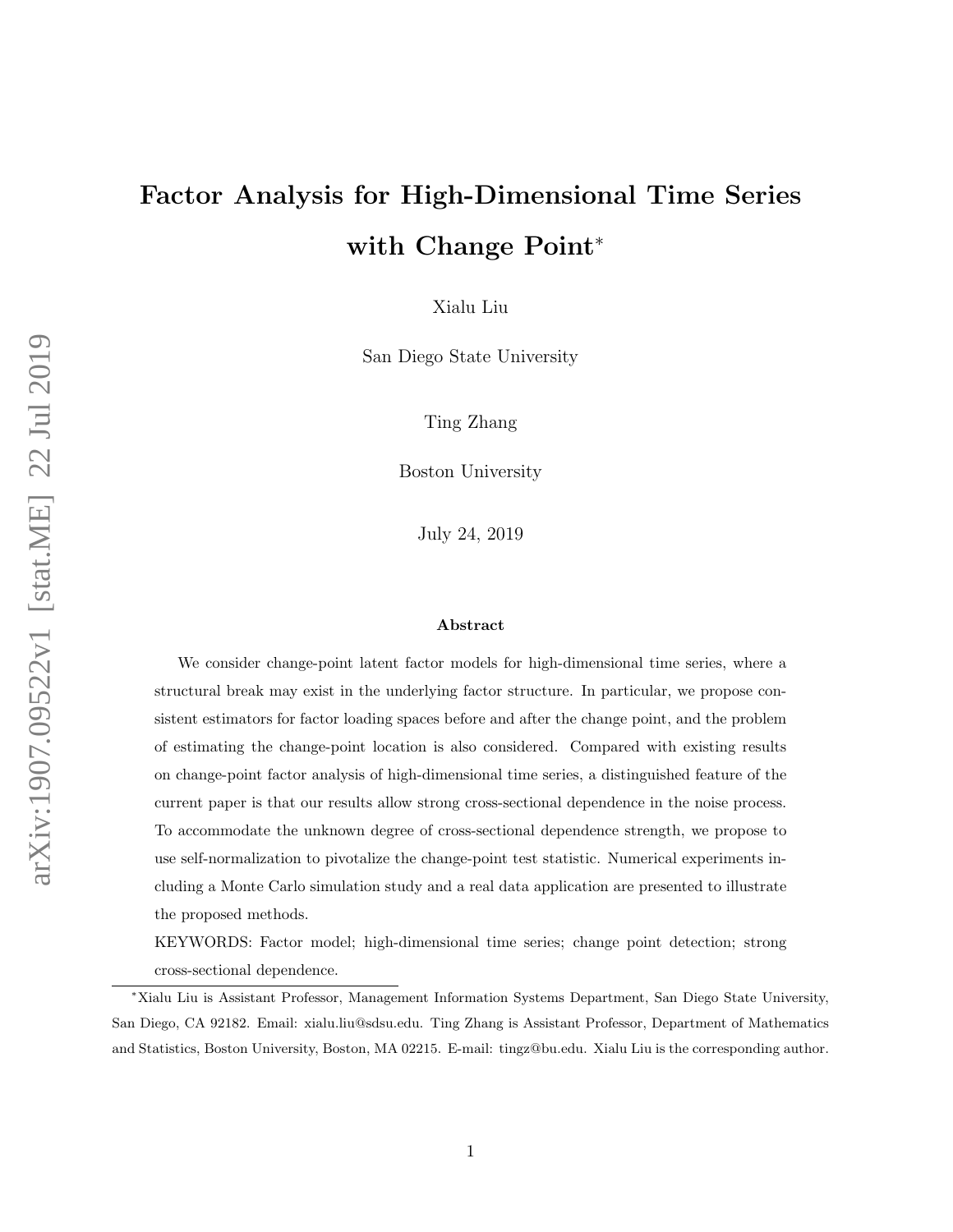# Factor Analysis for High-Dimensional Time Series with Change Point<sup>∗</sup>

Xialu Liu

San Diego State University

Ting Zhang

Boston University

July 24, 2019

#### Abstract

We consider change-point latent factor models for high-dimensional time series, where a structural break may exist in the underlying factor structure. In particular, we propose consistent estimators for factor loading spaces before and after the change point, and the problem of estimating the change-point location is also considered. Compared with existing results on change-point factor analysis of high-dimensional time series, a distinguished feature of the current paper is that our results allow strong cross-sectional dependence in the noise process. To accommodate the unknown degree of cross-sectional dependence strength, we propose to use self-normalization to pivotalize the change-point test statistic. Numerical experiments including a Monte Carlo simulation study and a real data application are presented to illustrate the proposed methods.

KEYWORDS: Factor model; high-dimensional time series; change point detection; strong cross-sectional dependence.

<sup>∗</sup>Xialu Liu is Assistant Professor, Management Information Systems Department, San Diego State University, San Diego, CA 92182. Email: xialu.liu@sdsu.edu. Ting Zhang is Assistant Professor, Department of Mathematics and Statistics, Boston University, Boston, MA 02215. E-mail: tingz@bu.edu. Xialu Liu is the corresponding author.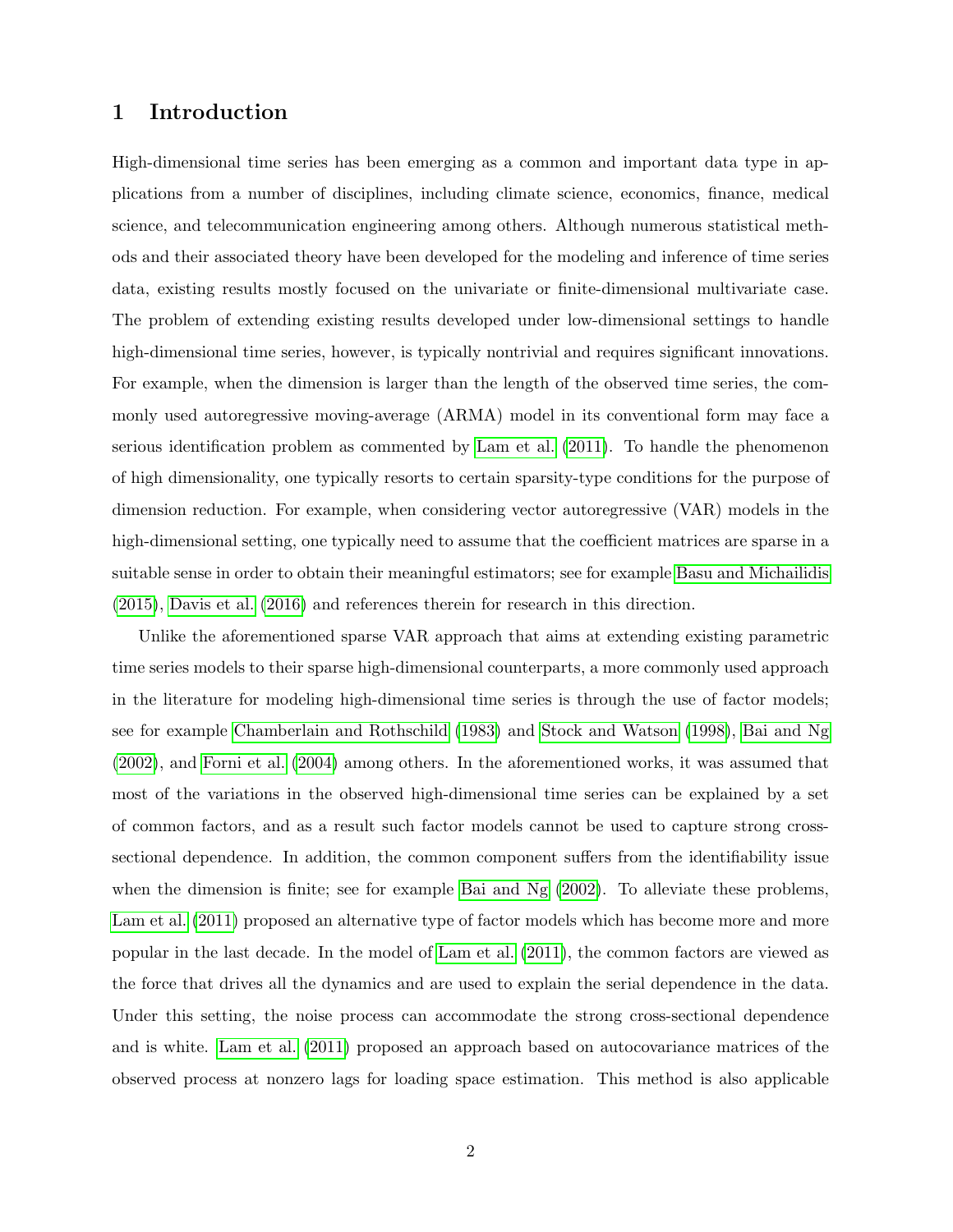# 1 Introduction

High-dimensional time series has been emerging as a common and important data type in applications from a number of disciplines, including climate science, economics, finance, medical science, and telecommunication engineering among others. Although numerous statistical methods and their associated theory have been developed for the modeling and inference of time series data, existing results mostly focused on the univariate or finite-dimensional multivariate case. The problem of extending existing results developed under low-dimensional settings to handle high-dimensional time series, however, is typically nontrivial and requires significant innovations. For example, when the dimension is larger than the length of the observed time series, the commonly used autoregressive moving-average (ARMA) model in its conventional form may face a serious identification problem as commented by [Lam et al.](#page-34-0) [\(2011\)](#page-34-0). To handle the phenomenon of high dimensionality, one typically resorts to certain sparsity-type conditions for the purpose of dimension reduction. For example, when considering vector autoregressive (VAR) models in the high-dimensional setting, one typically need to assume that the coefficient matrices are sparse in a suitable sense in order to obtain their meaningful estimators; see for example [Basu and Michailidis](#page-33-0) [\(2015\)](#page-33-0), [Davis et al.](#page-33-1) [\(2016\)](#page-33-1) and references therein for research in this direction.

Unlike the aforementioned sparse VAR approach that aims at extending existing parametric time series models to their sparse high-dimensional counterparts, a more commonly used approach in the literature for modeling high-dimensional time series is through the use of factor models; see for example [Chamberlain and Rothschild](#page-33-2) [\(1983\)](#page-33-2) and [Stock and Watson](#page-35-0) [\(1998\)](#page-35-0), [Bai and Ng](#page-33-3) [\(2002\)](#page-33-3), and [Forni et al.](#page-34-1) [\(2004\)](#page-34-1) among others. In the aforementioned works, it was assumed that most of the variations in the observed high-dimensional time series can be explained by a set of common factors, and as a result such factor models cannot be used to capture strong crosssectional dependence. In addition, the common component suffers from the identifiability issue when the dimension is finite; see for example [Bai and Ng](#page-33-3) [\(2002\)](#page-33-3). To alleviate these problems, [Lam et al.](#page-34-0)  $(2011)$  proposed an alternative type of factor models which has become more and more popular in the last decade. In the model of [Lam et al.](#page-34-0) [\(2011\)](#page-34-0), the common factors are viewed as the force that drives all the dynamics and are used to explain the serial dependence in the data. Under this setting, the noise process can accommodate the strong cross-sectional dependence and is white. [Lam et al.](#page-34-0) [\(2011\)](#page-34-0) proposed an approach based on autocovariance matrices of the observed process at nonzero lags for loading space estimation. This method is also applicable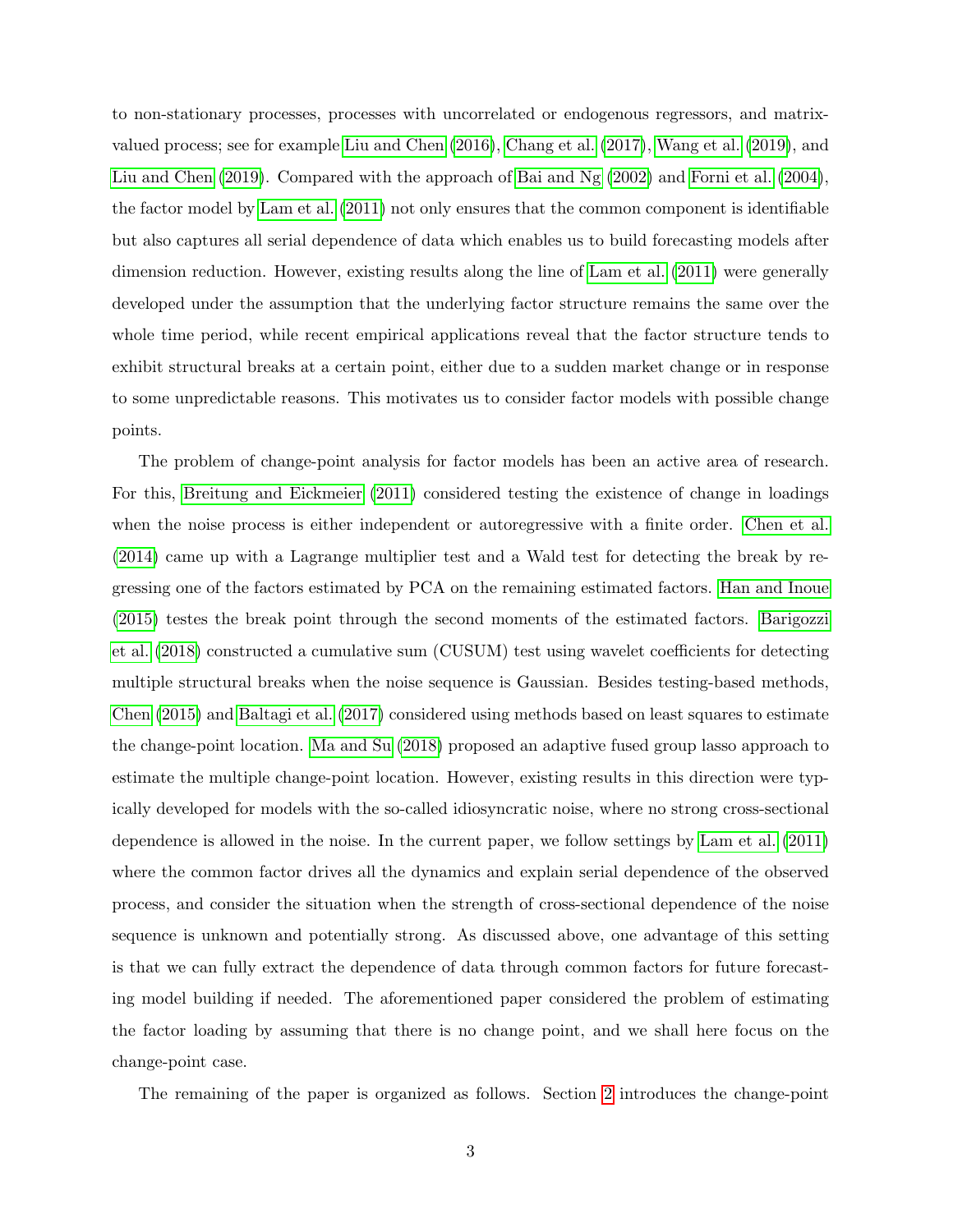to non-stationary processes, processes with uncorrelated or endogenous regressors, and matrixvalued process; see for example [Liu and Chen](#page-34-2) [\(2016\)](#page-34-2), [Chang et al.](#page-33-4) [\(2017\)](#page-33-4), [Wang et al.](#page-35-1) [\(2019\)](#page-35-1), and [Liu and Chen](#page-34-3) [\(2019\)](#page-34-3). Compared with the approach of [Bai and Ng](#page-33-3) [\(2002\)](#page-33-3) and [Forni et al.](#page-34-1) [\(2004\)](#page-34-1), the factor model by [Lam et al.](#page-34-0) [\(2011\)](#page-34-0) not only ensures that the common component is identifiable but also captures all serial dependence of data which enables us to build forecasting models after dimension reduction. However, existing results along the line of [Lam et al.](#page-34-0) [\(2011\)](#page-34-0) were generally developed under the assumption that the underlying factor structure remains the same over the whole time period, while recent empirical applications reveal that the factor structure tends to exhibit structural breaks at a certain point, either due to a sudden market change or in response to some unpredictable reasons. This motivates us to consider factor models with possible change points.

The problem of change-point analysis for factor models has been an active area of research. For this, [Breitung and Eickmeier](#page-33-5) [\(2011\)](#page-33-5) considered testing the existence of change in loadings when the noise process is either independent or autoregressive with a finite order. [Chen et al.](#page-33-6) [\(2014\)](#page-33-6) came up with a Lagrange multiplier test and a Wald test for detecting the break by regressing one of the factors estimated by PCA on the remaining estimated factors. [Han and Inoue](#page-34-4) [\(2015\)](#page-34-4) testes the break point through the second moments of the estimated factors. [Barigozzi](#page-33-7) [et al.](#page-33-7) [\(2018\)](#page-33-7) constructed a cumulative sum (CUSUM) test using wavelet coefficients for detecting multiple structural breaks when the noise sequence is Gaussian. Besides testing-based methods, [Chen](#page-33-8) [\(2015\)](#page-33-8) and [Baltagi et al.](#page-33-9) [\(2017\)](#page-33-9) considered using methods based on least squares to estimate the change-point location. [Ma and Su](#page-34-5) [\(2018\)](#page-34-5) proposed an adaptive fused group lasso approach to estimate the multiple change-point location. However, existing results in this direction were typically developed for models with the so-called idiosyncratic noise, where no strong cross-sectional dependence is allowed in the noise. In the current paper, we follow settings by [Lam et al.](#page-34-0) [\(2011\)](#page-34-0) where the common factor drives all the dynamics and explain serial dependence of the observed process, and consider the situation when the strength of cross-sectional dependence of the noise sequence is unknown and potentially strong. As discussed above, one advantage of this setting is that we can fully extract the dependence of data through common factors for future forecasting model building if needed. The aforementioned paper considered the problem of estimating the factor loading by assuming that there is no change point, and we shall here focus on the change-point case.

The remaining of the paper is organized as follows. Section [2](#page-3-0) introduces the change-point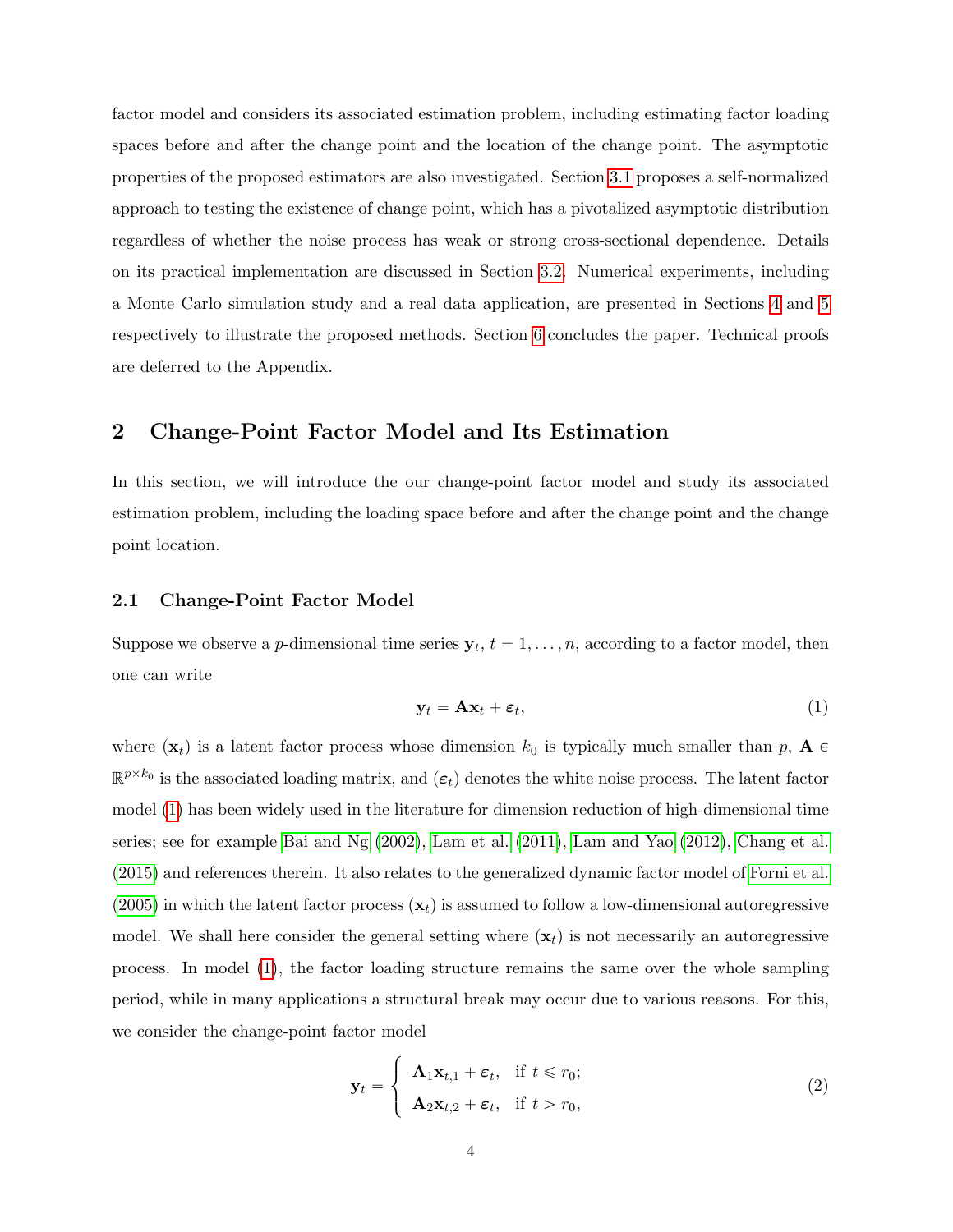factor model and considers its associated estimation problem, including estimating factor loading spaces before and after the change point and the location of the change point. The asymptotic properties of the proposed estimators are also investigated. Section [3.1](#page-9-0) proposes a self-normalized approach to testing the existence of change point, which has a pivotalized asymptotic distribution regardless of whether the noise process has weak or strong cross-sectional dependence. Details on its practical implementation are discussed in Section [3.2.](#page-11-0) Numerical experiments, including a Monte Carlo simulation study and a real data application, are presented in Sections [4](#page-12-0) and [5](#page-18-0) respectively to illustrate the proposed methods. Section [6](#page-19-0) concludes the paper. Technical proofs are deferred to the Appendix.

# <span id="page-3-0"></span>2 Change-Point Factor Model and Its Estimation

In this section, we will introduce the our change-point factor model and study its associated estimation problem, including the loading space before and after the change point and the change point location.

## 2.1 Change-Point Factor Model

Suppose we observe a *p*-dimensional time series  $y_t$ ,  $t = 1, \ldots, n$ , according to a factor model, then one can write

<span id="page-3-1"></span>
$$
\mathbf{y}_t = \mathbf{A}\mathbf{x}_t + \boldsymbol{\varepsilon}_t,\tag{1}
$$

where  $(\mathbf{x}_t)$  is a latent factor process whose dimension  $k_0$  is typically much smaller than p,  $\mathbf{A} \in$  $\mathbb{R}^{p \times k_0}$  is the associated loading matrix, and  $(\varepsilon_t)$  denotes the white noise process. The latent factor model [\(1\)](#page-3-1) has been widely used in the literature for dimension reduction of high-dimensional time series; see for example [Bai and Ng](#page-33-3) [\(2002\)](#page-33-3), [Lam et al.](#page-34-0) [\(2011\)](#page-34-0), [Lam and Yao](#page-34-6) [\(2012\)](#page-34-6), [Chang et al.](#page-33-10) [\(2015\)](#page-33-10) and references therein. It also relates to the generalized dynamic factor model of [Forni et al.](#page-34-7) [\(2005\)](#page-34-7) in which the latent factor process  $(\mathbf{x}_t)$  is assumed to follow a low-dimensional autoregressive model. We shall here consider the general setting where  $(\mathbf{x}_t)$  is not necessarily an autoregressive process. In model [\(1\)](#page-3-1), the factor loading structure remains the same over the whole sampling period, while in many applications a structural break may occur due to various reasons. For this, we consider the change-point factor model

<span id="page-3-2"></span>
$$
\mathbf{y}_t = \begin{cases} \mathbf{A}_1 \mathbf{x}_{t,1} + \boldsymbol{\varepsilon}_t, & \text{if } t \leq r_0; \\ \mathbf{A}_2 \mathbf{x}_{t,2} + \boldsymbol{\varepsilon}_t, & \text{if } t > r_0, \end{cases}
$$
 (2)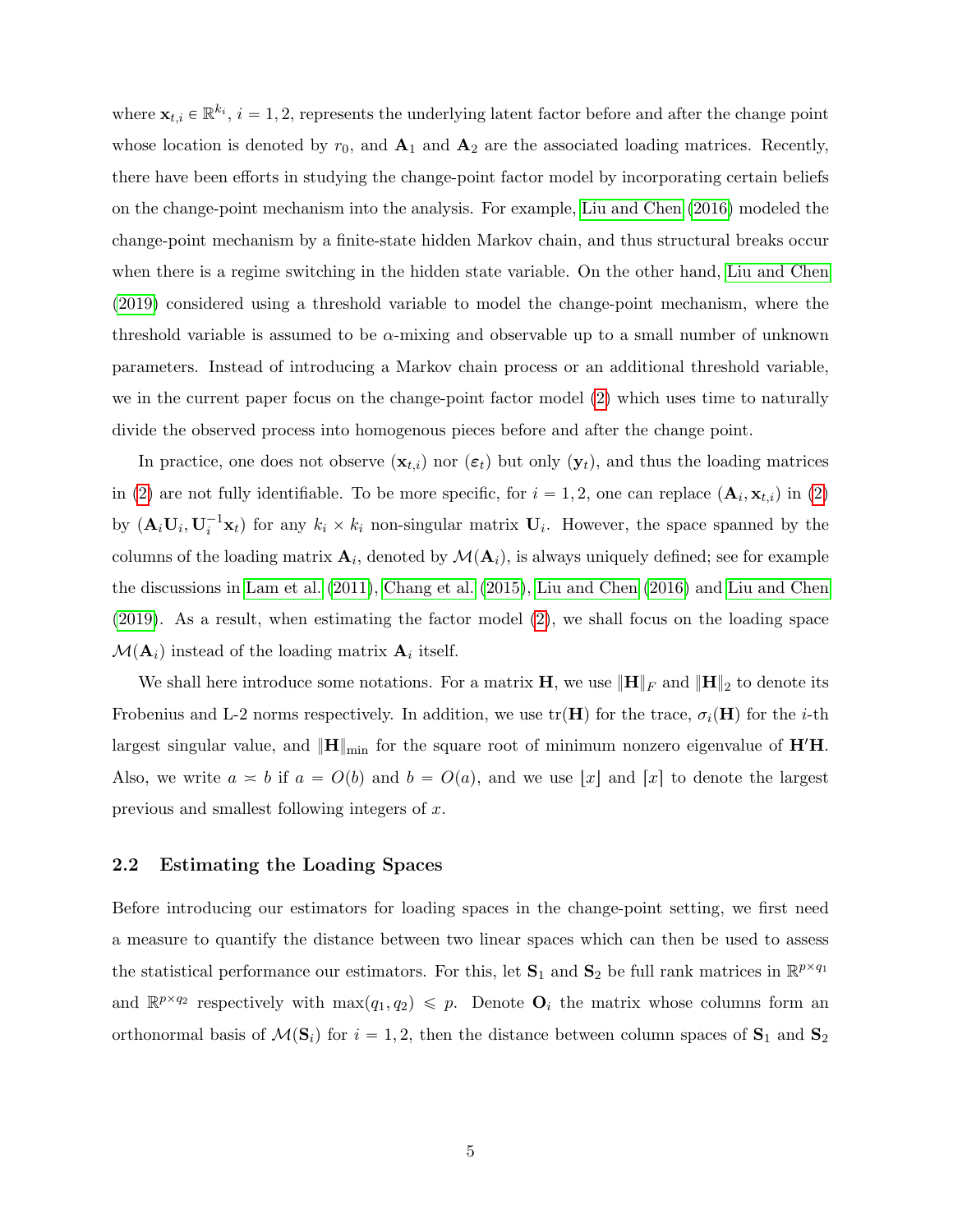where  $\mathbf{x}_{t,i} \in \mathbb{R}^{k_i}$ ,  $i = 1, 2$ , represents the underlying latent factor before and after the change point whose location is denoted by  $r_0$ , and  $\mathbf{A}_1$  and  $\mathbf{A}_2$  are the associated loading matrices. Recently, there have been efforts in studying the change-point factor model by incorporating certain beliefs on the change-point mechanism into the analysis. For example, [Liu and Chen](#page-34-2) [\(2016\)](#page-34-2) modeled the change-point mechanism by a finite-state hidden Markov chain, and thus structural breaks occur when there is a regime switching in the hidden state variable. On the other hand, [Liu and Chen](#page-34-3) [\(2019\)](#page-34-3) considered using a threshold variable to model the change-point mechanism, where the threshold variable is assumed to be  $\alpha$ -mixing and observable up to a small number of unknown parameters. Instead of introducing a Markov chain process or an additional threshold variable, we in the current paper focus on the change-point factor model [\(2\)](#page-3-2) which uses time to naturally divide the observed process into homogenous pieces before and after the change point.

In practice, one does not observe  $(\mathbf{x}_{t,i})$  nor  $(\varepsilon_t)$  but only  $(\mathbf{y}_t)$ , and thus the loading matrices in [\(2\)](#page-3-2) are not fully identifiable. To be more specific, for  $i = 1, 2$ , one can replace  $(\mathbf{A}_i, \mathbf{x}_{t,i})$  in (2) by  $(\mathbf{A}_i \mathbf{U}_i, \mathbf{U}_i^{-1} \mathbf{x}_t)$  for any  $k_i \times k_i$  non-singular matrix  $\mathbf{U}_i$ . However, the space spanned by the columns of the loading matrix  $\mathbf{A}_i$ , denoted by  $\mathcal{M}(\mathbf{A}_i)$ , is always uniquely defined; see for example the discussions in [Lam et al.](#page-34-0) [\(2011\)](#page-34-0), [Chang et al.](#page-33-10) [\(2015\)](#page-33-10), [Liu and Chen](#page-34-2) [\(2016\)](#page-34-2) and [Liu and Chen](#page-34-3) [\(2019\)](#page-34-3). As a result, when estimating the factor model [\(2\)](#page-3-2), we shall focus on the loading space  $\mathcal{M}(\mathbf{A}_i)$  instead of the loading matrix  $\mathbf{A}_i$  itself.

We shall here introduce some notations. For a matrix **H**, we use  $\|\mathbf{H}\|_F$  and  $\|\mathbf{H}\|_2$  to denote its Frobenius and L-2 norms respectively. In addition, we use  $tr(H)$  for the trace,  $\sigma_i(H)$  for the *i*-th largest singular value, and  $\|\mathbf{H}\|_{\text{min}}$  for the square root of minimum nonzero eigenvalue of  $\mathbf{H}'\mathbf{H}$ . Also, we write  $a \approx b$  if  $a = O(b)$  and  $b = O(a)$ , and we use |x| and [x] to denote the largest previous and smallest following integers of x.

## <span id="page-4-0"></span>2.2 Estimating the Loading Spaces

Before introducing our estimators for loading spaces in the change-point setting, we first need a measure to quantify the distance between two linear spaces which can then be used to assess the statistical performance our estimators. For this, let  $S_1$  and  $S_2$  be full rank matrices in  $\mathbb{R}^{p \times q_1}$ and  $\mathbb{R}^{p \times q_2}$  respectively with  $\max(q_1, q_2) \leq p$ . Denote  $\mathbf{O}_i$  the matrix whose columns form an orthonormal basis of  $\mathcal{M}(\mathbf{S}_i)$  for  $i = 1, 2$ , then the distance between column spaces of  $\mathbf{S}_1$  and  $\mathbf{S}_2$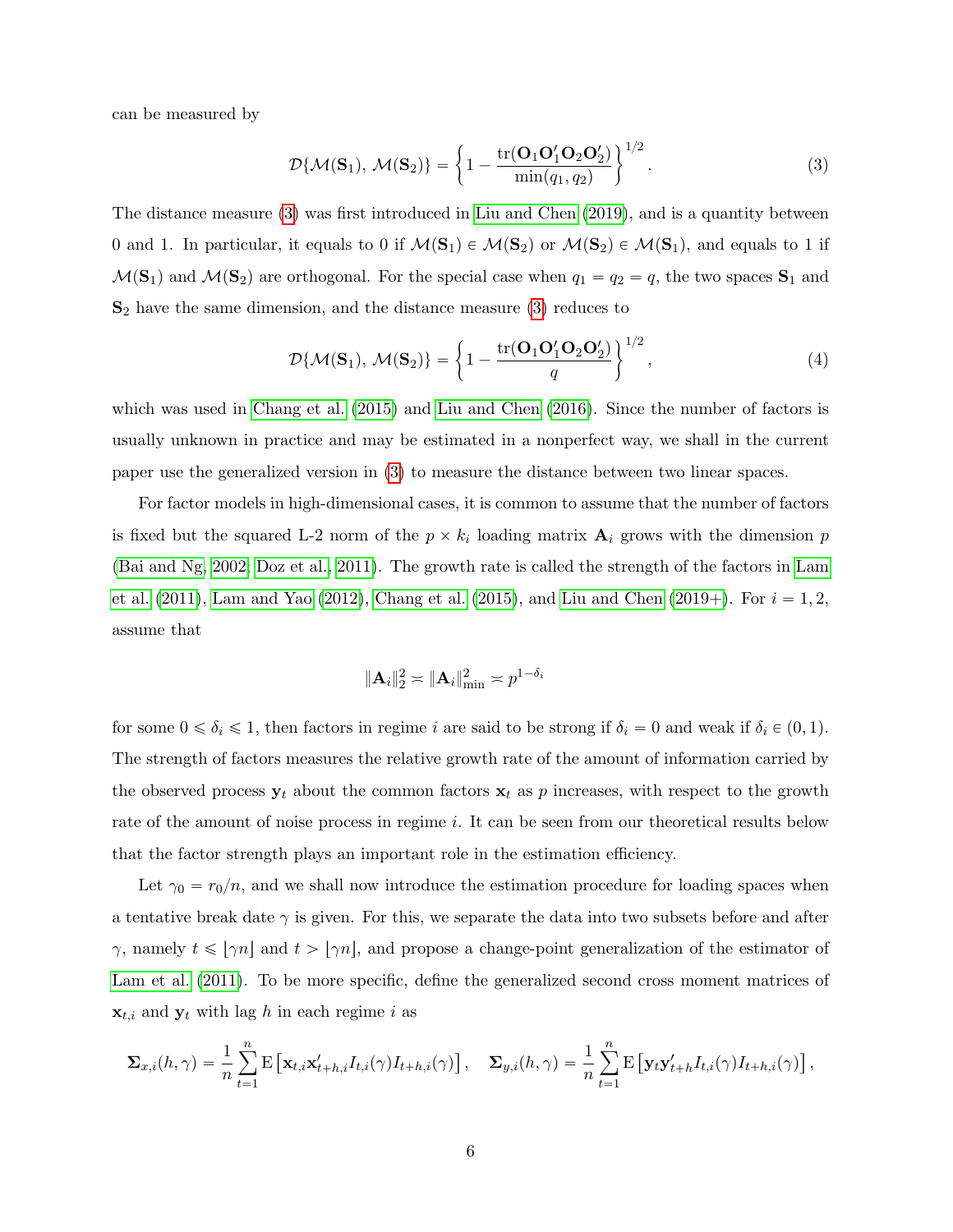can be measured by

<span id="page-5-0"></span>
$$
\mathcal{D}\{\mathcal{M}(\mathbf{S}_1), \mathcal{M}(\mathbf{S}_2)\} = \left\{1 - \frac{\text{tr}(\mathbf{O}_1\mathbf{O}_2'\mathbf{O}_2')}{\min(q_1, q_2)}\right\}^{1/2}.
$$
 (3)

The distance measure [\(3\)](#page-5-0) was first introduced in [Liu and Chen](#page-34-3) [\(2019\)](#page-34-3), and is a quantity between 0 and 1. In particular, it equals to 0 if  $M(S_1) \in M(S_2)$  or  $M(S_2) \in M(S_1)$ , and equals to 1 if  $\mathcal{M}(\mathbf{S}_1)$  and  $\mathcal{M}(\mathbf{S}_2)$  are orthogonal. For the special case when  $q_1 = q_2 = q$ , the two spaces  $\mathbf{S}_1$  and  $S_2$  have the same dimension, and the distance measure [\(3\)](#page-5-0) reduces to

$$
\mathcal{D}\{\mathcal{M}(\mathbf{S}_1),\,\mathcal{M}(\mathbf{S}_2)\} = \left\{1 - \frac{\text{tr}(\mathbf{O}_1\mathbf{O}_1'\mathbf{O}_2\mathbf{O}_2')}{q}\right\}^{1/2},\tag{4}
$$

which was used in [Chang et al.](#page-33-10) [\(2015\)](#page-33-10) and [Liu and Chen](#page-34-2) [\(2016\)](#page-34-2). Since the number of factors is usually unknown in practice and may be estimated in a nonperfect way, we shall in the current paper use the generalized version in [\(3\)](#page-5-0) to measure the distance between two linear spaces.

For factor models in high-dimensional cases, it is common to assume that the number of factors is fixed but the squared L-2 norm of the  $p \times k_i$  loading matrix  $A_i$  grows with the dimension p [\(Bai and Ng, 2002;](#page-33-3) [Doz et al., 2011\)](#page-34-8). The growth rate is called the strength of the factors in [Lam](#page-34-0) [et al.](#page-34-0)  $(2011)$ , [Lam and Yao](#page-34-6)  $(2012)$ , [Chang et al.](#page-33-10)  $(2015)$ , and [Liu and Chen](#page-34-9)  $(2019+)$ . For  $i = 1, 2$ , assume that

$$
\|\mathbf{A}_i\|_2^2 \asymp \|\mathbf{A}_i\|_{\min}^2 \asymp p^{1-\delta_i}
$$

for some  $0 \le \delta_i \le 1$ , then factors in regime i are said to be strong if  $\delta_i = 0$  and weak if  $\delta_i \in (0, 1)$ . The strength of factors measures the relative growth rate of the amount of information carried by the observed process  $y_t$  about the common factors  $x_t$  as p increases, with respect to the growth rate of the amount of noise process in regime i. It can be seen from our theoretical results below that the factor strength plays an important role in the estimation efficiency.

Let  $\gamma_0 = r_0/n$ , and we shall now introduce the estimation procedure for loading spaces when a tentative break date  $\gamma$  is given. For this, we separate the data into two subsets before and after  $\gamma$ , namely  $t \leq \lfloor \gamma n \rfloor$  and  $t > \lfloor \gamma n \rfloor$ , and propose a change-point generalization of the estimator of [Lam et al.](#page-34-0) [\(2011\)](#page-34-0). To be more specific, define the generalized second cross moment matrices of  $\mathbf{x}_{t,i}$  and  $\mathbf{y}_t$  with lag h in each regime i as

$$
\Sigma_{x,i}(h,\gamma) = \frac{1}{n} \sum_{t=1}^n \mathrm{E} \left[ \mathbf{x}_{t,i} \mathbf{x}'_{t+h,i} I_{t,i}(\gamma) I_{t+h,i}(\gamma) \right], \quad \Sigma_{y,i}(h,\gamma) = \frac{1}{n} \sum_{t=1}^n \mathrm{E} \left[ \mathbf{y}_t \mathbf{y}'_{t+h} I_{t,i}(\gamma) I_{t+h,i}(\gamma) \right],
$$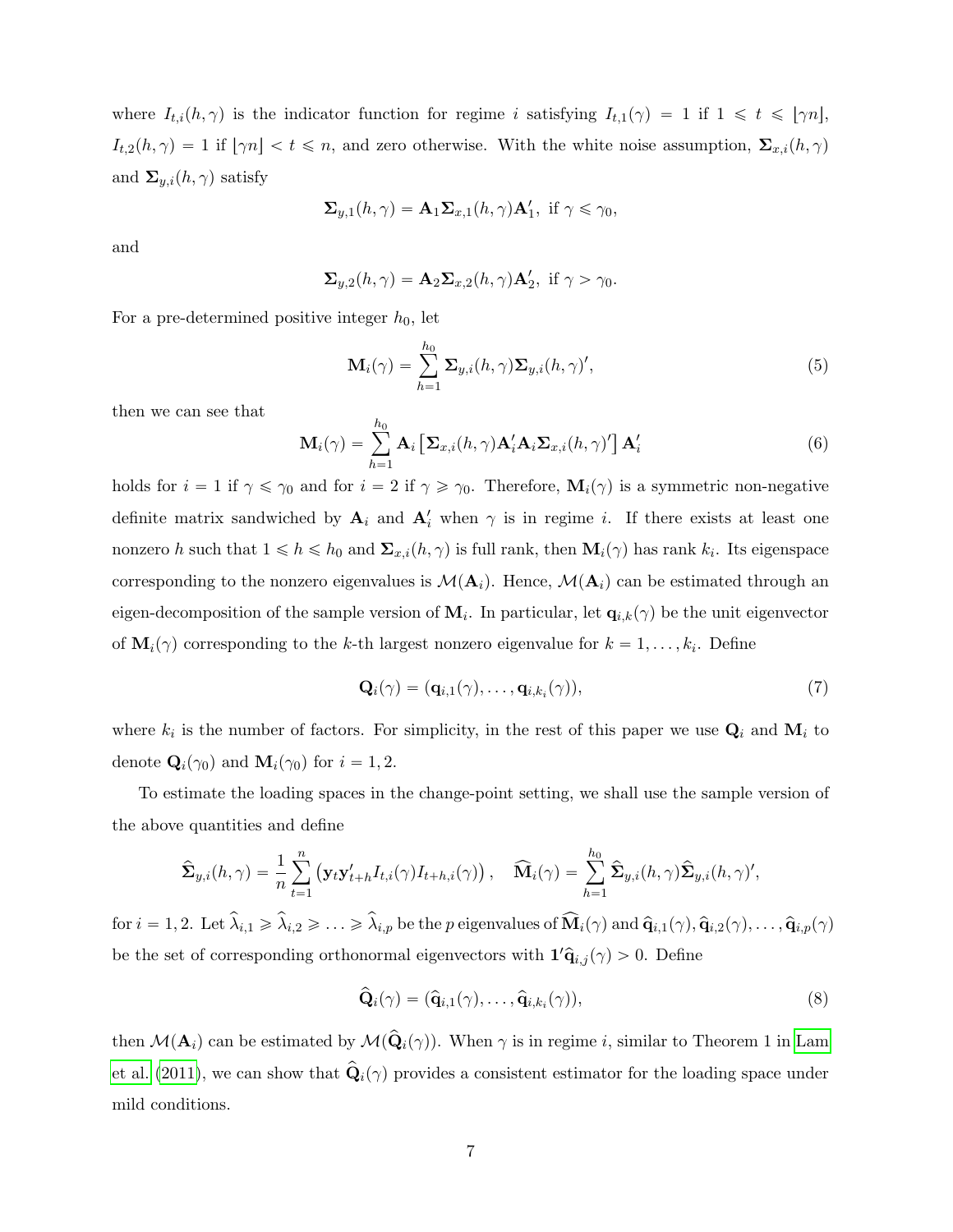where  $I_{t,i}(h, \gamma)$  is the indicator function for regime i satisfying  $I_{t,1}(\gamma) = 1$  if  $1 \le t \le [\gamma n],$  $I_{t,2}(h, \gamma) = 1$  if  $[\gamma n] < t \leq n$ , and zero otherwise. With the white noise assumption,  $\Sigma_{x,i}(h, \gamma)$ and  $\Sigma_{y,i}(h, \gamma)$  satisfy

$$
\Sigma_{y,1}(h,\gamma) = \mathbf{A}_1 \Sigma_{x,1}(h,\gamma) \mathbf{A}'_1, \text{ if } \gamma \leq \gamma_0,
$$

and

$$
\Sigma_{y,2}(h,\gamma) = \mathbf{A}_2 \Sigma_{x,2}(h,\gamma) \mathbf{A}'_2, \text{ if } \gamma > \gamma_0.
$$

For a pre-determined positive integer  $h_0$ , let

<span id="page-6-1"></span>
$$
\mathbf{M}_{i}(\gamma) = \sum_{h=1}^{h_0} \mathbf{\Sigma}_{y,i}(h,\gamma) \mathbf{\Sigma}_{y,i}(h,\gamma)', \qquad (5)
$$

then we can see that

<span id="page-6-0"></span>
$$
\mathbf{M}_{i}(\gamma) = \sum_{h=1}^{h_0} \mathbf{A}_{i} \left[ \mathbf{\Sigma}_{x,i}(h,\gamma) \mathbf{A}_{i}' \mathbf{A}_{i} \mathbf{\Sigma}_{x,i}(h,\gamma)' \right] \mathbf{A}_{i}' \tag{6}
$$

holds for  $i = 1$  if  $\gamma \le \gamma_0$  and for  $i = 2$  if  $\gamma \ge \gamma_0$ . Therefore,  $\mathbf{M}_i(\gamma)$  is a symmetric non-negative definite matrix sandwiched by  $A_i$  and  $A'_i$  when  $\gamma$  is in regime i. If there exists at least one nonzero h such that  $1 \leq h \leq h_0$  and  $\Sigma_{x,i}(h,\gamma)$  is full rank, then  $\mathbf{M}_i(\gamma)$  has rank  $k_i$ . Its eigenspace corresponding to the nonzero eigenvalues is  $\mathcal{M}(\mathbf{A}_i)$ . Hence,  $\mathcal{M}(\mathbf{A}_i)$  can be estimated through an eigen-decomposition of the sample version of  $M_i$ . In particular, let  $q_{i,k}(\gamma)$  be the unit eigenvector of  $\mathbf{M}_i(\gamma)$  corresponding to the k-th largest nonzero eigenvalue for  $k = 1, \ldots, k_i$ . Define

$$
\mathbf{Q}_i(\gamma) = (\mathbf{q}_{i,1}(\gamma), \dots, \mathbf{q}_{i,k_i}(\gamma)),\tag{7}
$$

where  $k_i$  is the number of factors. For simplicity, in the rest of this paper we use  $\mathbf{Q}_i$  and  $\mathbf{M}_i$  to denote  $\mathbf{Q}_i(\gamma_0)$  and  $\mathbf{M}_i(\gamma_0)$  for  $i = 1, 2$ .

To estimate the loading spaces in the change-point setting, we shall use the sample version of the above quantities and define

$$
\hat{\Sigma}_{y,i}(h,\gamma) = \frac{1}{n} \sum_{t=1}^n (\mathbf{y}_t \mathbf{y}'_{t+h} I_{t,i}(\gamma) I_{t+h,i}(\gamma)), \quad \widehat{\mathbf{M}}_i(\gamma) = \sum_{h=1}^{h_0} \hat{\Sigma}_{y,i}(h,\gamma) \hat{\Sigma}_{y,i}(h,\gamma)',
$$

for  $i = 1, 2$ . Let  $\hat{\lambda}_{i,1} \geq \hat{\lambda}_{i,2} \geq \ldots \geq \hat{\lambda}_{i,p}$  be the p eigenvalues of  $\widehat{M}_i(\gamma)$  and  $\widehat{q}_{i,1}(\gamma), \widehat{q}_{i,2}(\gamma), \ldots, \widehat{q}_{i,p}(\gamma)$ be the set of corresponding orthonormal eigenvectors with  $\mathbf{1}'\hat{\mathbf{q}}_{i,j}(\gamma) > 0$ . Define

$$
\widehat{\mathbf{Q}}_{i}(\gamma) = (\widehat{\mathbf{q}}_{i,1}(\gamma), \ldots, \widehat{\mathbf{q}}_{i,k_{i}}(\gamma)),
$$
\n(8)

then  $\mathcal{M}(\mathbf{A}_i)$  can be estimated by  $\mathcal{M}(\hat{\mathbf{Q}}_i(\gamma))$ . When  $\gamma$  is in regime i, similar to Theorem 1 in [Lam](#page-34-0) [et al.](#page-34-0) [\(2011\)](#page-34-0), we can show that  $\hat{\mathbf{Q}}_i(\gamma)$  provides a consistent estimator for the loading space under mild conditions.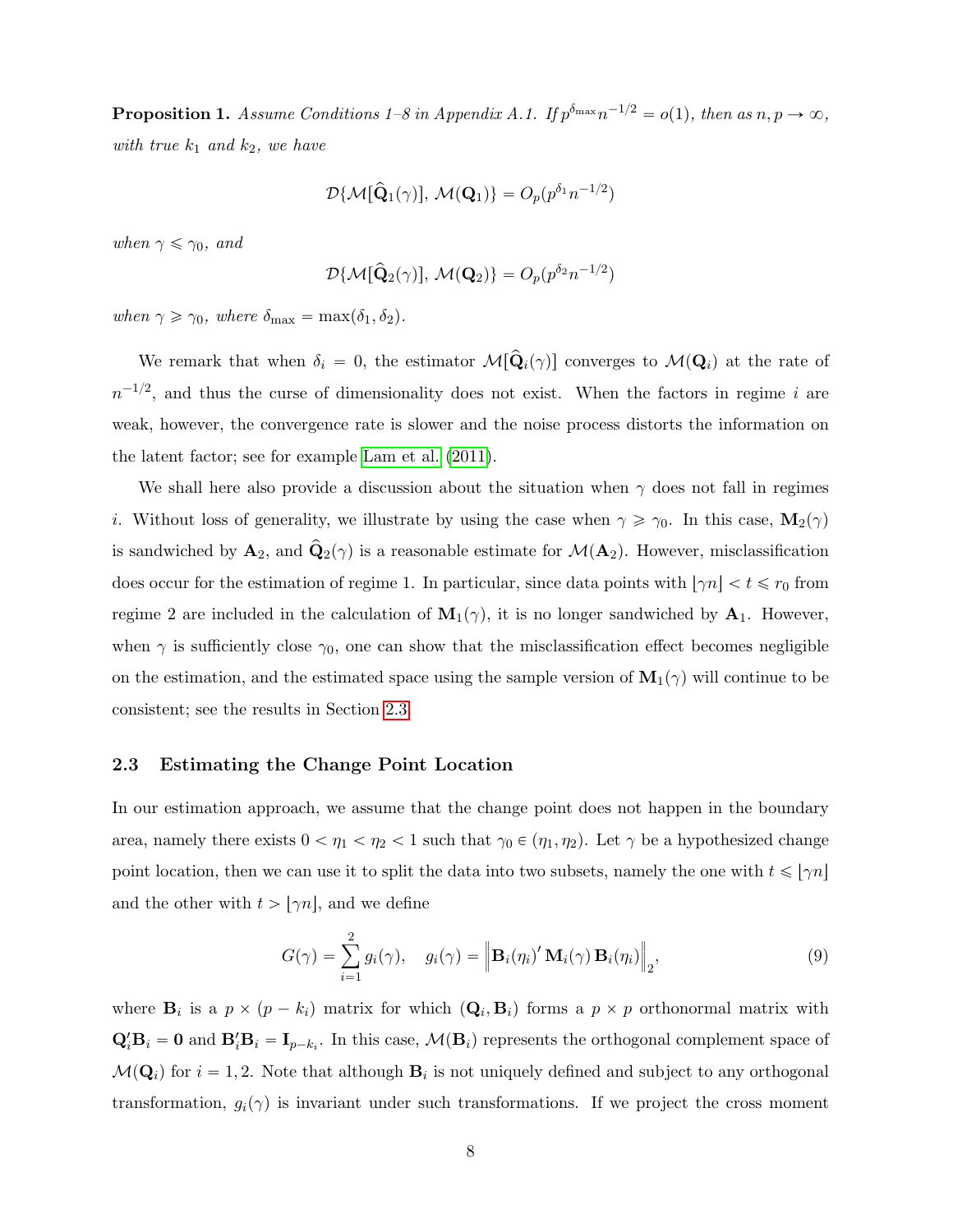<span id="page-7-1"></span>**Proposition 1.** Assume Conditions 1–8 in Appendix A.1. If  $p^{\delta_{\max}}n^{-1/2} = o(1)$ , then as  $n, p \to \infty$ , with true  $k_1$  and  $k_2$ , we have

$$
\mathcal{D}\{\mathcal{M}[\hat{\mathbf{Q}}_1(\gamma)],\,\mathcal{M}(\mathbf{Q}_1)\} = O_p(p^{\delta_1}n^{-1/2})
$$

when  $\gamma \leq \gamma_0$ , and

$$
\mathcal{D}\{\mathcal{M}[\hat{\mathbf{Q}}_2(\gamma)], \, \mathcal{M}(\mathbf{Q}_2)\} = O_p(p^{\delta_2}n^{-1/2})
$$

when  $\gamma \geq \gamma_0$ , where  $\delta_{\max} = \max(\delta_1, \delta_2)$ .

We remark that when  $\delta_i = 0$ , the estimator  $M[\hat{\mathbf{Q}}_i(\gamma)]$  converges to  $M(\mathbf{Q}_i)$  at the rate of  $n^{-1/2}$ , and thus the curse of dimensionality does not exist. When the factors in regime i are weak, however, the convergence rate is slower and the noise process distorts the information on the latent factor; see for example [Lam et al.](#page-34-0) [\(2011\)](#page-34-0).

We shall here also provide a discussion about the situation when  $\gamma$  does not fall in regimes *i*. Without loss of generality, we illustrate by using the case when  $\gamma \ge \gamma_0$ . In this case,  $\mathbf{M}_2(\gamma)$ is sandwiched by  $\mathbf{A}_2$ , and  $\mathbf{Q}_2(\gamma)$  is a reasonable estimate for  $\mathcal{M}(\mathbf{A}_2)$ . However, misclassification does occur for the estimation of regime 1. In particular, since data points with  $|\gamma n| < t \le r_0$  from regime 2 are included in the calculation of  $\mathbf{M}_1(\gamma)$ , it is no longer sandwiched by  $\mathbf{A}_1$ . However, when  $\gamma$  is sufficiently close  $\gamma_0$ , one can show that the misclassification effect becomes negligible on the estimation, and the estimated space using the sample version of  $\mathbf{M}_1(\gamma)$  will continue to be consistent; see the results in Section [2.3.](#page-7-0)

## <span id="page-7-0"></span>2.3 Estimating the Change Point Location

In our estimation approach, we assume that the change point does not happen in the boundary area, namely there exists  $0 < \eta_1 < \eta_2 < 1$  such that  $\gamma_0 \in (\eta_1, \eta_2)$ . Let  $\gamma$  be a hypothesized change point location, then we can use it to split the data into two subsets, namely the one with  $t \leq \lfloor \gamma n \rfloor$ and the other with  $t > \lfloor \gamma n \rfloor$ , and we define

$$
G(\gamma) = \sum_{i=1}^{2} g_i(\gamma), \quad g_i(\gamma) = \left\| \mathbf{B}_i(\eta_i)' \mathbf{M}_i(\gamma) \mathbf{B}_i(\eta_i) \right\|_2,
$$
\n(9)

where  $\mathbf{B}_i$  is a  $p \times (p - k_i)$  matrix for which  $(\mathbf{Q}_i, \mathbf{B}_i)$  forms a  $p \times p$  orthonormal matrix with  $\mathbf{Q}_i'\mathbf{B}_i = \mathbf{0}$  and  $\mathbf{B}_i'\mathbf{B}_i = \mathbf{I}_{p-k_i}$ . In this case,  $\mathcal{M}(\mathbf{B}_i)$  represents the orthogonal complement space of  $\mathcal{M}(\mathbf{Q}_i)$  for  $i = 1, 2$ . Note that although  $\mathbf{B}_i$  is not uniquely defined and subject to any orthogonal transformation,  $g_i(\gamma)$  is invariant under such transformations. If we project the cross moment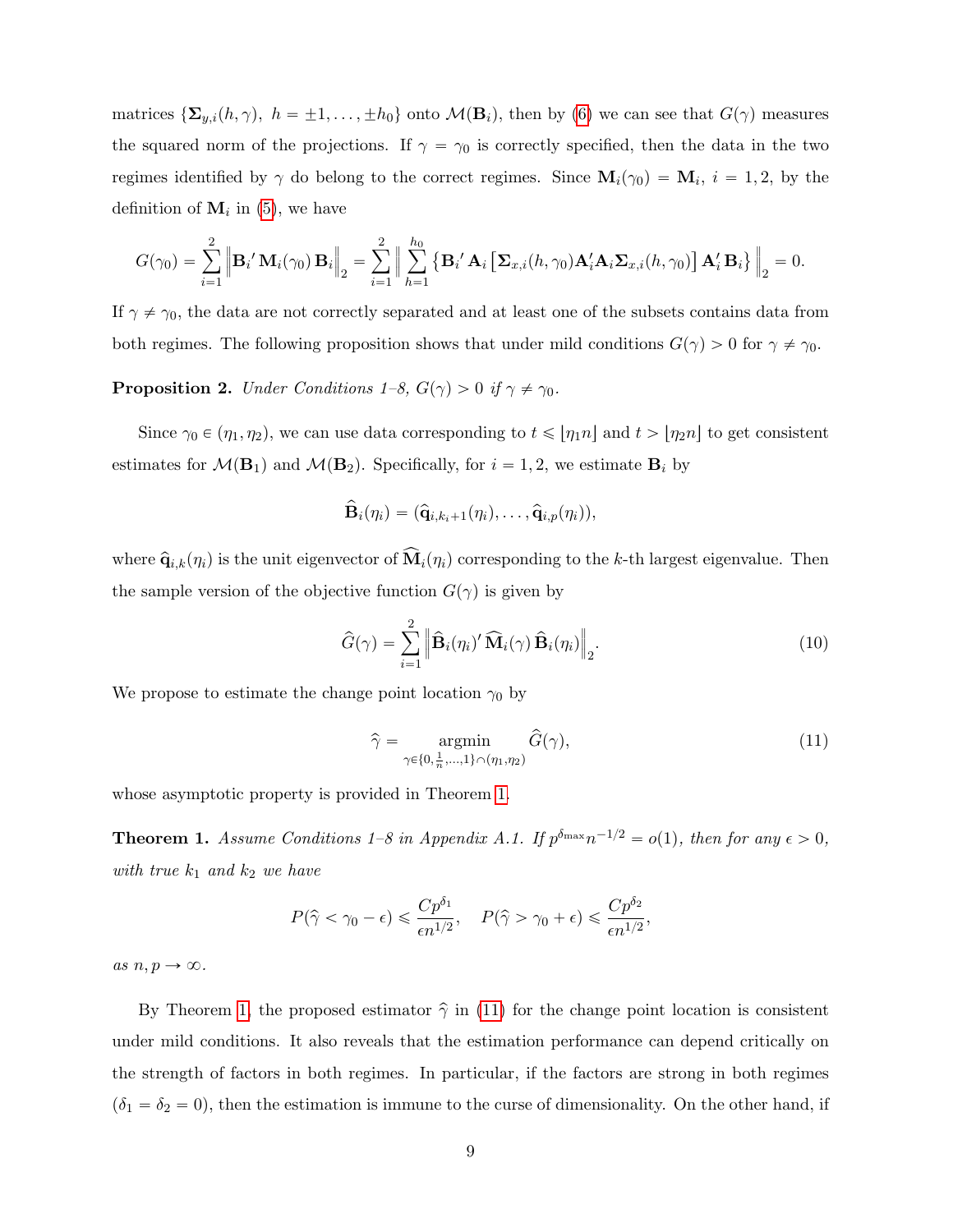matrices  $\{\mathbf\Sigma_{y,i}(h,\gamma),\ h = \pm 1,\ldots,\pm h_0\}$  onto  $\mathcal{M}(\mathbf{B}_i)$ , then by [\(6\)](#page-6-0) we can see that  $G(\gamma)$  measures the squared norm of the projections. If  $\gamma = \gamma_0$  is correctly specified, then the data in the two regimes identified by  $\gamma$  do belong to the correct regimes. Since  $\mathbf{M}_i(\gamma_0) = \mathbf{M}_i$ ,  $i = 1, 2$ , by the definition of  $M_i$  in [\(5\)](#page-6-1), we have

$$
G(\gamma_0) = \sum_{i=1}^2 \left\| \mathbf{B}_i' \mathbf{M}_i(\gamma_0) \mathbf{B}_i \right\|_2 = \sum_{i=1}^2 \left\| \sum_{h=1}^{h_0} \left\{ \mathbf{B}_i' \mathbf{A}_i \left[ \mathbf{\Sigma}_{x,i}(h,\gamma_0) \mathbf{A}_i' \mathbf{A}_i \mathbf{\Sigma}_{x,i}(h,\gamma_0) \right] \mathbf{A}_i' \mathbf{B}_i \right\} \right\|_2 = 0.
$$

If  $\gamma \neq \gamma_0$ , the data are not correctly separated and at least one of the subsets contains data from both regimes. The following proposition shows that under mild conditions  $G(\gamma) > 0$  for  $\gamma \neq \gamma_0$ .

**Proposition 2.** Under Conditions  $1-\delta$ ,  $G(\gamma) > 0$  if  $\gamma \neq \gamma_0$ .

Since  $\gamma_0 \in (\eta_1, \eta_2)$ , we can use data corresponding to  $t \leq \lfloor \eta_1 n \rfloor$  and  $t > \lfloor \eta_2 n \rfloor$  to get consistent estimates for  $\mathcal{M}(\mathbf{B}_1)$  and  $\mathcal{M}(\mathbf{B}_2)$ . Specifically, for  $i = 1, 2$ , we estimate  $\mathbf{B}_i$  by

$$
\widehat{\mathbf{B}}_i(\eta_i) = (\widehat{\mathbf{q}}_{i,k_i+1}(\eta_i),\ldots,\widehat{\mathbf{q}}_{i,p}(\eta_i)),
$$

where  $\hat{\mathbf{q}}_{i,k}(\eta_i)$  is the unit eigenvector of  $\widehat{\mathbf{M}}_i(\eta_i)$  corresponding to the k-th largest eigenvalue. Then the sample version of the objective function  $G(\gamma)$  is given by

$$
\widehat{G}(\gamma) = \sum_{i=1}^{2} \left\| \widehat{\mathbf{B}}_{i}(\eta_{i})' \widehat{\mathbf{M}}_{i}(\gamma) \widehat{\mathbf{B}}_{i}(\eta_{i}) \right\|_{2}.
$$
\n(10)

We propose to estimate the change point location  $\gamma_0$  by

<span id="page-8-1"></span>
$$
\widehat{\gamma} = \underset{\gamma \in \{0, \frac{1}{n}, \dots, 1\} \cap (\eta_1, \eta_2)}{\operatorname{argmin}} \widehat{G}(\gamma),\tag{11}
$$

whose asymptotic property is provided in Theorem [1.](#page-8-0)

<span id="page-8-0"></span>**Theorem 1.** Assume Conditions 1–8 in Appendix A.1. If  $p^{\delta_{\max}}n^{-1/2} = o(1)$ , then for any  $\epsilon > 0$ , with true  $k_1$  and  $k_2$  we have

$$
P(\hat{\gamma} < \gamma_0 - \epsilon) \leq \frac{Cp^{\delta_1}}{\epsilon n^{1/2}}, \quad P(\hat{\gamma} > \gamma_0 + \epsilon) \leq \frac{Cp^{\delta_2}}{\epsilon n^{1/2}},
$$

as  $n, p \rightarrow \infty$ .

By Theorem [1,](#page-8-0) the proposed estimator  $\hat{\gamma}$  in [\(11\)](#page-8-1) for the change point location is consistent under mild conditions. It also reveals that the estimation performance can depend critically on the strength of factors in both regimes. In particular, if the factors are strong in both regimes  $(\delta_1 = \delta_2 = 0)$ , then the estimation is immune to the curse of dimensionality. On the other hand, if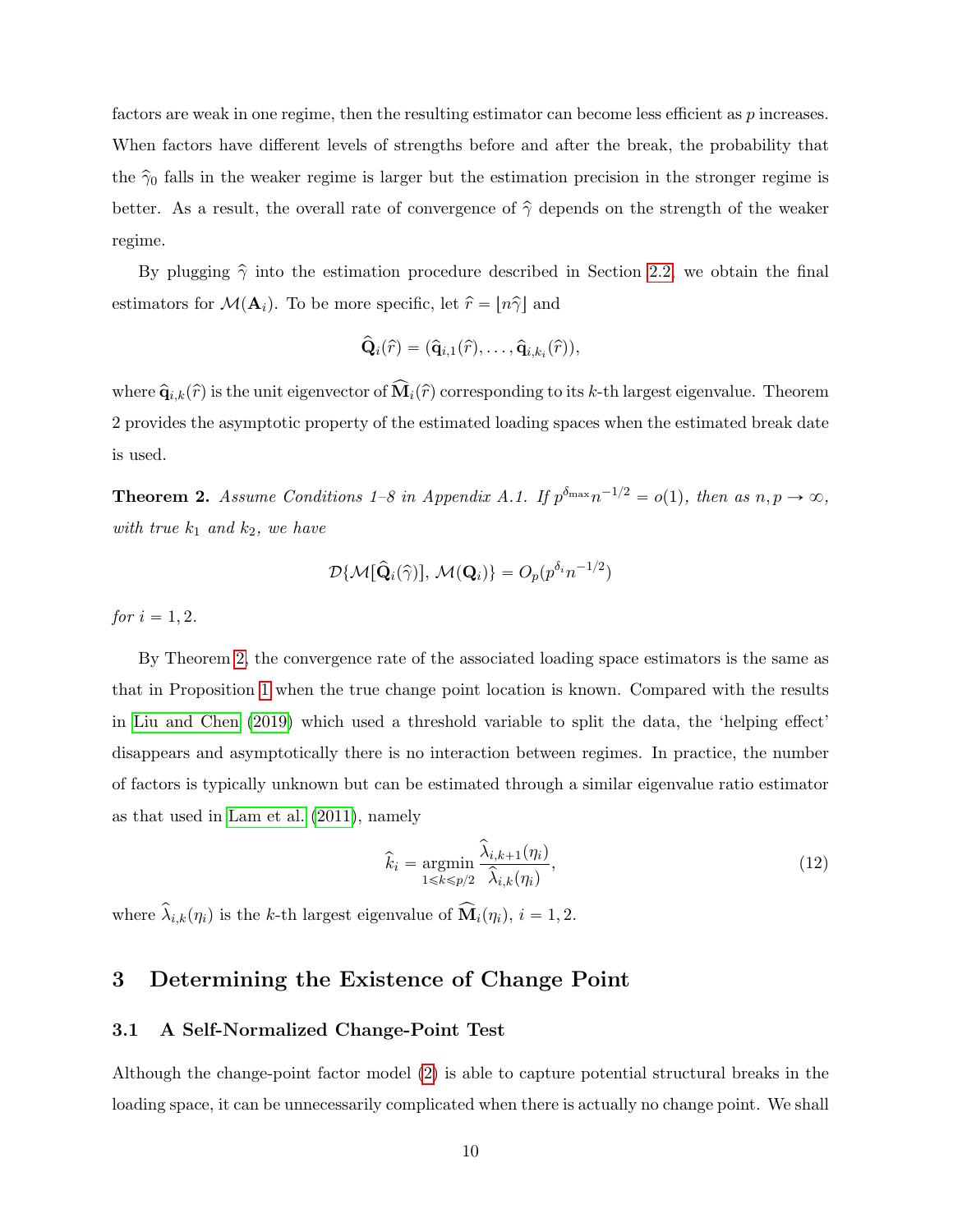factors are weak in one regime, then the resulting estimator can become less efficient as  $p$  increases. When factors have different levels of strengths before and after the break, the probability that the  $\hat{\gamma}_0$  falls in the weaker regime is larger but the estimation precision in the stronger regime is better. As a result, the overall rate of convergence of  $\hat{\gamma}$  depends on the strength of the weaker regime.

By plugging  $\hat{\gamma}$  into the estimation procedure described in Section [2.2,](#page-4-0) we obtain the final estimators for  $\mathcal{M}(\mathbf{A}_i)$ . To be more specific, let  $\hat{r} = [n\hat{\gamma}]$  and

$$
\widehat{\mathbf{Q}}_i(\widehat{r}) = (\widehat{\mathbf{q}}_{i,1}(\widehat{r}), \ldots, \widehat{\mathbf{q}}_{i,k_i}(\widehat{r})),
$$

where  $\hat{\mathbf{q}}_{i,k}(\hat{r})$  is the unit eigenvector of  $\widehat{\mathbf{M}}_i(\hat{r})$  corresponding to its k-th largest eigenvalue. Theorem 2 provides the asymptotic property of the estimated loading spaces when the estimated break date is used.

<span id="page-9-1"></span>**Theorem 2.** Assume Conditions 1–8 in Appendix A.1. If  $p^{\delta_{\max}}n^{-1/2} = o(1)$ , then as  $n, p \to \infty$ , with true  $k_1$  and  $k_2$ , we have

$$
\mathcal{D}{\{\mathcal{M}[\widehat{\mathbf{Q}}_{i}(\widehat{\gamma})],\,\mathcal{M}(\mathbf{Q}_{i})\}}=O_{p}(p^{\delta_{i}}n^{-1/2})
$$

*for*  $i = 1, 2$ .

By Theorem [2,](#page-9-1) the convergence rate of the associated loading space estimators is the same as that in Proposition [1](#page-7-1) when the true change point location is known. Compared with the results in [Liu and Chen](#page-34-3) [\(2019\)](#page-34-3) which used a threshold variable to split the data, the 'helping effect' disappears and asymptotically there is no interaction between regimes. In practice, the number of factors is typically unknown but can be estimated through a similar eigenvalue ratio estimator as that used in [Lam et al.](#page-34-0) [\(2011\)](#page-34-0), namely

$$
\hat{k}_i = \underset{1 \le k \le p/2}{\operatorname{argmin}} \frac{\hat{\lambda}_{i,k+1}(\eta_i)}{\hat{\lambda}_{i,k}(\eta_i)},
$$
\n(12)

where  $\hat{\lambda}_{i,k}(\eta_i)$  is the k-th largest eigenvalue of  $\widehat{\mathbf{M}}_i(\eta_i)$ ,  $i = 1, 2$ .

# <span id="page-9-2"></span>3 Determining the Existence of Change Point

## <span id="page-9-0"></span>3.1 A Self-Normalized Change-Point Test

Although the change-point factor model [\(2\)](#page-3-2) is able to capture potential structural breaks in the loading space, it can be unnecessarily complicated when there is actually no change point. We shall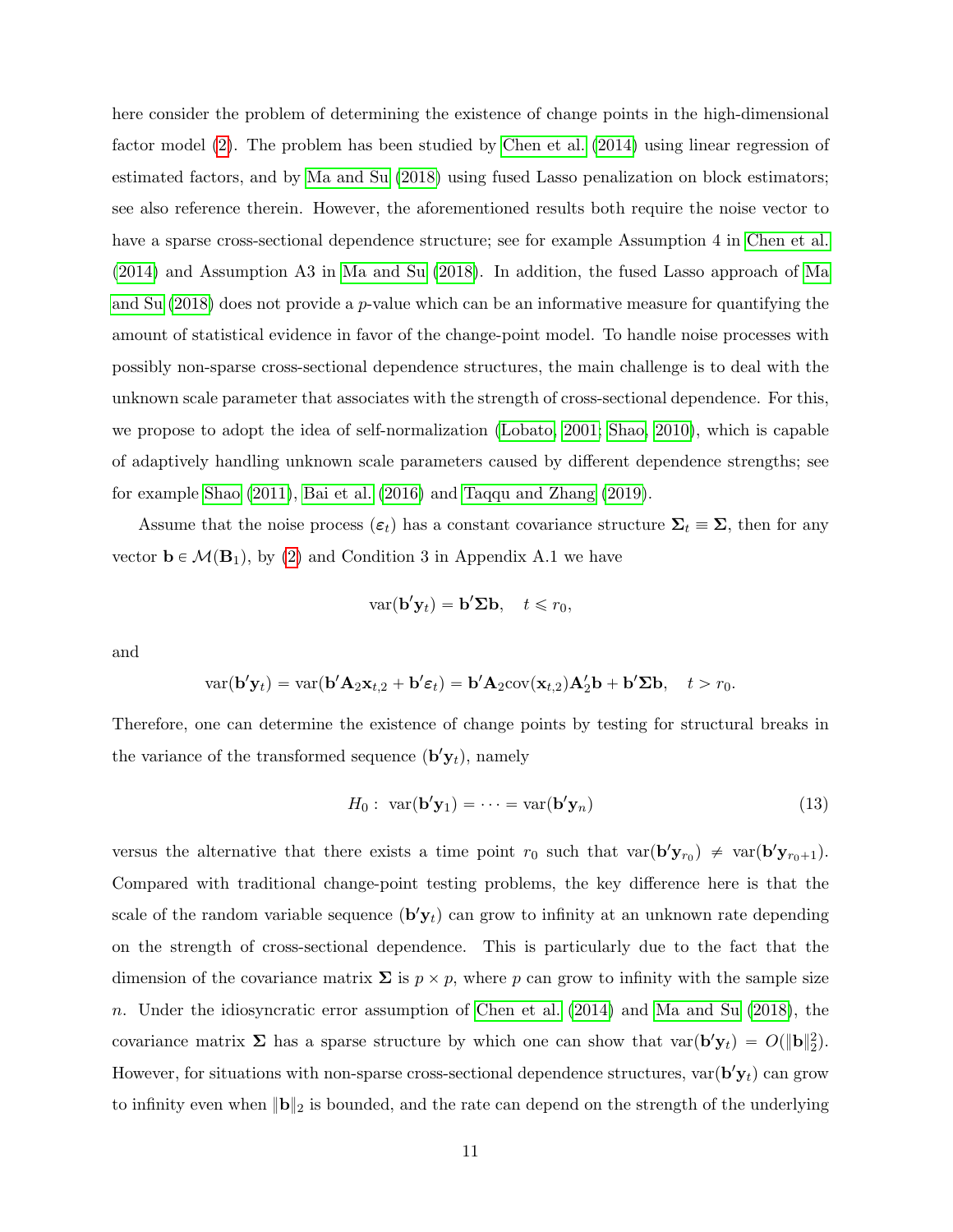here consider the problem of determining the existence of change points in the high-dimensional factor model [\(2\)](#page-3-2). The problem has been studied by [Chen et al.](#page-33-6) [\(2014\)](#page-33-6) using linear regression of estimated factors, and by [Ma and Su](#page-34-5) [\(2018\)](#page-34-5) using fused Lasso penalization on block estimators; see also reference therein. However, the aforementioned results both require the noise vector to have a sparse cross-sectional dependence structure; see for example Assumption 4 in [Chen et al.](#page-33-6) [\(2014\)](#page-33-6) and Assumption A3 in [Ma and Su](#page-34-5) [\(2018\)](#page-34-5). In addition, the fused Lasso approach of [Ma](#page-34-5) [and Su](#page-34-5)  $(2018)$  does not provide a p-value which can be an informative measure for quantifying the amount of statistical evidence in favor of the change-point model. To handle noise processes with possibly non-sparse cross-sectional dependence structures, the main challenge is to deal with the unknown scale parameter that associates with the strength of cross-sectional dependence. For this, we propose to adopt the idea of self-normalization [\(Lobato, 2001;](#page-34-10) [Shao, 2010\)](#page-35-2), which is capable of adaptively handling unknown scale parameters caused by different dependence strengths; see for example [Shao](#page-35-3) [\(2011\)](#page-35-3), [Bai et al.](#page-33-11) [\(2016\)](#page-33-11) and [Taqqu and Zhang](#page-35-4) [\(2019\)](#page-35-4).

Assume that the noise process  $(\epsilon_t)$  has a constant covariance structure  $\Sigma_t \equiv \Sigma$ , then for any vector  $\mathbf{b} \in \mathcal{M}(\mathbf{B}_1)$ , by [\(2\)](#page-3-2) and Condition 3 in Appendix A.1 we have

$$
\text{var}(\mathbf{b}'\mathbf{y}_t) = \mathbf{b}'\mathbf{\Sigma}\mathbf{b}, \quad t \leq r_0,
$$

and

$$
\text{var}(\mathbf{b}'\mathbf{y}_t) = \text{var}(\mathbf{b}'\mathbf{A}_2\mathbf{x}_{t,2} + \mathbf{b}'\boldsymbol{\varepsilon}_t) = \mathbf{b}'\mathbf{A}_2 \text{cov}(\mathbf{x}_{t,2})\mathbf{A}'_2\mathbf{b} + \mathbf{b}'\boldsymbol{\Sigma}\mathbf{b}, \quad t > r_0.
$$

Therefore, one can determine the existence of change points by testing for structural breaks in the variance of the transformed sequence  $(\mathbf{b}' \mathbf{y}_t)$ , namely

<span id="page-10-0"></span>
$$
H_0: \operatorname{var}(\mathbf{b}'\mathbf{y}_1) = \dots = \operatorname{var}(\mathbf{b}'\mathbf{y}_n) \tag{13}
$$

versus the alternative that there exists a time point  $r_0$  such that  $var(\mathbf{b}'\mathbf{y}_{r_0}) \neq var(\mathbf{b}'\mathbf{y}_{r_0+1})$ . Compared with traditional change-point testing problems, the key difference here is that the scale of the random variable sequence  $(\mathbf{b}'\mathbf{y}_t)$  can grow to infinity at an unknown rate depending on the strength of cross-sectional dependence. This is particularly due to the fact that the dimension of the covariance matrix  $\Sigma$  is  $p \times p$ , where p can grow to infinity with the sample size n. Under the idiosyncratic error assumption of [Chen et al.](#page-33-6) [\(2014\)](#page-33-6) and [Ma and Su](#page-34-5) [\(2018\)](#page-34-5), the covariance matrix  $\Sigma$  has a sparse structure by which one can show that  $var(\mathbf{b}'\mathbf{y}_t) = O(\|\mathbf{b}\|_2^2)$ . However, for situations with non-sparse cross-sectional dependence structures,  $\text{var}(\mathbf{b}'\mathbf{y}_t)$  can grow to infinity even when  $\|\mathbf{b}\|_2$  is bounded, and the rate can depend on the strength of the underlying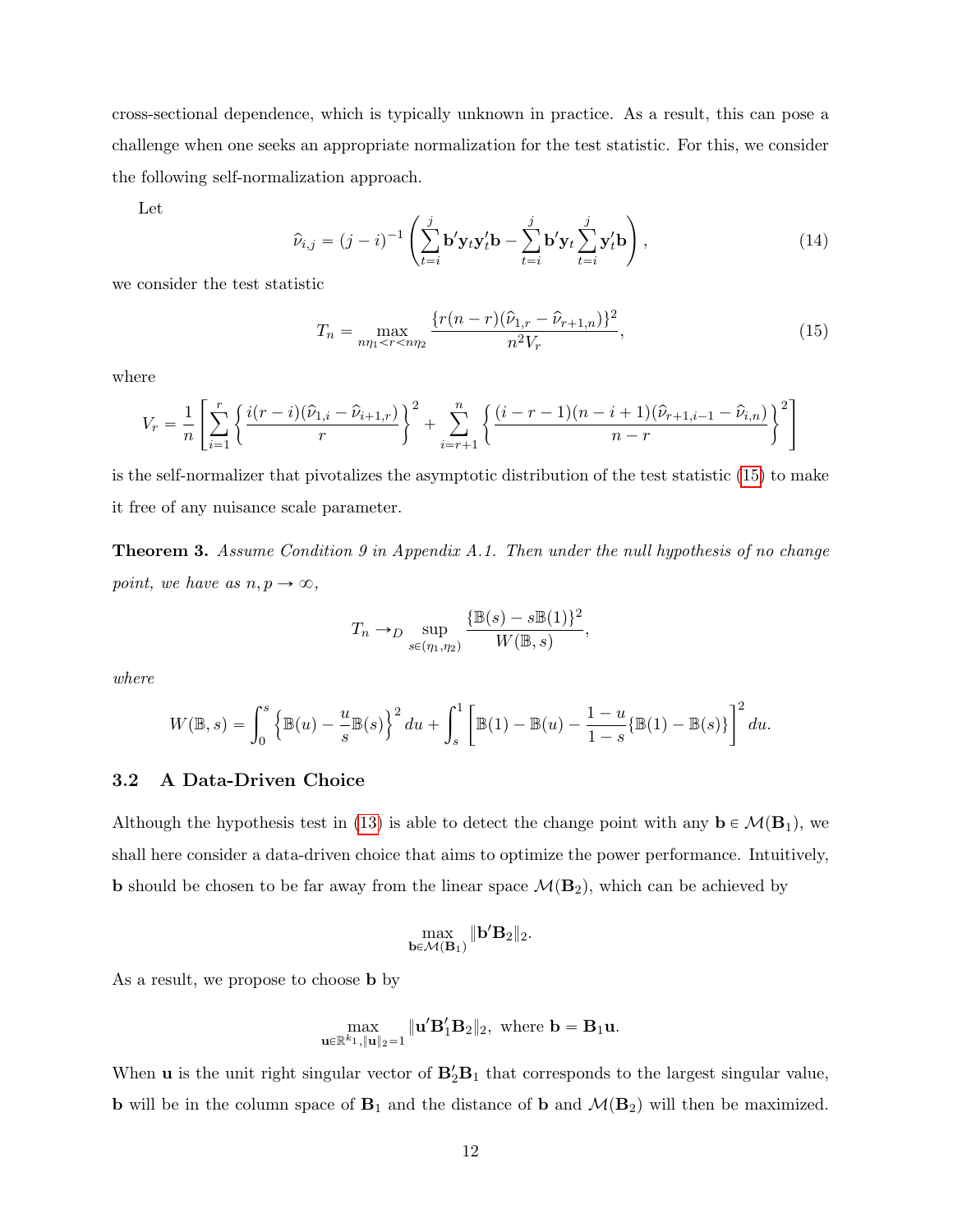cross-sectional dependence, which is typically unknown in practice. As a result, this can pose a challenge when one seeks an appropriate normalization for the test statistic. For this, we consider the following self-normalization approach.

Let

<span id="page-11-2"></span>
$$
\hat{\nu}_{i,j} = (j-i)^{-1} \left( \sum_{t=i}^{j} \mathbf{b}' \mathbf{y}_t \mathbf{y}_t' \mathbf{b} - \sum_{t=i}^{j} \mathbf{b}' \mathbf{y}_t \sum_{t=i}^{j} \mathbf{y}_t' \mathbf{b} \right),
$$
\n(14)

we consider the test statistic

<span id="page-11-1"></span>
$$
T_n = \max_{n\eta_1 < r < n\eta_2} \frac{\{r(n-r)(\hat{\nu}_{1,r} - \hat{\nu}_{r+1,n})\}^2}{n^2 V_r},\tag{15}
$$

where

$$
V_r = \frac{1}{n} \left[ \sum_{i=1}^r \left\{ \frac{i(r-i)(\hat{\nu}_{1,i} - \hat{\nu}_{i+1,r})}{r} \right\}^2 + \sum_{i=r+1}^n \left\{ \frac{(i-r-1)(n-i+1)(\hat{\nu}_{r+1,i-1} - \hat{\nu}_{i,n})}{n-r} \right\}^2 \right]
$$

is the self-normalizer that pivotalizes the asymptotic distribution of the test statistic [\(15\)](#page-11-1) to make it free of any nuisance scale parameter.

<span id="page-11-3"></span>Theorem 3. Assume Condition 9 in Appendix A.1. Then under the null hypothesis of no change point, we have as  $n, p \rightarrow \infty$ ,

$$
T_n \to_D \sup_{s \in (\eta_1, \eta_2)} \frac{\{\mathbb{B}(s) - s\mathbb{B}(1)\}^2}{W(\mathbb{B}, s)},
$$

where

$$
W(\mathbb{B},s) = \int_0^s \left\{ \mathbb{B}(u) - \frac{u}{s} \mathbb{B}(s) \right\}^2 du + \int_s^1 \left[ \mathbb{B}(1) - \mathbb{B}(u) - \frac{1-u}{1-s} \{ \mathbb{B}(1) - \mathbb{B}(s) \} \right]^2 du.
$$

#### <span id="page-11-0"></span>3.2 A Data-Driven Choice

Although the hypothesis test in [\(13\)](#page-10-0) is able to detect the change point with any  $\mathbf{b} \in \mathcal{M}(\mathbf{B}_1)$ , we shall here consider a data-driven choice that aims to optimize the power performance. Intuitively, **b** should be chosen to be far away from the linear space  $\mathcal{M}(\mathbf{B}_2)$ , which can be achieved by

$$
\max_{\mathbf{b}\in \mathcal{M}(\mathbf{B}_1)}\|\mathbf{b}'\mathbf{B}_2\|_2.
$$

As a result, we propose to choose **b** by

$$
\max_{\mathbf{u}\in\mathbb{R}^{k_1},\|\mathbf{u}\|_2=1}\|\mathbf{u}'\mathbf{B}_1'\mathbf{B}_2\|_2, \text{ where } \mathbf{b}=\mathbf{B}_1\mathbf{u}.
$$

When **u** is the unit right singular vector of  $\mathbf{B}'_2\mathbf{B}_1$  that corresponds to the largest singular value, **b** will be in the column space of  $B_1$  and the distance of **b** and  $\mathcal{M}(B_2)$  will then be maximized.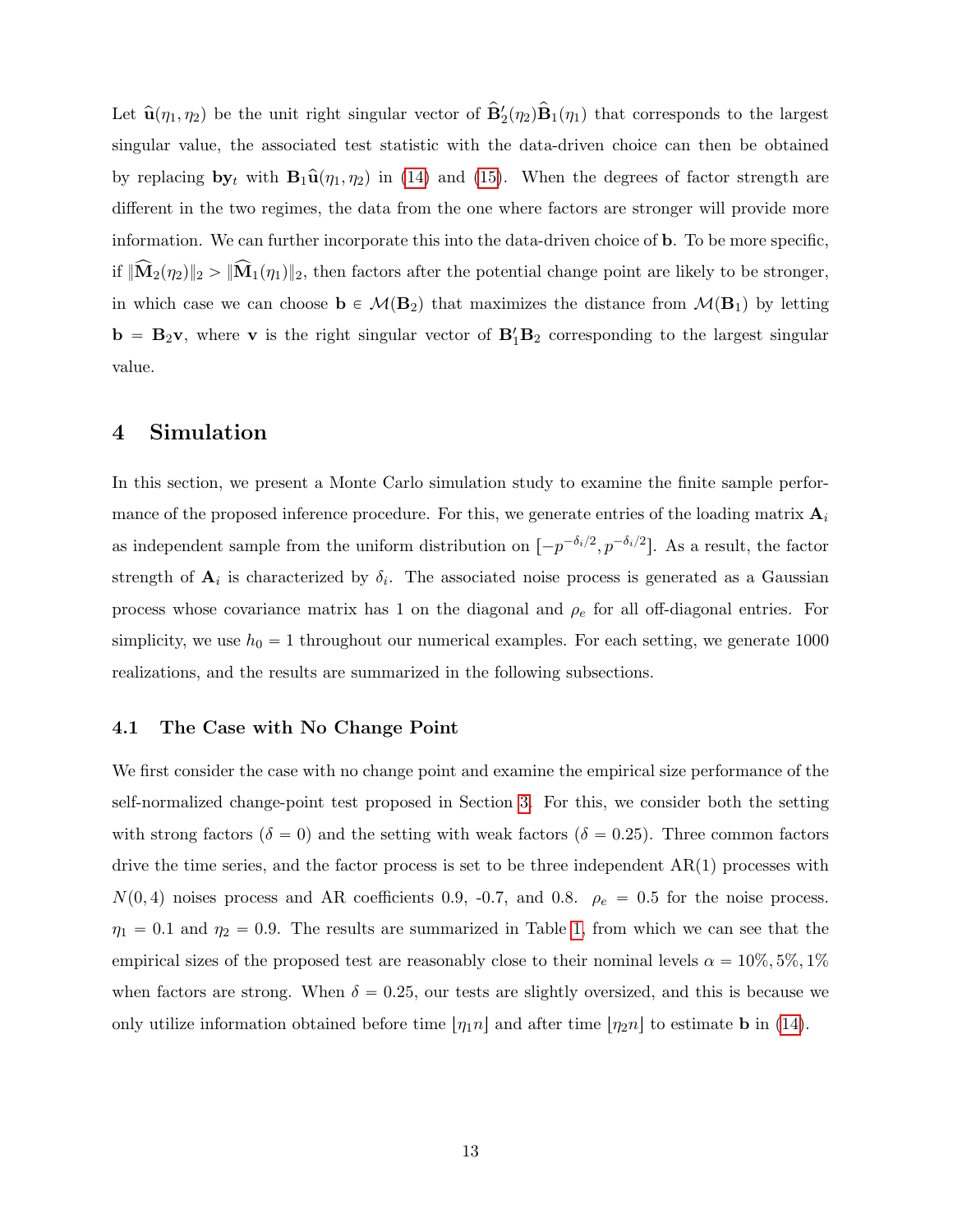Let  $\hat{\mathbf{u}}(\eta_1, \eta_2)$  be the unit right singular vector of  $\hat{\mathbf{B}}'_2(\eta_2)\hat{\mathbf{B}}_1(\eta_1)$  that corresponds to the largest singular value, the associated test statistic with the data-driven choice can then be obtained by replacing  $\mathbf{b}y_t$  with  $\mathbf{B}_1\hat{\mathbf{u}}(\eta_1, \eta_2)$  in [\(14\)](#page-11-2) and [\(15\)](#page-11-1). When the degrees of factor strength are different in the two regimes, the data from the one where factors are stronger will provide more information. We can further incorporate this into the data-driven choice of b. To be more specific, if  $\|\widehat{\mathbf{M}}_2(\eta_2)\|_2 > \|\widehat{\mathbf{M}}_1(\eta_1)\|_2$ , then factors after the potential change point are likely to be stronger, in which case we can choose  $\mathbf{b} \in \mathcal{M}(\mathbf{B}_2)$  that maximizes the distance from  $\mathcal{M}(\mathbf{B}_1)$  by letting  $\mathbf{b} = \mathbf{B}_2 \mathbf{v}$ , where **v** is the right singular vector of  $\mathbf{B}'_1 \mathbf{B}_2$  corresponding to the largest singular value.

## <span id="page-12-0"></span>4 Simulation

In this section, we present a Monte Carlo simulation study to examine the finite sample performance of the proposed inference procedure. For this, we generate entries of the loading matrix  $A_i$ as independent sample from the uniform distribution on  $[-p^{-\delta_i/2}, p^{-\delta_i/2}]$ . As a result, the factor strength of  $A_i$  is characterized by  $\delta_i$ . The associated noise process is generated as a Gaussian process whose covariance matrix has 1 on the diagonal and  $\rho_e$  for all off-diagonal entries. For simplicity, we use  $h_0 = 1$  throughout our numerical examples. For each setting, we generate 1000 realizations, and the results are summarized in the following subsections.

## <span id="page-12-1"></span>4.1 The Case with No Change Point

We first consider the case with no change point and examine the empirical size performance of the self-normalized change-point test proposed in Section [3.](#page-9-2) For this, we consider both the setting with strong factors ( $\delta = 0$ ) and the setting with weak factors ( $\delta = 0.25$ ). Three common factors drive the time series, and the factor process is set to be three independent  $AR(1)$  processes with  $N(0, 4)$  noises process and AR coefficients 0.9, -0.7, and 0.8.  $\rho_e = 0.5$  for the noise process.  $\eta_1 = 0.1$  and  $\eta_2 = 0.9$ . The results are summarized in Table [1,](#page-13-0) from which we can see that the empirical sizes of the proposed test are reasonably close to their nominal levels  $\alpha = 10\%, 5\%, 1\%$ when factors are strong. When  $\delta = 0.25$ , our tests are slightly oversized, and this is because we only utilize information obtained before time  $|\eta_1 n|$  and after time  $|\eta_2 n|$  to estimate b in [\(14\)](#page-11-2).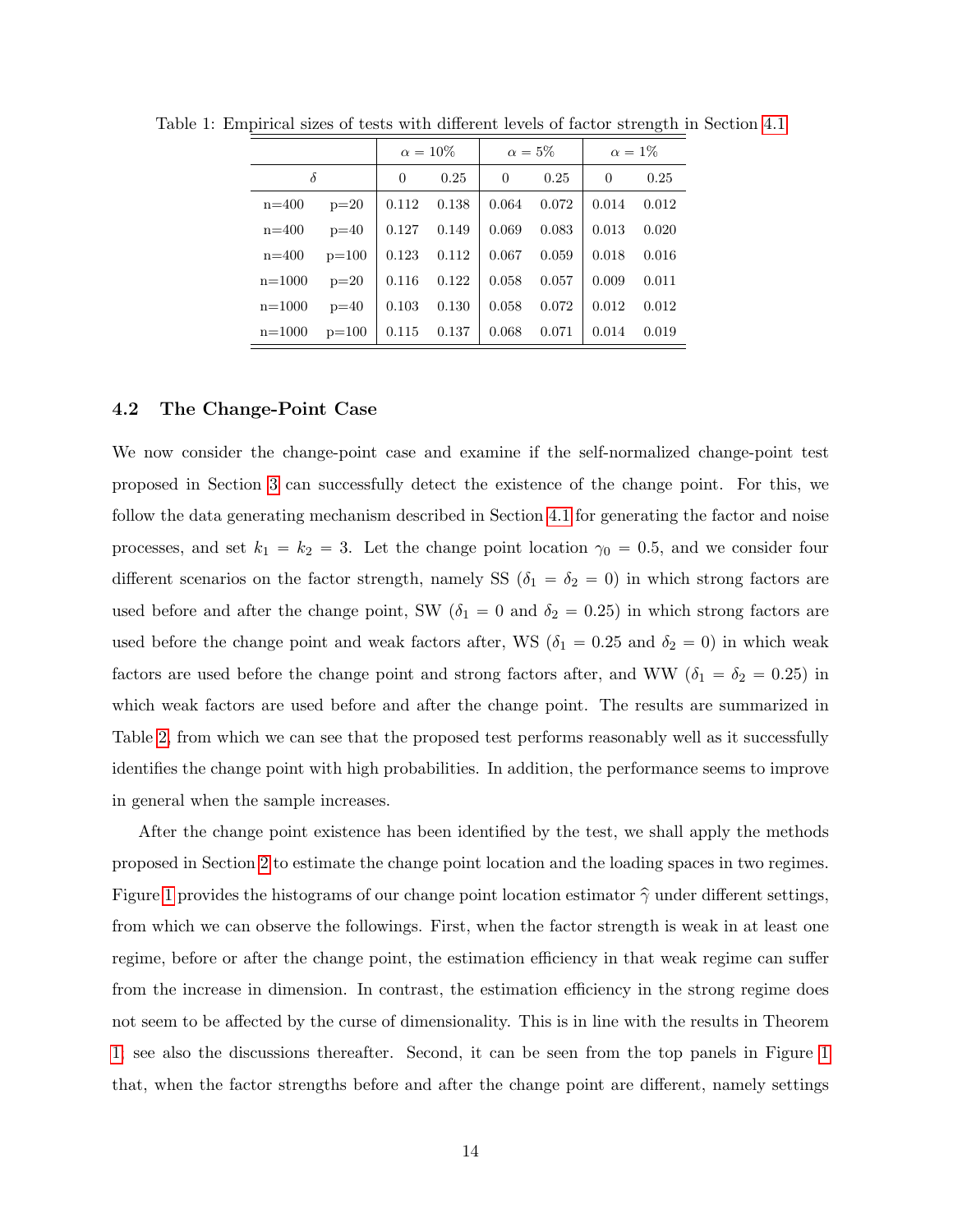<span id="page-13-0"></span>

|            |         |          | $\alpha = 10\%$ |          | $\alpha=5\%$ |          | $\alpha = 1\%$ |
|------------|---------|----------|-----------------|----------|--------------|----------|----------------|
| δ          |         | $\Omega$ | 0.25            | $\Omega$ | 0.25         | $\Omega$ | 0.25           |
| $n = 400$  | $p=20$  | 0.112    | 0.138           | 0.064    | 0.072        | 0.014    | 0.012          |
| $n = 400$  | $p=40$  | 0.127    | 0.149           | 0.069    | 0.083        | 0.013    | 0.020          |
| $n = 400$  | $p=100$ | 0.123    | 0.112           | 0.067    | 0.059        | 0.018    | 0.016          |
| $n = 1000$ | $p=20$  | 0.116    | 0.122           | 0.058    | 0.057        | 0.009    | 0.011          |
| $n = 1000$ | $p=40$  | 0.103    | 0.130           | 0.058    | 0.072        | 0.012    | 0.012          |
| $n = 1000$ | $p=100$ | 0.115    | 0.137           | 0.068    | 0.071        | 0.014    | 0.019          |

Table 1: Empirical sizes of tests with different levels of factor strength in Section [4.1](#page-12-1)

### <span id="page-13-1"></span>4.2 The Change-Point Case

We now consider the change-point case and examine if the self-normalized change-point test proposed in Section [3](#page-9-2) can successfully detect the existence of the change point. For this, we follow the data generating mechanism described in Section [4.1](#page-12-1) for generating the factor and noise processes, and set  $k_1 = k_2 = 3$ . Let the change point location  $\gamma_0 = 0.5$ , and we consider four different scenarios on the factor strength, namely SS ( $\delta_1 = \delta_2 = 0$ ) in which strong factors are used before and after the change point, SW ( $\delta_1 = 0$  and  $\delta_2 = 0.25$ ) in which strong factors are used before the change point and weak factors after, WS ( $\delta_1 = 0.25$  and  $\delta_2 = 0$ ) in which weak factors are used before the change point and strong factors after, and WW ( $\delta_1 = \delta_2 = 0.25$ ) in which weak factors are used before and after the change point. The results are summarized in Table [2,](#page-14-0) from which we can see that the proposed test performs reasonably well as it successfully identifies the change point with high probabilities. In addition, the performance seems to improve in general when the sample increases.

After the change point existence has been identified by the test, we shall apply the methods proposed in Section [2](#page-3-0) to estimate the change point location and the loading spaces in two regimes. Figure [1](#page-15-0) provides the histograms of our change point location estimator  $\hat{\gamma}$  under different settings, from which we can observe the followings. First, when the factor strength is weak in at least one regime, before or after the change point, the estimation efficiency in that weak regime can suffer from the increase in dimension. In contrast, the estimation efficiency in the strong regime does not seem to be affected by the curse of dimensionality. This is in line with the results in Theorem [1;](#page-8-0) see also the discussions thereafter. Second, it can be seen from the top panels in Figure [1](#page-15-0) that, when the factor strengths before and after the change point are different, namely settings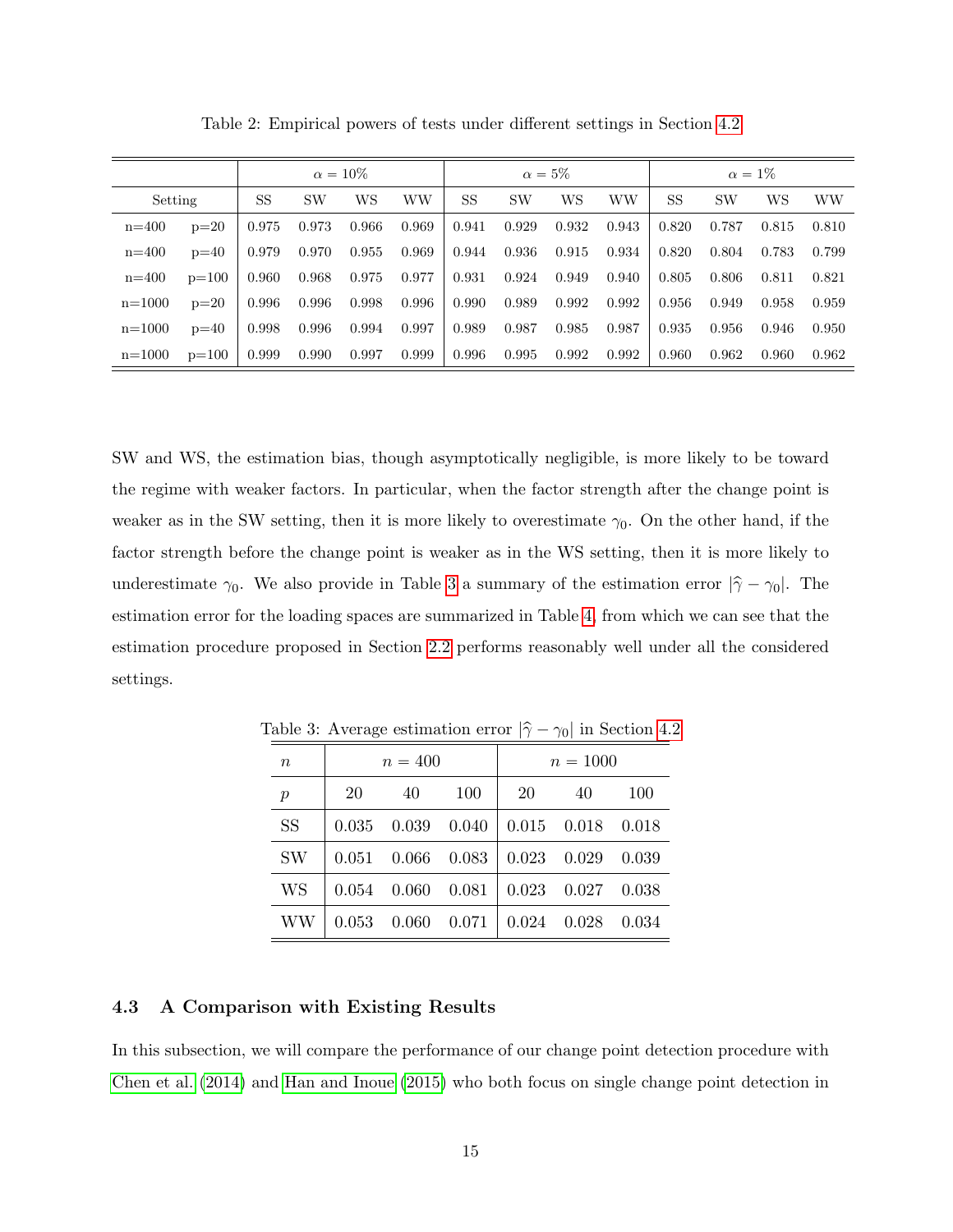|            |         |           |           | $\alpha = 10\%$ |       |       |           | $\alpha = 5\%$ |           |           |           | $\alpha=1\%$ |           |
|------------|---------|-----------|-----------|-----------------|-------|-------|-----------|----------------|-----------|-----------|-----------|--------------|-----------|
| Setting    |         | <b>SS</b> | <b>SW</b> | WS              | WW    | SS    | <b>SW</b> | WS             | <b>WW</b> | <b>SS</b> | <b>SW</b> | WS           | <b>WW</b> |
| $n = 400$  | $p=20$  | 0.975     | 0.973     | 0.966           | 0.969 | 0.941 | 0.929     | 0.932          | 0.943     | 0.820     | 0.787     | 0.815        | 0.810     |
| $n = 400$  | $p=40$  | 0.979     | 0.970     | 0.955           | 0.969 | 0.944 | 0.936     | 0.915          | 0.934     | 0.820     | 0.804     | 0.783        | 0.799     |
| $n = 400$  | $p=100$ | 0.960     | 0.968     | 0.975           | 0.977 | 0.931 | 0.924     | 0.949          | 0.940     | 0.805     | 0.806     | 0.811        | 0.821     |
| $n = 1000$ | $p=20$  | 0.996     | 0.996     | 0.998           | 0.996 | 0.990 | 0.989     | 0.992          | 0.992     | 0.956     | 0.949     | 0.958        | 0.959     |
| $n = 1000$ | $p=40$  | 0.998     | 0.996     | 0.994           | 0.997 | 0.989 | 0.987     | 0.985          | 0.987     | 0.935     | 0.956     | 0.946        | 0.950     |
| $n = 1000$ | $p=100$ | 0.999     | 0.990     | 0.997           | 0.999 | 0.996 | 0.995     | 0.992          | 0.992     | 0.960     | 0.962     | 0.960        | 0.962     |

<span id="page-14-0"></span>Table 2: Empirical powers of tests under different settings in Section [4.2](#page-13-1)

SW and WS, the estimation bias, though asymptotically negligible, is more likely to be toward the regime with weaker factors. In particular, when the factor strength after the change point is weaker as in the SW setting, then it is more likely to overestimate  $\gamma_0$ . On the other hand, if the factor strength before the change point is weaker as in the WS setting, then it is more likely to underestimate  $\gamma_0$ . We also provide in Table [3](#page-14-1) a summary of the estimation error  $|\hat{\gamma} - \gamma_0|$ . The estimation error for the loading spaces are summarized in Table [4,](#page-15-1) from which we can see that the estimation procedure proposed in Section [2.2](#page-4-0) performs reasonably well under all the considered settings.

| $\boldsymbol{n}$ |       | $n = 400$ |                                                   |    | $n = 1000$              |     |
|------------------|-------|-----------|---------------------------------------------------|----|-------------------------|-----|
| $\boldsymbol{p}$ | 20    | 40        | 100                                               | 20 | 40                      | 100 |
| <b>SS</b>        | 0.035 |           | $0.039$ $0.040$   $0.015$ $0.018$ $0.018$         |    |                         |     |
| <b>SW</b>        |       |           | $0.051$ $0.066$ $0.083$                           |    | $0.023$ $0.029$ $0.039$ |     |
| <b>WS</b>        |       |           | $0.054$ $0.060$ $0.081$   $0.023$ $0.027$ $0.038$ |    |                         |     |
| WW               |       |           | $0.053$ $0.060$ $0.071$ $0.024$ $0.028$ $0.034$   |    |                         |     |

<span id="page-14-1"></span>Table 3: Average estimation error  $|\hat{\gamma} - \gamma_0|$  in Section [4.2](#page-13-1)

## <span id="page-14-2"></span>4.3 A Comparison with Existing Results

In this subsection, we will compare the performance of our change point detection procedure with [Chen et al.](#page-33-6) [\(2014\)](#page-33-6) and [Han and Inoue](#page-34-4) [\(2015\)](#page-34-4) who both focus on single change point detection in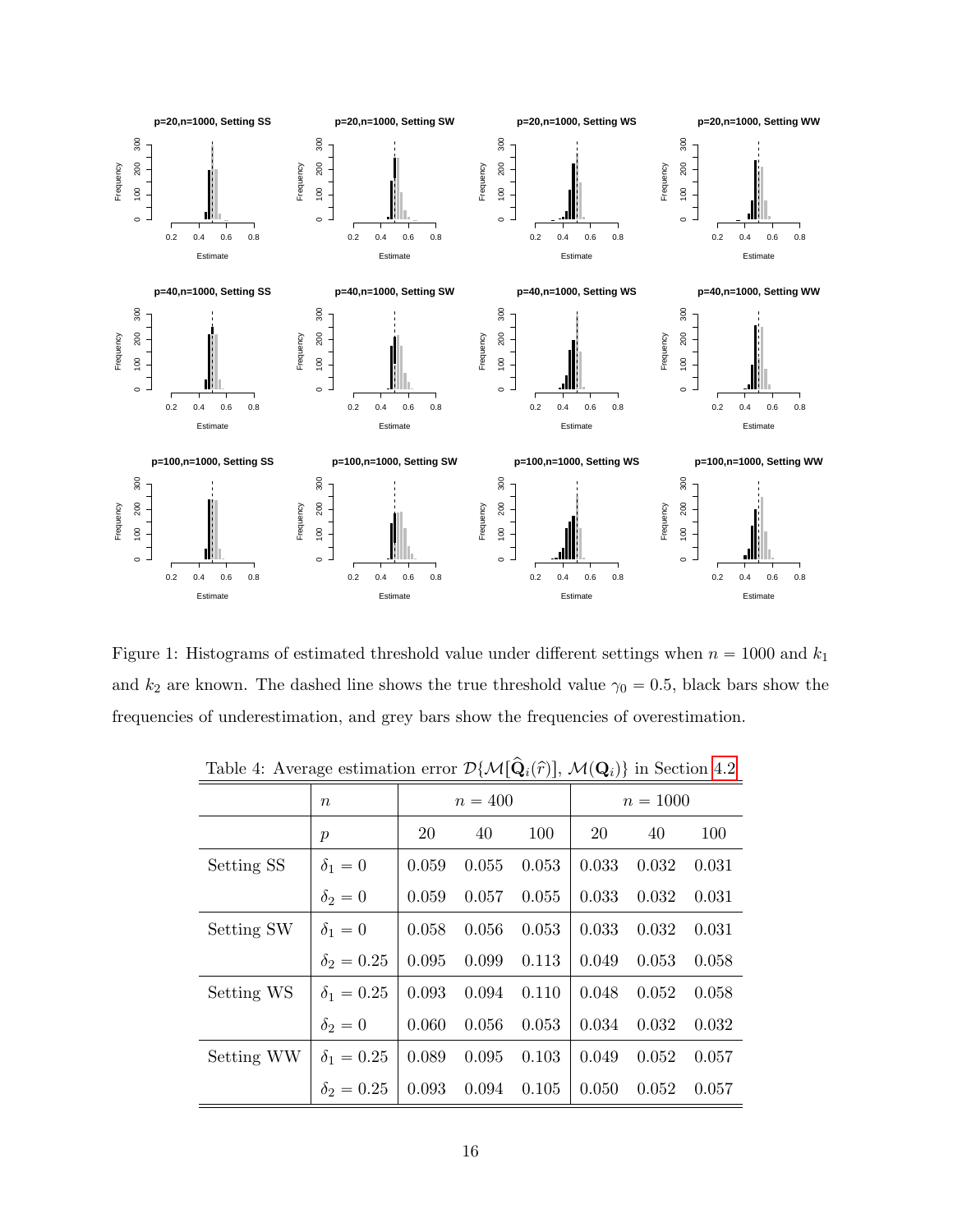

<span id="page-15-0"></span>Figure 1: Histograms of estimated threshold value under different settings when  $n = 1000$  and  $k_1$ and  $k_2$  are known. The dashed line shows the true threshold value  $\gamma_0 = 0.5$ , black bars show the frequencies of underestimation, and grey bars show the frequencies of overestimation.

|            |                   | $\sqrt{2}$ |           |       |       |            |       |
|------------|-------------------|------------|-----------|-------|-------|------------|-------|
|            | $\boldsymbol{n}$  |            | $n = 400$ |       |       | $n = 1000$ |       |
|            | $\boldsymbol{p}$  | 20         | 40        | 100   | 20    | 40         | 100   |
| Setting SS | $\delta_1=0$      | 0.059      | 0.055     | 0.053 | 0.033 | 0.032      | 0.031 |
|            | $\delta_2=0$      | 0.059      | 0.057     | 0.055 | 0.033 | 0.032      | 0.031 |
| Setting SW | $\delta_1=0$      | 0.058      | 0.056     | 0.053 | 0.033 | 0.032      | 0.031 |
|            | $\delta_2 = 0.25$ | 0.095      | 0.099     | 0.113 | 0.049 | 0.053      | 0.058 |
| Setting WS | $\delta_1 = 0.25$ | 0.093      | 0.094     | 0.110 | 0.048 | 0.052      | 0.058 |
|            | $\delta_2=0$      | 0.060      | 0.056     | 0.053 | 0.034 | 0.032      | 0.032 |
| Setting WW | $\delta_1 = 0.25$ | 0.089      | 0.095     | 0.103 | 0.049 | 0.052      | 0.057 |
|            | $\delta_2 = 0.25$ | 0.093      | 0.094     | 0.105 | 0.050 | 0.052      | 0.057 |

<span id="page-15-1"></span>Table 4: Average estimation error  $\mathcal{D}\{\mathcal{M}[\hat{\mathbf{Q}}_i(\hat{r})], \mathcal{M}(\mathbf{Q}_i)\}\)$  in Section [4.2](#page-13-1)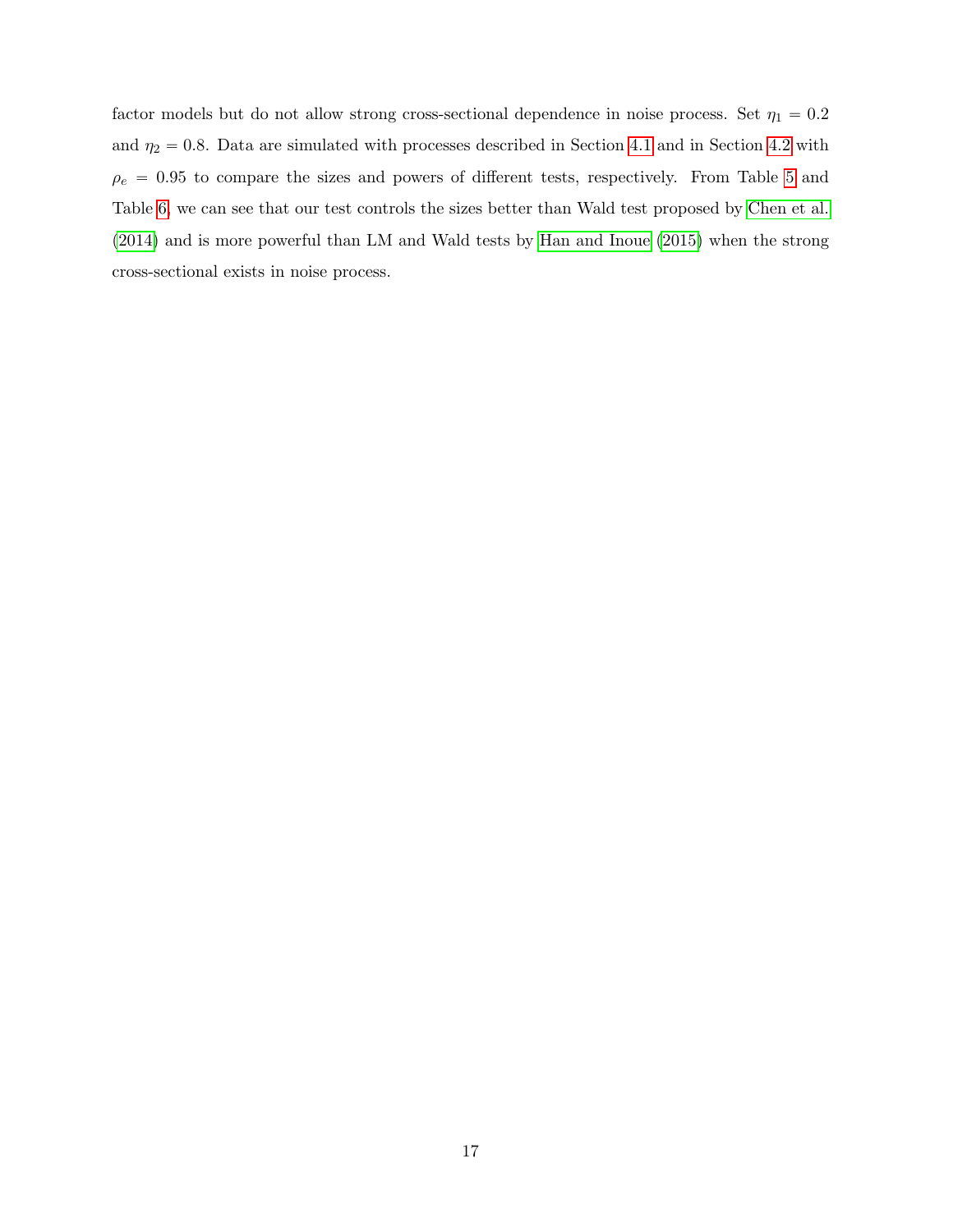factor models but do not allow strong cross-sectional dependence in noise process. Set  $\eta_1 = 0.2$ and  $\eta_2 = 0.8$ . Data are simulated with processes described in Section [4.1](#page-12-1) and in Section [4.2](#page-13-1) with  $\rho_e$  = 0.95 to compare the sizes and powers of different tests, respectively. From Table [5](#page-17-0) and Table [6,](#page-17-1) we can see that our test controls the sizes better than Wald test proposed by [Chen et al.](#page-33-6) [\(2014\)](#page-33-6) and is more powerful than LM and Wald tests by [Han and Inoue](#page-34-4) [\(2015\)](#page-34-4) when the strong cross-sectional exists in noise process.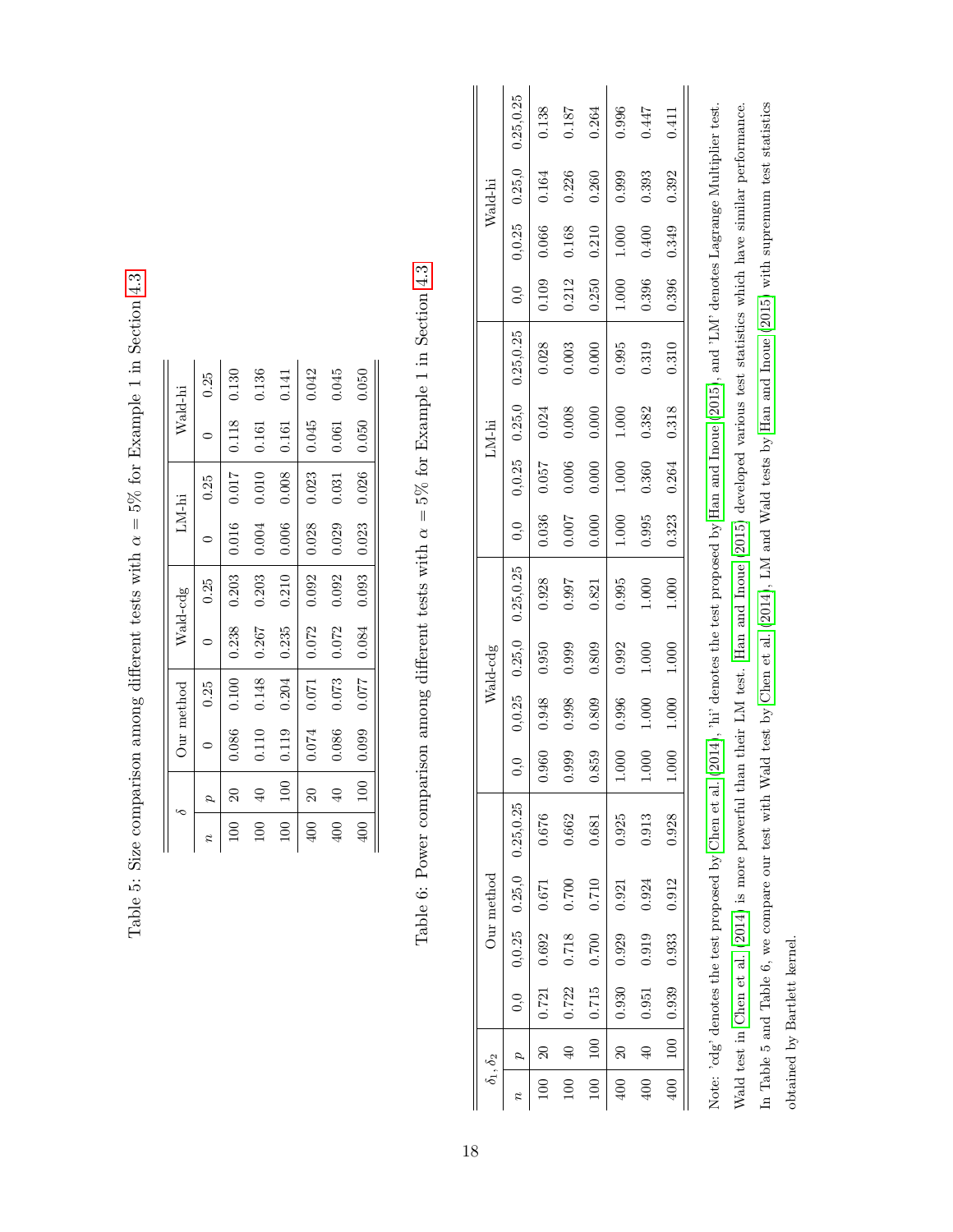| $\frac{5}{1}$                                                                         |
|---------------------------------------------------------------------------------------|
| $\ddot{\phantom{0}}$                                                                  |
| )<br> <br>                                                                            |
|                                                                                       |
| $\sim$ $\sim$ $\sim$ $\sim$ $\sim$<br>ׇ֚֘֝֡<br>ļ                                      |
| コード                                                                                   |
|                                                                                       |
| ;<br>)<br>I                                                                           |
| j                                                                                     |
| í                                                                                     |
| 5                                                                                     |
| tot and on one of the storm of<br>i<br>I<br>リーニニン パリーン<br>İ                           |
| )                                                                                     |
| ֧֧֧֧֧֧֧֧֦֧֦֧֦֧֧֧֧֦֧֧֦֧֧֧֦֧֧֛֧֧֧֧֧֧֧֧֛֝֓֓֓֕֓֝֬֓֓֝֬֓֓֓֓֝֬֓֝֬֓֝֬֝֬֓֓֝֬֓֬֓֓֓֬֬֬֓֬֓֬֬֬֬֬֬֬ |
| )<br>]<br> <br>٠<br>ا<br>j<br>֚֚֚֬                                                    |
|                                                                                       |
| $\overline{\phantom{a}}$<br>ĺ<br>Í                                                    |

|                  |                     |       | Our method |       | Wald-cdg |       | LM-hi   |       | Wald-hi |
|------------------|---------------------|-------|------------|-------|----------|-------|---------|-------|---------|
|                  |                     |       | 0.25       |       | 0.25     | c     | 0.25    |       | 0.25    |
|                  |                     | 0.086 | 0.100      | 0.238 | 0.203    | 0.016 | $0.017$ | 0.118 | 0.130   |
|                  |                     | 0.110 | 0.148      | 0.267 | 0.203    | 0.004 | 0.010   | 0.161 | 0.136   |
| 100              | 100                 | 0.119 | 0.204      | 0.235 | 0.210    | 0.006 | 0.008   | 0.161 | 0.141   |
|                  | $\overline{\Omega}$ | 0.074 | $0.071\,$  | 0.072 | 0.092    | 0.028 | 0.023   | 0.045 | 0.042   |
| $00\,$           |                     | 0.086 | 0.073      | 0.072 | 0.092    | 0.029 | 0.031   | 0.061 | 0.045   |
| $\overline{100}$ | 100                 | 0.099 | 770.0      | 0.084 | 0.093    | 0.023 | 0.026   | 0.050 | 0.050   |

Table 6: Power comparison among different tests with  $\alpha = 5\%$  for Example 1 in Section 4.3 Table 6: Power comparison among different tests with  $\alpha = 5\%$  for Example 1 in Section [4.3](#page-14-2)

<span id="page-17-1"></span><span id="page-17-0"></span>

|                      | $0,0$ 0,0.25 0.25,0 0.25,0.25       | 0.138                   | 0.187          | 0.264               | 0.996           | 0.447     | 0.411                |  |
|----------------------|-------------------------------------|-------------------------|----------------|---------------------|-----------------|-----------|----------------------|--|
| Wald-hi              |                                     | 0.164                   | 0.226          | 0.260               | 0.999           | 0.393     | 0.392                |  |
|                      |                                     | 0.066                   | 0.168          | 0.210               | $1.000$         | 0.400     | 0.349                |  |
|                      |                                     | 0.109                   | 0.212          | 0.250               | $1.000\,$       | $-0.396$  | 0.396                |  |
|                      | $0,0$ 0,0.25 0.25,0 0.25,0.25       | $0.028\,$               | $\,0.003$      | 0.000               | 0.995           | 0.319     | 0.310                |  |
| ${\rm LM\text{-}hi}$ |                                     | 0.024                   | 0.008          | $0.000\,$           | $1.000\,$       | 0.382     | 0.318                |  |
|                      |                                     | 0.057                   | 0.006          | 0.000               | $1.000$         | 0.360     | $0.323$ $0.264$      |  |
|                      |                                     | 0.036                   | $0.007$        | $0.000\,$           | $1.000\,$       | 0.995     |                      |  |
|                      | $0,0$ 0,0.25 0.25,0 0.25,0.25       | $\,0.928$               | 0.997          | 0.821               | 0.995           | 1.000     | 1.000                |  |
| Wald-cdg             |                                     | 0.950                   | 0.999          | 0.809               |                 | $1.000$   | $1.000\,$            |  |
|                      |                                     | 0.960 0.948             | 0.998          | 0.809               | 0.996 0.992     | $1.000\,$ | $1.000$              |  |
|                      |                                     |                         | 0.999          | 0.859               | $1.000$         | $1.000$   | $1.000$              |  |
|                      | $0,0$ $0,0.25$ $0.25,0$ $0.25,0.25$ | 0.676                   | 0.662          | 0.681               | 0.925           | 0.913     | 0.928                |  |
| Our method           |                                     |                         | 0.700          | 0.710               | 0.921           | 0.924     | 0.912                |  |
|                      |                                     | $0.721$ $0.692$ $0.671$ | 0.718          | $100$   0.715 0.700 | $0.930$ $0.929$ | 0.919     | $-400$   0.939 0.933 |  |
|                      |                                     |                         | . 0.722        |                     |                 | $-0.951$  |                      |  |
|                      |                                     | $\frac{20}{2}$          | $\frac{40}{1}$ |                     | 400   20        | 400 40    |                      |  |
| $\delta_1, \delta_2$ |                                     | 100                     |                | 100                 |                 |           |                      |  |

Note: 'cdg' denotes the test proposed by Chen et al. (2014), 'hi' denotes the test proposed by Han and Inoue (2015), and 'LM' denotes Lagrange Multiplier test. Wald test in Chen et al. (2014) is more powerful than their LM test. Han and Inoue (2015) developed various test statistics which have similar performance. In Table 5 and Table 6, we compare our test with Wald test by Chen et al. (2014), LM and Wald tests by Han and Inoue (2015) with supremum test statistics In Table 5 and Table 6, we compare our test with Wald test by [Chen](#page-33-6) et al. ([2014\)](#page-33-6), LM and Wald tests by Han and [Inoue](#page-34-4) [\(2015\)](#page-34-4) with supremum test statistics Note: 'cdg' denotes the test proposed by [Chen](#page-33-6) et al. [\(2014\)](#page-33-6), 'hi' denotes the test proposed by Han and [Inoue](#page-34-4) ([2015\)](#page-34-4), and 'LM' denotes Lagrange Multiplier test. Wald test in [Chen](#page-33-6) et al. [\(2014\)](#page-33-6) is more powerful than their LM test. Han and [Inoue](#page-34-4) [\(2015\)](#page-34-4) developed various test statistics which have similar performance. obtained by Bartlett kernel. obtained by Bartlett kernel.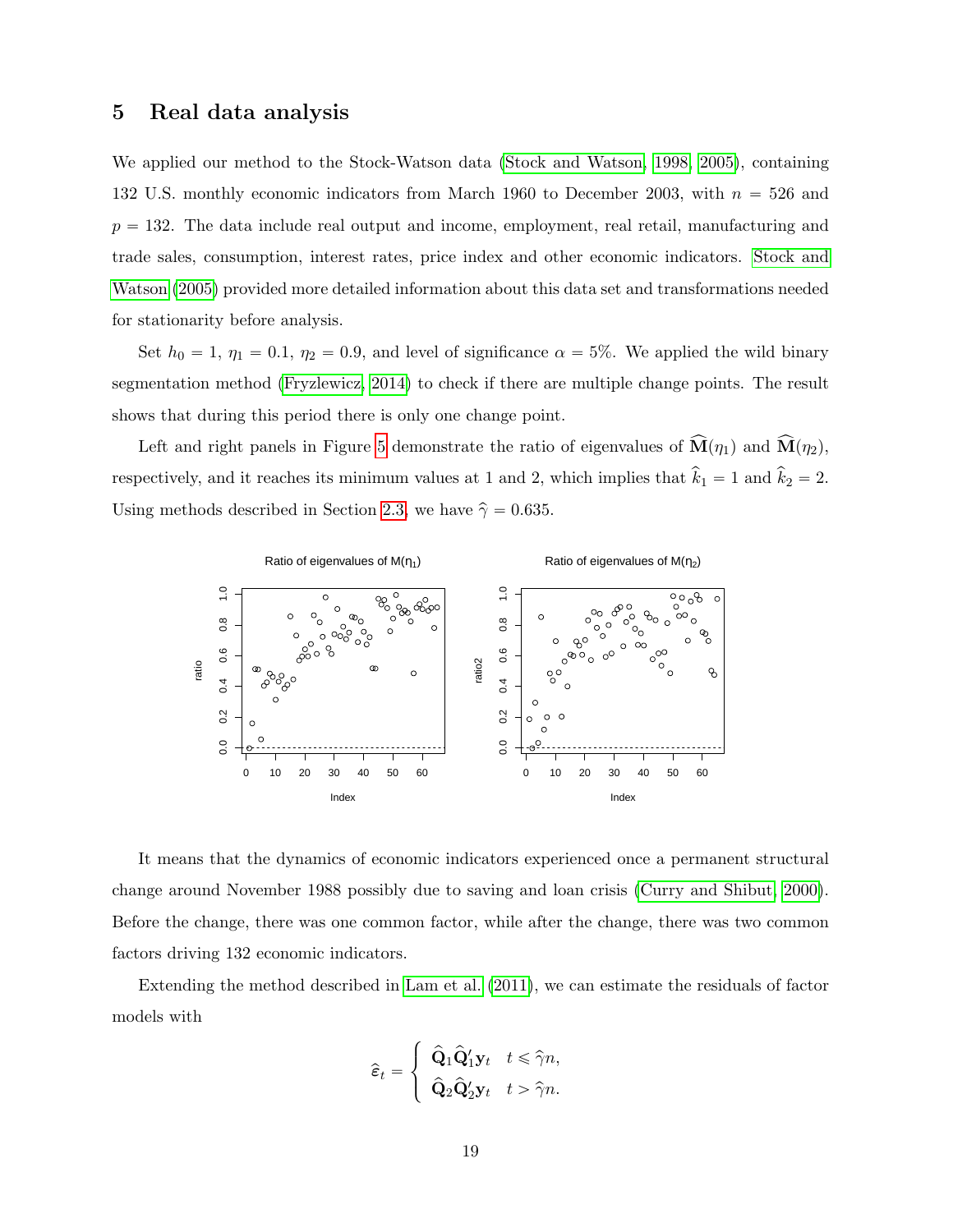## <span id="page-18-0"></span>5 Real data analysis

We applied our method to the Stock-Watson data [\(Stock and Watson, 1998,](#page-35-0) [2005\)](#page-35-5), containing 132 U.S. monthly economic indicators from March 1960 to December 2003, with  $n = 526$  and  $p = 132$ . The data include real output and income, employment, real retail, manufacturing and trade sales, consumption, interest rates, price index and other economic indicators. [Stock and](#page-35-5) [Watson](#page-35-5) [\(2005\)](#page-35-5) provided more detailed information about this data set and transformations needed for stationarity before analysis.

Set  $h_0 = 1$ ,  $\eta_1 = 0.1$ ,  $\eta_2 = 0.9$ , and level of significance  $\alpha = 5\%$ . We applied the wild binary segmentation method [\(Fryzlewicz, 2014\)](#page-34-11) to check if there are multiple change points. The result shows that during this period there is only one change point.

Left and right panels in Figure [5](#page-18-0) demonstrate the ratio of eigenvalues of  $\widehat{\mathbf{M}}(\eta_1)$  and  $\widehat{\mathbf{M}}(\eta_2)$ , respectively, and it reaches its minimum values at 1 and 2, which implies that  $\hat{k}_1 = 1$  and  $\hat{k}_2 = 2$ . Using methods described in Section [2.3,](#page-7-0) we have  $\hat{\gamma} = 0.635$ .



It means that the dynamics of economic indicators experienced once a permanent structural change around November 1988 possibly due to saving and loan crisis [\(Curry and Shibut, 2000\)](#page-33-12). Before the change, there was one common factor, while after the change, there was two common factors driving 132 economic indicators.

Extending the method described in [Lam et al.](#page-34-0) [\(2011\)](#page-34-0), we can estimate the residuals of factor models with

$$
\widehat{\varepsilon}_t = \left\{ \begin{array}{ll} \widehat{{\mathbf Q}}_1 \widehat{{\mathbf Q}}_1^\prime {\mathbf y}_t & t \leqslant \widehat{\gamma} n, \\ \widehat{{\mathbf Q}}_2 \widehat{{\mathbf Q}}_2^\prime {\mathbf y}_t & t > \widehat{\gamma} n. \end{array} \right.
$$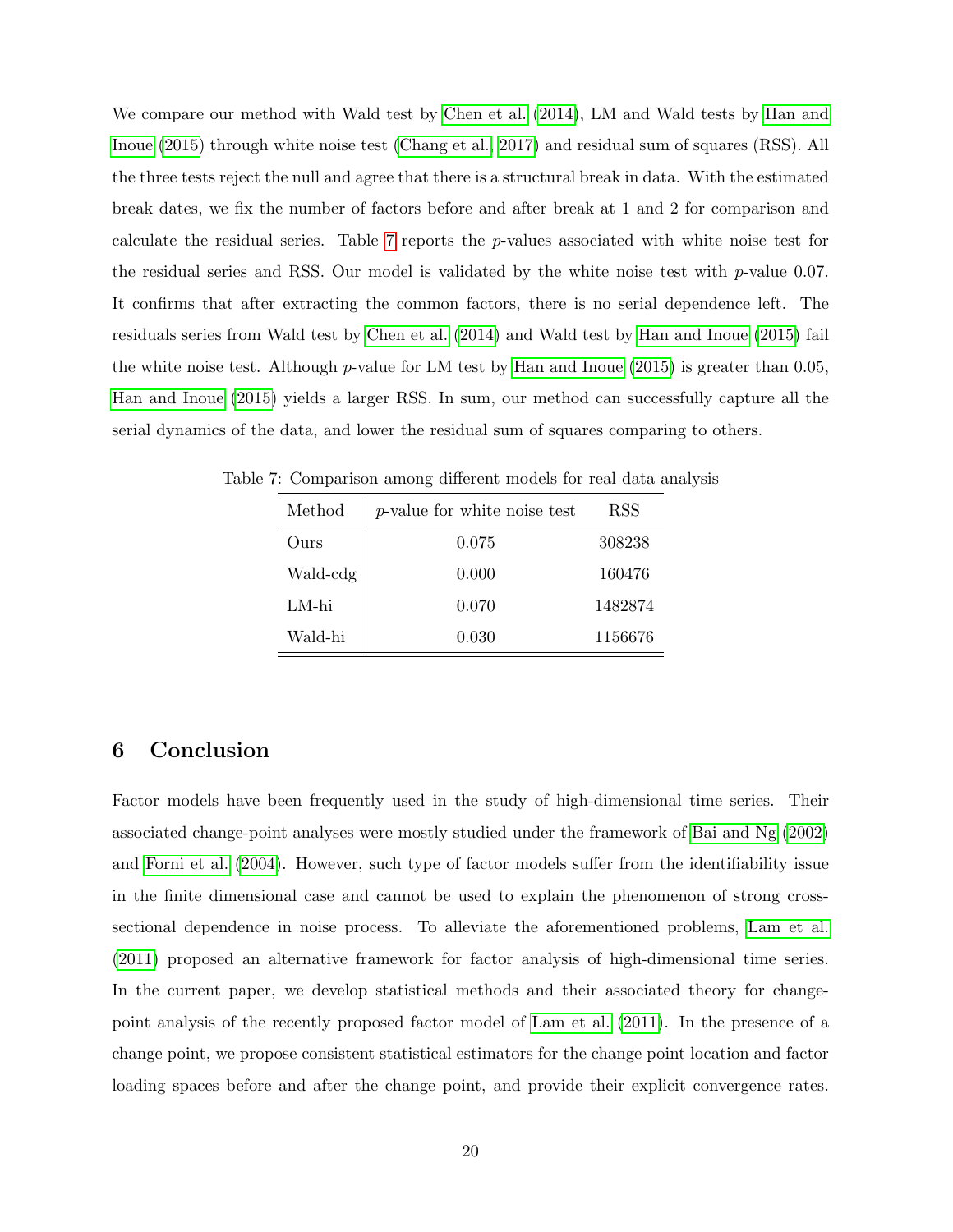We compare our method with Wald test by [Chen et al.](#page-33-6) [\(2014\)](#page-33-6), LM and Wald tests by [Han and](#page-34-4) [Inoue](#page-34-4) [\(2015\)](#page-34-4) through white noise test [\(Chang et al., 2017\)](#page-33-4) and residual sum of squares (RSS). All the three tests reject the null and agree that there is a structural break in data. With the estimated break dates, we fix the number of factors before and after break at 1 and 2 for comparison and calculate the residual series. Table [7](#page-19-1) reports the p-values associated with white noise test for the residual series and RSS. Our model is validated by the white noise test with  $p$ -value 0.07. It confirms that after extracting the common factors, there is no serial dependence left. The residuals series from Wald test by [Chen et al.](#page-33-6) [\(2014\)](#page-33-6) and Wald test by [Han and Inoue](#page-34-4) [\(2015\)](#page-34-4) fail the white noise test. Although  $p$ -value for LM test by [Han and Inoue](#page-34-4) [\(2015\)](#page-34-4) is greater than 0.05, [Han and Inoue](#page-34-4) [\(2015\)](#page-34-4) yields a larger RSS. In sum, our method can successfully capture all the serial dynamics of the data, and lower the residual sum of squares comparing to others.

<span id="page-19-1"></span>

| Method        | $p$ -value for white noise test | RSS     |
|---------------|---------------------------------|---------|
| $_{\rm Ours}$ | 0.075                           | 308238  |
| Wald-cdg      | 0.000                           | 160476  |
| LM-hi         | 0.070                           | 1482874 |
| Wald-hi       | 0.030                           | 1156676 |

Table 7: Comparison among different models for real data analysis

# <span id="page-19-0"></span>6 Conclusion

Factor models have been frequently used in the study of high-dimensional time series. Their associated change-point analyses were mostly studied under the framework of [Bai and Ng](#page-33-3) [\(2002\)](#page-33-3) and [Forni et al.](#page-34-1) [\(2004\)](#page-34-1). However, such type of factor models suffer from the identifiability issue in the finite dimensional case and cannot be used to explain the phenomenon of strong crosssectional dependence in noise process. To alleviate the aforementioned problems, [Lam et al.](#page-34-0) [\(2011\)](#page-34-0) proposed an alternative framework for factor analysis of high-dimensional time series. In the current paper, we develop statistical methods and their associated theory for changepoint analysis of the recently proposed factor model of [Lam et al.](#page-34-0) [\(2011\)](#page-34-0). In the presence of a change point, we propose consistent statistical estimators for the change point location and factor loading spaces before and after the change point, and provide their explicit convergence rates.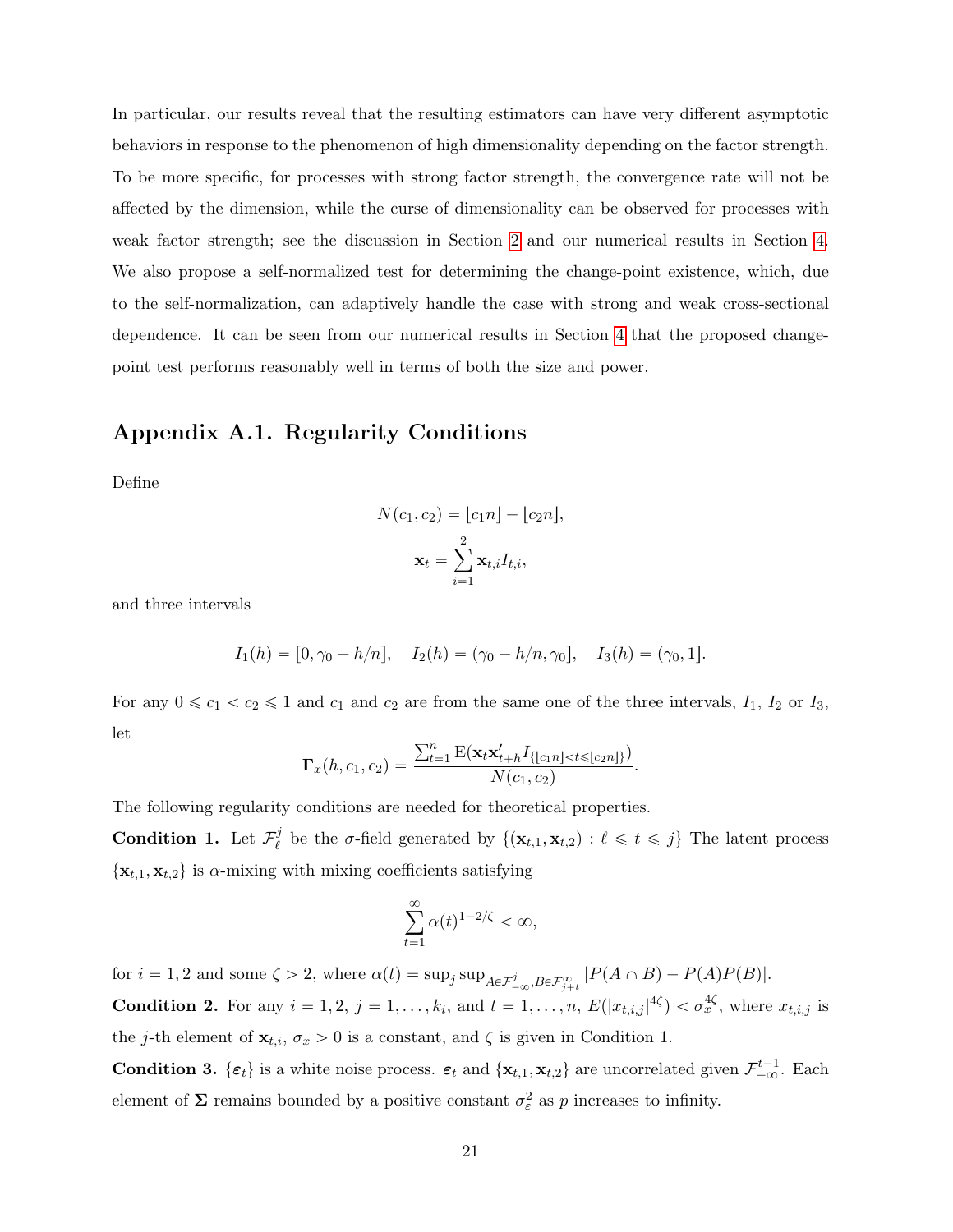In particular, our results reveal that the resulting estimators can have very different asymptotic behaviors in response to the phenomenon of high dimensionality depending on the factor strength. To be more specific, for processes with strong factor strength, the convergence rate will not be affected by the dimension, while the curse of dimensionality can be observed for processes with weak factor strength; see the discussion in Section [2](#page-3-0) and our numerical results in Section [4.](#page-12-0) We also propose a self-normalized test for determining the change-point existence, which, due to the self-normalization, can adaptively handle the case with strong and weak cross-sectional dependence. It can be seen from our numerical results in Section [4](#page-12-0) that the proposed changepoint test performs reasonably well in terms of both the size and power.

## Appendix A.1. Regularity Conditions

Define

$$
N(c_1, c_2) = \lfloor c_1 n \rfloor - \lfloor c_2 n \rfloor,
$$

$$
\mathbf{x}_t = \sum_{i=1}^2 \mathbf{x}_{t,i} I_{t,i},
$$

and three intervals

$$
I_1(h) = [0, \gamma_0 - h/n], \quad I_2(h) = (\gamma_0 - h/n, \gamma_0], \quad I_3(h) = (\gamma_0, 1].
$$

For any  $0 \le c_1 < c_2 \le 1$  and  $c_1$  and  $c_2$  are from the same one of the three intervals,  $I_1$ ,  $I_2$  or  $I_3$ , let  $\sum_{n=1}^{\infty}$ 

$$
\Gamma_x(h, c_1, c_2) = \frac{\sum_{t=1}^n \mathbb{E}(\mathbf{x}_t \mathbf{x}'_{t+h} I_{\{|c_1n| < t \leq |c_2n|\}})}{N(c_1, c_2)}.
$$

The following regularity conditions are needed for theoretical properties.

Condition 1. Let  $\mathcal{F}_{\rho}^{j}$  $\mathcal{E}_{\ell}^j$  be the  $\sigma$ -field generated by  $\{(\mathbf{x}_{t,1}, \mathbf{x}_{t,2}) : \ell \leq t \leq j\}$  The latent process  $\{x_{t,1}, x_{t,2}\}\$ is  $\alpha$ -mixing with mixing coefficients satisfying

$$
\sum_{t=1}^{\infty} \alpha(t)^{1-2/\zeta} < \infty,
$$

for  $i = 1, 2$  and some  $\zeta > 2$ , where  $\alpha(t) = \sup_j \sup_{A \in \mathcal{F}_{-\infty}^j, B \in \mathcal{F}_{j+t}^{\infty}} |P(A \cap B) - P(A)P(B)|$ . **Condition 2.** For any  $i = 1, 2, j = 1, \ldots, k_i$ , and  $t = 1, \ldots, n$ ,  $E(|x_{t,i,j}|^{4\zeta}) < \sigma_x^{4\zeta}$ , where  $x_{t,i,j}$  is the j-th element of  $\mathbf{x}_{t,i}$ ,  $\sigma_x > 0$  is a constant, and  $\zeta$  is given in Condition 1.

**Condition 3.**  $\{\varepsilon_t\}$  is a white noise process.  $\varepsilon_t$  and  $\{\mathbf{x}_{t,1}, \mathbf{x}_{t,2}\}$  are uncorrelated given  $\mathcal{F}_{-\infty}^{t-1}$ . Each element of  $\Sigma$  remains bounded by a positive constant  $\sigma_{\varepsilon}^2$  as p increases to infinity.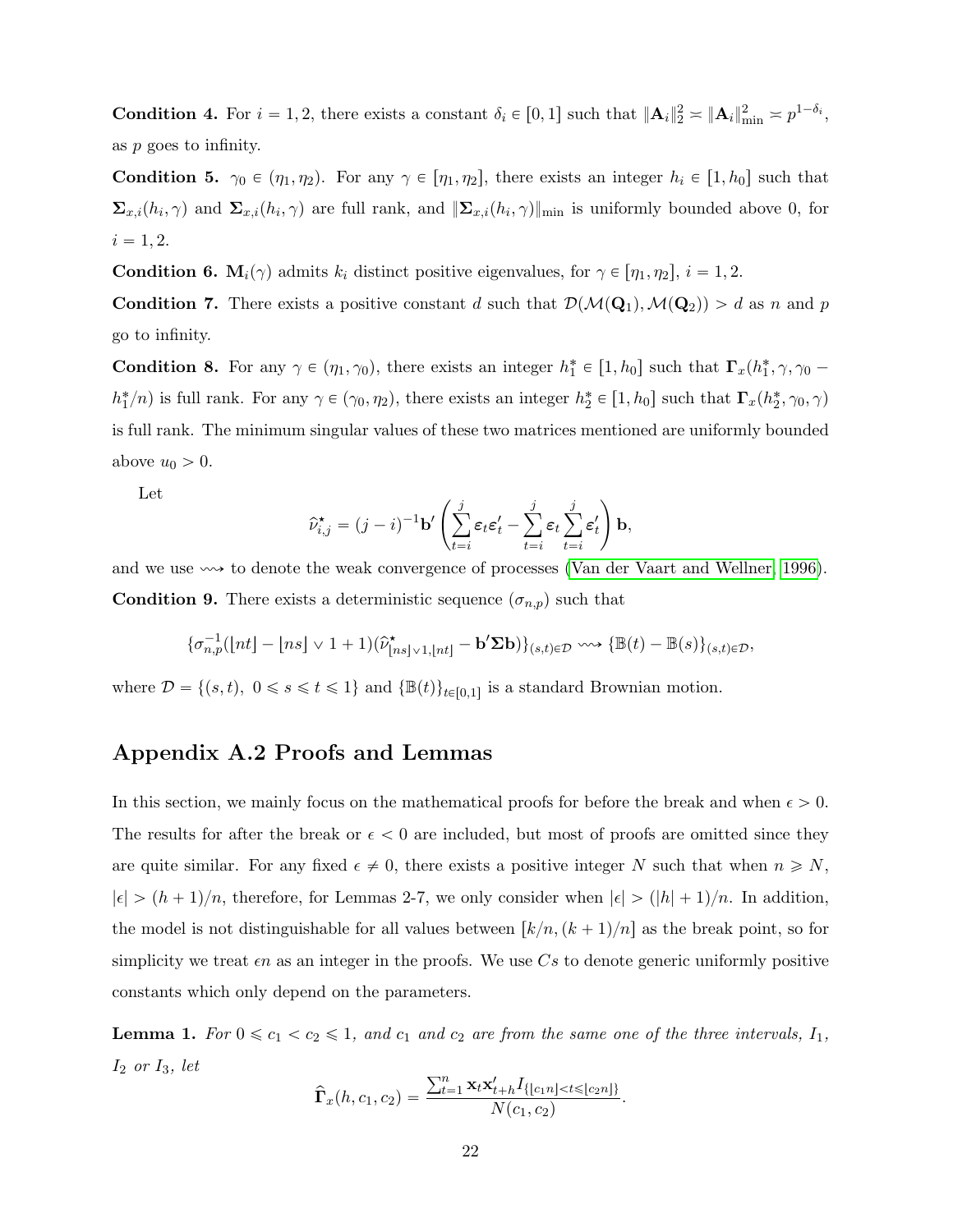**Condition 4.** For  $i = 1, 2$ , there exists a constant  $\delta_i \in [0, 1]$  such that  $\|\mathbf{A}_i\|_2^2 \approx \|\mathbf{A}_i\|_{\min}^2 \approx p^{1-\delta_i}$ , as p goes to infinity.

**Condition 5.**  $\gamma_0 \in (\eta_1, \eta_2)$ . For any  $\gamma \in [\eta_1, \eta_2]$ , there exists an integer  $h_i \in [1, h_0]$  such that  $\Sigma_{x,i}(h_i,\gamma)$  and  $\Sigma_{x,i}(h_i,\gamma)$  are full rank, and  $\|\Sigma_{x,i}(h_i,\gamma)\|_{\text{min}}$  is uniformly bounded above 0, for  $i = 1, 2.$ 

**Condition 6.**  $M_i(\gamma)$  admits  $k_i$  distinct positive eigenvalues, for  $\gamma \in [\eta_1, \eta_2], i = 1, 2$ .

**Condition 7.** There exists a positive constant d such that  $\mathcal{D}(\mathcal{M}(\mathbf{Q}_1),\mathcal{M}(\mathbf{Q}_2)) > d$  as n and p go to infinity.

**Condition 8.** For any  $\gamma \in (\eta_1, \gamma_0)$ , there exists an integer  $h_1^* \in [1, h_0]$  such that  $\Gamma_x(h_1^*, \gamma, \gamma_0$  $h_1^*/n$  is full rank. For any  $\gamma \in (\gamma_0, \eta_2)$ , there exists an integer  $h_2^* \in [1, h_0]$  such that  $\mathbf{\Gamma}_x(h_2^*, \gamma_0, \gamma)$ is full rank. The minimum singular values of these two matrices mentioned are uniformly bounded above  $u_0 > 0$ .

Let

$$
\widehat{\nu}_{i,j}^{\star} = (j-i)^{-1} \mathbf{b}' \left( \sum_{t=i}^{j} \varepsilon_t \varepsilon_t' - \sum_{t=i}^{j} \varepsilon_t \sum_{t=i}^{j} \varepsilon_t' \right) \mathbf{b},
$$

and we use  $\sim$  to denote the weak convergence of processes [\(Van der Vaart and Wellner, 1996\)](#page-35-6). **Condition 9.** There exists a deterministic sequence  $(\sigma_{n,p})$  such that

$$
\{\sigma_{n,p}^{-1}([nt]-[ns]\vee 1+1)(\widehat{\nu}_{\lfloor ns\rfloor\vee 1,\lfloor nt\rfloor}^{\star}-\mathbf{b}'\boldsymbol{\Sigma}\mathbf{b})\}_{(s,t)\in\mathcal{D}}\leadsto \{\mathbb{B}(t)-\mathbb{B}(s)\}_{(s,t)\in\mathcal{D}},
$$

where  $\mathcal{D} = \{(s, t), 0 \le s \le t \le 1\}$  and  $\{\mathbb{B}(t)\}_{t \in [0,1]}$  is a standard Brownian motion.

# Appendix A.2 Proofs and Lemmas

In this section, we mainly focus on the mathematical proofs for before the break and when  $\epsilon > 0$ . The results for after the break or  $\epsilon < 0$  are included, but most of proofs are omitted since they are quite similar. For any fixed  $\epsilon \neq 0$ , there exists a positive integer N such that when  $n \geq N$ ,  $|\epsilon| > (h + 1)/n$ , therefore, for Lemmas 2-7, we only consider when  $|\epsilon| > (h + 1)/n$ . In addition, the model is not distinguishable for all values between  $\left[k/n,(k + 1)/n\right]$  as the break point, so for simplicity we treat  $\epsilon n$  as an integer in the proofs. We use Cs to denote generic uniformly positive constants which only depend on the parameters.

<span id="page-21-0"></span>**Lemma 1.** For  $0 \le c_1 < c_2 \le 1$ , and  $c_1$  and  $c_2$  are from the same one of the three intervals,  $I_1$ ,  $I_2$  or  $I_3$ , let  $\sum_{i=1}^{n}$ 

$$
\widehat{\mathbf{\Gamma}}_x(h, c_1, c_2) = \frac{\sum_{t=1}^n \mathbf{x}_t \mathbf{x}'_{t+h} I_{\{|c_1n| < t \leq |c_2n|\}}}{N(c_1, c_2)}.
$$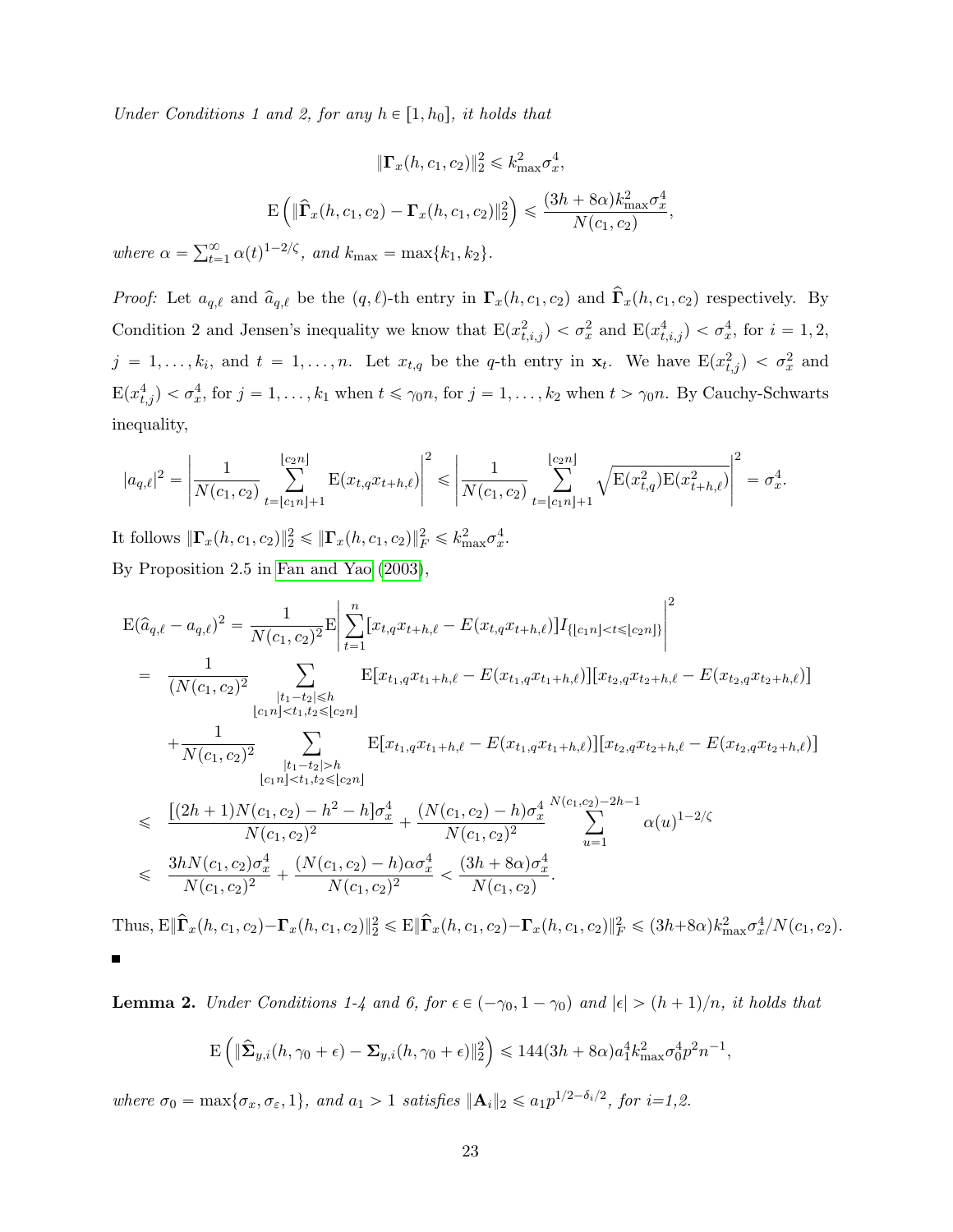Under Conditions 1 and 2, for any  $h \in [1, h_0]$ , it holds that

$$
\|\mathbf{\Gamma}_x(h, c_1, c_2)\|_2^2 \le k_{\text{max}}^2 \sigma_x^4,
$$
  
 
$$
\mathbf{E}\left(\|\widehat{\mathbf{\Gamma}}_x(h, c_1, c_2) - \mathbf{\Gamma}_x(h, c_1, c_2)\|_2^2\right) \le \frac{(3h + 8\alpha)k_{\text{max}}^2 \sigma_x^4}{N(c_1, c_2)},
$$

where  $\alpha = \sum_{t=1}^{\infty}$  $\sum_{t=1}^{\infty} \alpha(t)^{1-2/\zeta}$ , and  $k_{\text{max}} = \max\{k_1, k_2\}.$ 

*Proof:* Let  $a_{q,\ell}$  and  $\hat{a}_{q,\ell}$  be the  $(q, \ell)$ -th entry in  $\Gamma_x(h, c_1, c_2)$  and  $\hat{\Gamma}_x(h, c_1, c_2)$  respectively. By Condition 2 and Jensen's inequality we know that  $E(x_{t,i,j}^2) < \sigma_x^2$  and  $E(x_{t,i,j}^4) < \sigma_x^4$ , for  $i = 1, 2,$  $j = 1, \ldots, k_i$ , and  $t = 1, \ldots, n$ . Let  $x_{t,q}$  be the q-th entry in  $\mathbf{x}_t$ . We have  $E(x_{t,j}^2) < \sigma_x^2$  and  $E(x_{t,j}^4) < \sigma_x^4$ , for  $j = 1, ..., k_1$  when  $t \le \gamma_0 n$ , for  $j = 1, ..., k_2$  when  $t > \gamma_0 n$ . By Cauchy-Schwarts inequality,

$$
|a_{q,\ell}|^2 = \left| \frac{1}{N(c_1, c_2)} \sum_{t=\lfloor c_1 n \rfloor+1}^{\lfloor c_2 n \rfloor} E(x_{t,q} x_{t+h,\ell}) \right|^2 \leq \left| \frac{1}{N(c_1, c_2)} \sum_{t=\lfloor c_1 n \rfloor+1}^{\lfloor c_2 n \rfloor} \sqrt{E(x_{t,q}^2) E(x_{t+h,\ell}^2)} \right|^2 = \sigma_x^4.
$$

It follows  $\|\Gamma_x(h, c_1, c_2)\|_2^2 \leq \|\Gamma_x(h, c_1, c_2)\|_F^2 \leq k_{\max}^2 \sigma_x^4$ . By Proposition 2.5 in [Fan and Yao](#page-34-12) [\(2003\)](#page-34-12),

$$
E(\hat{a}_{q,\ell} - a_{q,\ell})^2 = \frac{1}{N(c_1, c_2)^2} E \left| \sum_{t=1}^n [x_{t,q}x_{t+h,\ell} - E(x_{t,q}x_{t+h,\ell})] I_{\{|c_1n| < t \leq |c_2n|\}} \right|^2
$$
\n
$$
= \frac{1}{(N(c_1, c_2)^2} \sum_{\substack{|t_1-t_2| \leq h \\ |c_1n| < t_1, t_2 \leq |c_2n|}} E[x_{t_1,q}x_{t_1+h,\ell} - E(x_{t_1,q}x_{t_1+h,\ell})] [x_{t_2,q}x_{t_2+h,\ell} - E(x_{t_2,q}x_{t_2+h,\ell})]
$$
\n
$$
+ \frac{1}{N(c_1, c_2)^2} \sum_{\substack{|t_1-t_2| > h \\ |c_1n| < t_1, t_2 \leq |c_2n|}} E[x_{t_1,q}x_{t_1+h,\ell} - E(x_{t_1,q}x_{t_1+h,\ell})] [x_{t_2,q}x_{t_2+h,\ell} - E(x_{t_2,q}x_{t_2+h,\ell})]
$$
\n
$$
\leq \frac{[(2h+1)N(c_1, c_2) - h^2 - h]\sigma_x^4}{N(c_1, c_2)^2} + \frac{(N(c_1, c_2) - h)\sigma_x^4}{N(c_1, c_2)^2} \sum_{u=1}^{N(c_1, c_2)-2h-1} \alpha(u)^{1-2/\zeta}
$$
\n
$$
\leq \frac{3hN(c_1, c_2)\sigma_x^4}{N(c_1, c_2)^2} + \frac{(N(c_1, c_2) - h)\alpha\sigma_x^4}{N(c_1, c_2)^2} < \frac{(3h+8\alpha)\sigma_x^4}{N(c_1, c_2)}.
$$

Thus,  $\mathbb{E} \|\hat{\mathbf{\Gamma}}_x(h, c_1, c_2) - \mathbf{\Gamma}_x(h, c_1, c_2)\|_2^2 \leq \mathbb{E} \|\hat{\mathbf{\Gamma}}_x(h, c_1, c_2) - \mathbf{\Gamma}_x(h, c_1, c_2)\|_F^2 \leq (3h + 8\alpha)k_{\max}^2 \sigma_x^4/N(c_1, c_2).$ 

<span id="page-22-0"></span>**Lemma 2.** Under Conditions 1-4 and 6, for  $\epsilon \in (-\gamma_0, 1 - \gamma_0)$  and  $|\epsilon| > (h + 1)/n$ , it holds that

$$
\mathbf{E}\left(\|\widehat{\mathbf{\Sigma}}_{y,i}(h,\gamma_0+\epsilon)-\mathbf{\Sigma}_{y,i}(h,\gamma_0+\epsilon)\|_2^2\right)\leq 144(3h+8\alpha)a_1^4k_{\max}^2\sigma_0^4p^2n^{-1},
$$

where  $\sigma_0 = \max{\lbrace \sigma_x, \sigma_{\varepsilon}, 1 \rbrace}$ , and  $a_1 > 1$  satisfies  $\|\mathbf{A}_i\|_2 \leq a_1 p^{1/2 - \delta_i/2}$ , for  $i = 1, 2$ .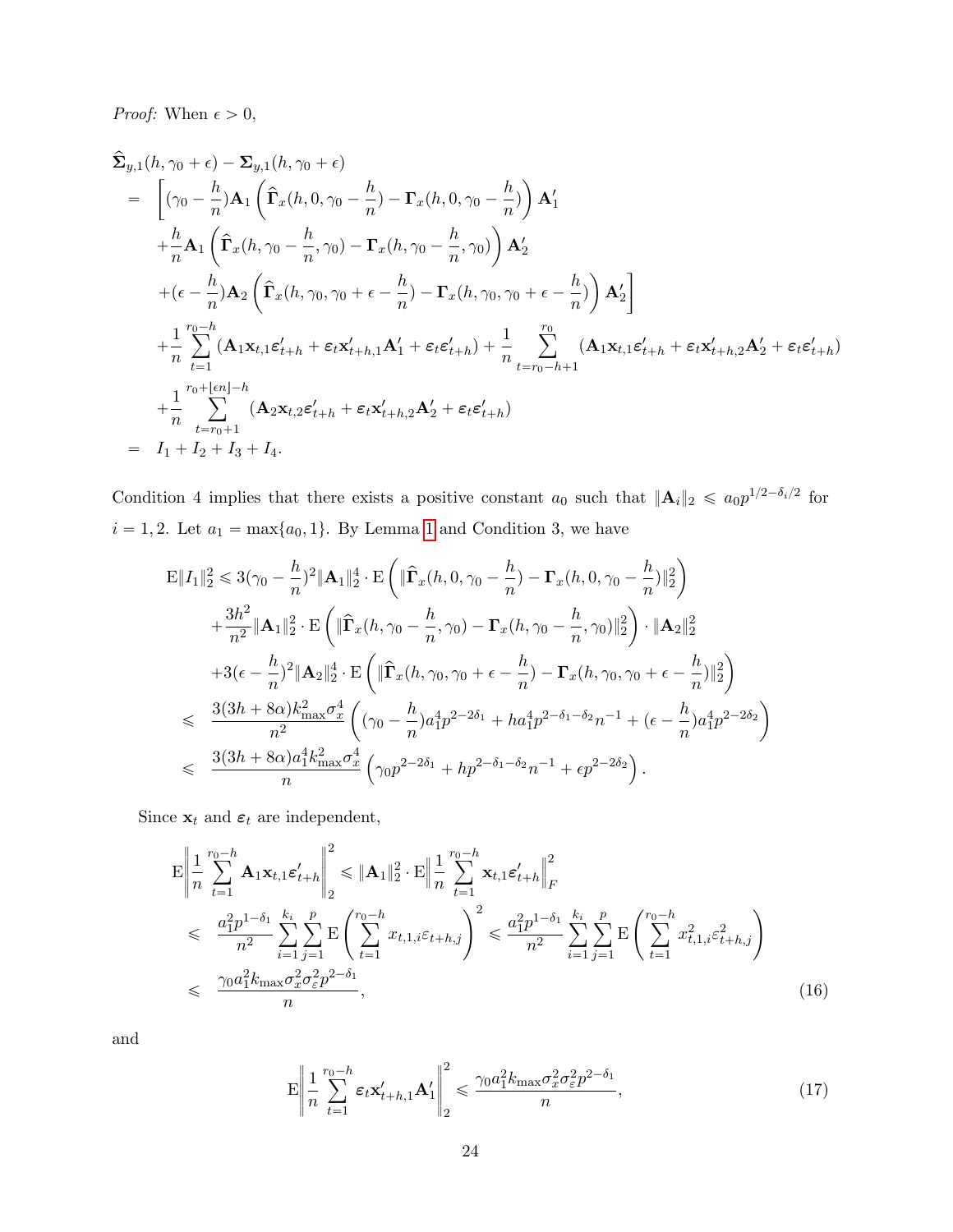*Proof:* When  $\epsilon > 0$ ,

$$
\hat{\Sigma}_{y,1}(h,\gamma_0+\epsilon) - \Sigma_{y,1}(h,\gamma_0+\epsilon) \n= \left[ (\gamma_0 - \frac{h}{n}) \mathbf{A}_1 \left( \hat{\Gamma}_x(h,0,\gamma_0 - \frac{h}{n}) - \Gamma_x(h,0,\gamma_0 - \frac{h}{n}) \right) \mathbf{A}_1' \right. \n+ \frac{h}{n} \mathbf{A}_1 \left( \hat{\Gamma}_x(h,\gamma_0 - \frac{h}{n},\gamma_0) - \Gamma_x(h,\gamma_0 - \frac{h}{n},\gamma_0) \right) \mathbf{A}_2' \n+ (\epsilon - \frac{h}{n}) \mathbf{A}_2 \left( \hat{\Gamma}_x(h,\gamma_0, \gamma_0 + \epsilon - \frac{h}{n}) - \Gamma_x(h,\gamma_0, \gamma_0 + \epsilon - \frac{h}{n}) \right) \mathbf{A}_2' \right] \n+ \frac{1}{n} \sum_{t=1}^{r_0-h} (\mathbf{A}_1 \mathbf{x}_{t,1} \mathbf{\varepsilon}_{t+h}^t + \varepsilon_t \mathbf{x}_{t+h,1}^t \mathbf{A}_1' + \varepsilon_t \mathbf{\varepsilon}_{t+h}^t) + \frac{1}{n} \sum_{t=r_0-h+1}^{r_0} (\mathbf{A}_1 \mathbf{x}_{t,1} \mathbf{\varepsilon}_{t+h}^t + \varepsilon_t \mathbf{x}_{t+h,2}^t \mathbf{A}_2' + \varepsilon_t \mathbf{\varepsilon}_{t+h}^t) \n+ \frac{1}{n} \sum_{t=r_0+1}^{r_0+ \lfloor \epsilon n \rfloor - h} (\mathbf{A}_2 \mathbf{x}_{t,2} \mathbf{\varepsilon}_{t+h}^t + \varepsilon_t \mathbf{x}_{t+h,2}^t \mathbf{A}_2' + \varepsilon_t \mathbf{\varepsilon}_{t+h}^t) \n= I_1 + I_2 + I_3 + I_4.
$$

Condition 4 implies that there exists a positive constant  $a_0$  such that  $||\mathbf{A}_i||_2 \leq a_0 p^{1/2-\delta_i/2}$  for  $i = 1, 2$  $i = 1, 2$  $i = 1, 2$ . Let  $a_1 = \max\{a_0, 1\}$ . By Lemma 1 and Condition 3, we have

$$
\mathbf{E} \|I_{1}\|_{2}^{2} \leq 3(\gamma_{0} - \frac{h}{n})^{2} \|\mathbf{A}_{1}\|_{2}^{4} \cdot \mathbf{E} \left( \|\hat{\mathbf{\Gamma}}_{x}(h, 0, \gamma_{0} - \frac{h}{n}) - \mathbf{\Gamma}_{x}(h, 0, \gamma_{0} - \frac{h}{n})\|_{2}^{2} \right) \n+ \frac{3h^{2}}{n^{2}} \|\mathbf{A}_{1}\|_{2}^{2} \cdot \mathbf{E} \left( \|\hat{\mathbf{\Gamma}}_{x}(h, \gamma_{0} - \frac{h}{n}, \gamma_{0}) - \mathbf{\Gamma}_{x}(h, \gamma_{0} - \frac{h}{n}, \gamma_{0})\|_{2}^{2} \right) \cdot \|\mathbf{A}_{2}\|_{2}^{2} \n+ 3(\epsilon - \frac{h}{n})^{2} \|\mathbf{A}_{2}\|_{2}^{4} \cdot \mathbf{E} \left( \|\hat{\mathbf{\Gamma}}_{x}(h, \gamma_{0}, \gamma_{0} + \epsilon - \frac{h}{n}) - \mathbf{\Gamma}_{x}(h, \gamma_{0}, \gamma_{0} + \epsilon - \frac{h}{n})\|_{2}^{2} \right) \n\leq \frac{3(3h + 8\alpha)k_{\text{max}}^{2}\sigma_{x}^{4}}{n^{2}} \left( (\gamma_{0} - \frac{h}{n})a_{1}^{4}p^{2-2\delta_{1}} + ha_{1}^{4}p^{2-\delta_{1}-\delta_{2}}n^{-1} + (\epsilon - \frac{h}{n})a_{1}^{4}p^{2-2\delta_{2}} \right) \n\leq \frac{3(3h + 8\alpha)a_{1}^{4}k_{\text{max}}^{2}\sigma_{x}^{4}}{n} (\gamma_{0}p^{2-2\delta_{1}} + hp^{2-\delta_{1}-\delta_{2}}n^{-1} + \epsilon p^{2-2\delta_{2}}).
$$

Since  $\mathbf{x}_t$  and  $\boldsymbol{\varepsilon}_t$  are independent,

<span id="page-23-0"></span>
$$
\mathbf{E} \left\| \frac{1}{n} \sum_{t=1}^{r_0 - h} \mathbf{A}_1 \mathbf{x}_{t,1} \varepsilon'_{t+h} \right\|_2^2 \leq \|\mathbf{A}_1\|_2^2 \cdot \mathbf{E} \left\| \frac{1}{n} \sum_{t=1}^{r_0 - h} \mathbf{x}_{t,1} \varepsilon'_{t+h} \right\|_F^2
$$
\n
$$
\leq \frac{a_1^2 p^{1-\delta_1}}{n^2} \sum_{i=1}^{k_i} \sum_{j=1}^p \mathbf{E} \left( \sum_{t=1}^{r_0 - h} x_{t,1,i} \varepsilon_{t+h,j} \right)^2 \leq \frac{a_1^2 p^{1-\delta_1}}{n^2} \sum_{i=1}^{k_i} \sum_{j=1}^p \mathbf{E} \left( \sum_{t=1}^{r_0 - h} x_{t,1,i}^2 \varepsilon_{t+h,j}^2 \right)
$$
\n
$$
\leq \frac{\gamma_0 a_1^2 k_{\text{max}} \sigma_x^2 \sigma_\varepsilon^2 p^{2-\delta_1}}{n},\tag{16}
$$

and

<span id="page-23-1"></span>
$$
\mathbf{E} \left\| \frac{1}{n} \sum_{t=1}^{r_0 - h} \varepsilon_t \mathbf{x}'_{t+h,1} \mathbf{A}'_1 \right\|_2^2 \leq \frac{\gamma_0 a_1^2 k_{\text{max}} \sigma_x^2 \sigma_\varepsilon^2 p^{2-\delta_1}}{n},\tag{17}
$$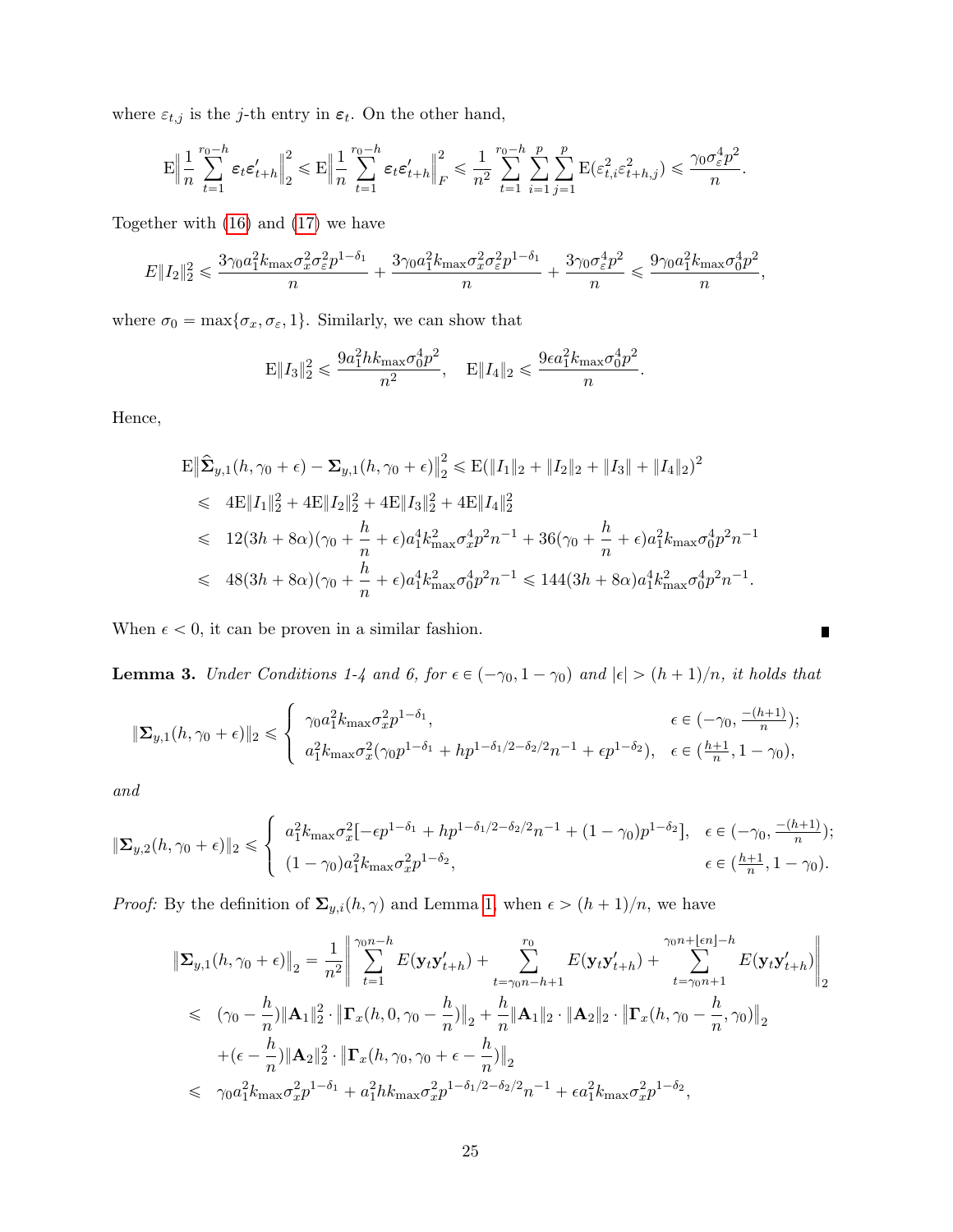where  $\varepsilon_{t,j}$  is the j-th entry in  $\varepsilon_t$ . On the other hand,

$$
\mathbf{E}\Big\|\frac{1}{n}\sum_{t=1}^{r_0-h}\pmb{\varepsilon}_t\pmb{\varepsilon}_{t+h}'\Big\|_2^2\leqslant \mathbf{E}\Big\|\frac{1}{n}\sum_{t=1}^{r_0-h}\pmb{\varepsilon}_t\pmb{\varepsilon}_{t+h}'\Big\|_F^2\leqslant \frac{1}{n^2}\sum_{t=1}^{r_0-h}\sum_{i=1}^{p}\sum_{j=1}^{p}\mathbf{E}(\varepsilon_{t,i}^2\varepsilon_{t+h,j}^2)\leqslant \frac{\gamma_0\sigma_{\varepsilon}^4p^2}{n}.
$$

Together with [\(16\)](#page-23-0) and [\(17\)](#page-23-1) we have

$$
E\|I_2\|_2^2 \leqslant \frac{3\gamma_0 a_1^2 k_{\max} \sigma_x^2 \sigma_\varepsilon^2 p^{1-\delta_1}}{n} + \frac{3\gamma_0 a_1^2 k_{\max} \sigma_x^2 \sigma_\varepsilon^2 p^{1-\delta_1}}{n} + \frac{3\gamma_0 \sigma_\varepsilon^4 p^2}{n} \leqslant \frac{9\gamma_0 a_1^2 k_{\max} \sigma_0^4 p^2}{n},
$$

where  $\sigma_0 = \max{\lbrace \sigma_x, \sigma_{\varepsilon}, 1 \rbrace}$ . Similarly, we can show that

$$
\mathbf{E} \|I_3\|_2^2 \leqslant \frac{9a_1^2 h k_{\max} \sigma_0^4 p^2}{n^2}, \quad \mathbf{E} \|I_4\|_2 \leqslant \frac{9\epsilon a_1^2 k_{\max} \sigma_0^4 p^2}{n}.
$$

Hence,

$$
\mathbf{E} \|\hat{\mathbf{\Sigma}}_{y,1}(h,\gamma_0+\epsilon) - \mathbf{\Sigma}_{y,1}(h,\gamma_0+\epsilon)\|_2^2 \le \mathbf{E}(\|I_1\|_2 + \|I_2\|_2 + \|I_3\| + \|I_4\|_2)^2
$$
  
\n
$$
\le 4\mathbf{E}\|I_1\|_2^2 + 4\mathbf{E}\|I_2\|_2^2 + 4\mathbf{E}\|I_3\|_2^2 + 4\mathbf{E}\|I_4\|_2^2
$$
  
\n
$$
\le 12(3h + 8\alpha)(\gamma_0 + \frac{h}{n} + \epsilon)a_1^4 k_{\text{max}}^2 \sigma_x^4 p^2 n^{-1} + 36(\gamma_0 + \frac{h}{n} + \epsilon)a_1^2 k_{\text{max}} \sigma_0^4 p^2 n^{-1}
$$
  
\n
$$
\le 48(3h + 8\alpha)(\gamma_0 + \frac{h}{n} + \epsilon)a_1^4 k_{\text{max}}^2 \sigma_0^4 p^2 n^{-1} \le 144(3h + 8\alpha)a_1^4 k_{\text{max}}^2 \sigma_0^4 p^2 n^{-1}.
$$

When  $\epsilon$  < 0, it can be proven in a similar fashion.

<span id="page-24-0"></span>**Lemma 3.** Under Conditions 1-4 and 6, for  $\epsilon \in (-\gamma_0, 1 - \gamma_0)$  and  $|\epsilon| > (h + 1)/n$ , it holds that

 $\blacksquare$ 

$$
\|\mathbf{\Sigma}_{y,1}(h,\gamma_0+\epsilon)\|_2 \leqslant \begin{cases} \gamma_0 a_1^2 k_{\max} \sigma_x^2 p^{1-\delta_1}, & \epsilon \in (-\gamma_0, \frac{-(h+1)}{n}); \\ a_1^2 k_{\max} \sigma_x^2 (\gamma_0 p^{1-\delta_1} + h p^{1-\delta_1/2-\delta_2/2} n^{-1} + \epsilon p^{1-\delta_2}), & \epsilon \in (\frac{h+1}{n}, 1-\gamma_0), \end{cases}
$$

and

$$
\|\Sigma_{y,2}(h,\gamma_0+\epsilon)\|_2 \leqslant \left\{\begin{array}{ll} a_1^2 k_{\max} \sigma_x^2[-\epsilon p^{1-\delta_1}+hp^{1-\delta_1/2-\delta_2/2}n^{-1}+(1-\gamma_0)p^{1-\delta_2}], & \epsilon\in(-\gamma_0,\frac{-(h+1)}{n});\\ (1-\gamma_0)a_1^2 k_{\max} \sigma_x^2p^{1-\delta_2}, & \epsilon\in(\frac{h+1}{n},1-\gamma_0). \end{array}\right.
$$

*Proof:* By the definition of  $\Sigma_{y,i}(h, \gamma)$  and Lemma [1,](#page-21-0) when  $\epsilon > (h + 1)/n$ , we have

$$
\begin{split}\n\|\Sigma_{y,1}(h,\gamma_{0}+\epsilon)\|_{2} &= \frac{1}{n^{2}} \left\| \sum_{t=1}^{\gamma_{0}n-h} E(\mathbf{y}_{t}\mathbf{y}_{t+h}') + \sum_{t=\gamma_{0}n-h+1}^{r_{0}} E(\mathbf{y}_{t}\mathbf{y}_{t+h}') + \sum_{t=\gamma_{0}n+1}^{\gamma_{0}n+[en]-h} E(\mathbf{y}_{t}\mathbf{y}_{t+h}') \right\|_{2} \\
&\leqslant (\gamma_{0}-\frac{h}{n}) \|\mathbf{A}_{1}\|_{2}^{2} \cdot \|\mathbf{\Gamma}_{x}(h,0,\gamma_{0}-\frac{h}{n})\|_{2} + \frac{h}{n} \|\mathbf{A}_{1}\|_{2} \cdot \|\mathbf{A}_{2}\|_{2} \cdot \|\mathbf{\Gamma}_{x}(h,\gamma_{0}-\frac{h}{n},\gamma_{0})\|_{2} \\
&\quad + (\epsilon - \frac{h}{n}) \|\mathbf{A}_{2}\|_{2}^{2} \cdot \|\mathbf{\Gamma}_{x}(h,\gamma_{0},\gamma_{0}+\epsilon-\frac{h}{n})\|_{2} \\
&\leqslant \gamma_{0} a_{1}^{2} k_{\max} \sigma_{x}^{2} p^{1-\delta_{1}} + a_{1}^{2} h k_{\max} \sigma_{x}^{2} p^{1-\delta_{1}/2-\delta_{2}/2} n^{-1} + \epsilon a_{1}^{2} k_{\max} \sigma_{x}^{2} p^{1-\delta_{2}},\n\end{split}
$$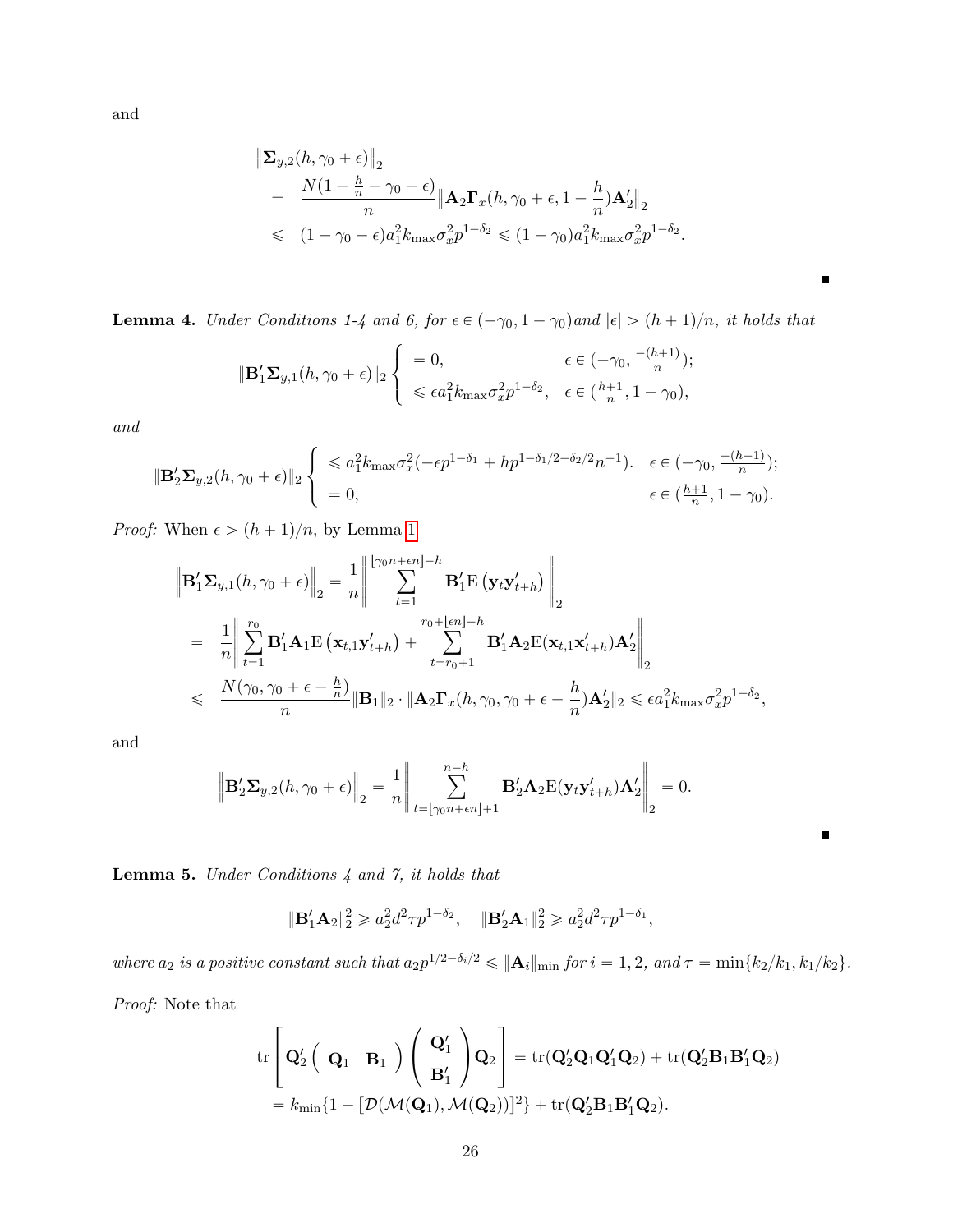and

$$
\|\Sigma_{y,2}(h,\gamma_0+\epsilon)\|_2
$$
  
= 
$$
\frac{N(1-\frac{h}{n}-\gamma_0-\epsilon)}{n} \|\mathbf{A}_2\mathbf{\Gamma}_x(h,\gamma_0+\epsilon,1-\frac{h}{n})\mathbf{A}_2'\|_2
$$
  
< 
$$
\leq (1-\gamma_0-\epsilon)a_1^2k_{\max}\sigma_x^2p^{1-\delta_2} \leq (1-\gamma_0)a_1^2k_{\max}\sigma_x^2p^{1-\delta_2}.
$$

 $\blacksquare$ 

 $\blacksquare$ 

<span id="page-25-1"></span>**Lemma 4.** Under Conditions 1-4 and 6, for  $\epsilon \in (-\gamma_0, 1 - \gamma_0)$  and  $|\epsilon| > (h + 1)/n$ , it holds that

$$
\|\mathbf{B}'_1\mathbf{\Sigma}_{y,1}(h,\gamma_0+\epsilon)\|_2\begin{cases}\n=0, & \epsilon \in (-\gamma_0, \frac{-(h+1)}{n}); \\
\leq \epsilon a_1^2 k_{\max} \sigma_x^2 p^{1-\delta_2}, & \epsilon \in (\frac{h+1}{n}, 1-\gamma_0),\n\end{cases}
$$

and

$$
\|\mathbf{B}'_2\mathbf{\Sigma}_{y,2}(h,\gamma_0+\epsilon)\|_2 \begin{cases} \leq a_1^2 k_{\max} \sigma_x^2 (-\epsilon p^{1-\delta_1} + h p^{1-\delta_1/2-\delta_2/2} n^{-1}). & \epsilon \in (-\gamma_0, \frac{-(h+1)}{n});\\ = 0, & \epsilon \in (\frac{h+1}{n}, 1-\gamma_0). \end{cases}
$$

*Proof:* When  $\epsilon > (h + 1)/n$  $\epsilon > (h + 1)/n$  $\epsilon > (h + 1)/n$ , by Lemma 1

$$
\begin{split}\n\left\| \mathbf{B}_{1}^{\prime} \boldsymbol{\Sigma}_{y,1}(h, \gamma_{0} + \epsilon) \right\|_{2} &= \frac{1}{n} \left\| \sum_{t=1}^{\lfloor \gamma_{0}n + \epsilon n \rfloor - h} \mathbf{B}_{1}^{\prime} \mathbf{E} \left( \mathbf{y}_{t} \mathbf{y}_{t+h}^{\prime} \right) \right\|_{2} \\
&= \frac{1}{n} \left\| \sum_{t=1}^{r_{0}} \mathbf{B}_{1}^{\prime} \mathbf{A}_{1} \mathbf{E} \left( \mathbf{x}_{t,1} \mathbf{y}_{t+h}^{\prime} \right) + \sum_{t=r_{0}+1}^{r_{0} + \lfloor \epsilon n \rfloor - h} \mathbf{B}_{1}^{\prime} \mathbf{A}_{2} \mathbf{E} (\mathbf{x}_{t,1} \mathbf{x}_{t+h}^{\prime}) \mathbf{A}_{2}^{\prime} \right\|_{2} \\
&\leqslant \frac{N(\gamma_{0}, \gamma_{0} + \epsilon - \frac{h}{n})}{n} \|\mathbf{B}_{1}\|_{2} \cdot \|\mathbf{A}_{2} \mathbf{\Gamma}_{x}(h, \gamma_{0}, \gamma_{0} + \epsilon - \frac{h}{n}) \mathbf{A}_{2}^{\prime} \|_{2} \leqslant \epsilon a_{1}^{2} k_{\max} \sigma_{x}^{2} p^{1 - \delta_{2}},\n\end{split}
$$

and

$$
\left\|\mathbf{B}_{2}^{\prime}\mathbf{\Sigma}_{y,2}(h,\gamma_{0}+\epsilon)\right\|_{2}=\frac{1}{n}\left\|\sum_{t=\lfloor\gamma_{0}n+\epsilon n\rfloor+1}^{n-h}\mathbf{B}_{2}^{\prime}\mathbf{A}_{2}\mathbf{E}(\mathbf{y}_{t}\mathbf{y}_{t+h}^{\prime})\mathbf{A}_{2}^{\prime}\right\|_{2}=0.
$$

<span id="page-25-0"></span>Lemma 5. Under Conditions 4 and 7, it holds that

$$
\|\mathbf{B}'_1\mathbf{A}_2\|_2^2 \geq a_2^2 d^2 \tau p^{1-\delta_2}, \quad \|\mathbf{B}'_2\mathbf{A}_1\|_2^2 \geq a_2^2 d^2 \tau p^{1-\delta_1},
$$

where  $a_2$  is a positive constant such that  $a_2 p^{1/2 - \delta_i/2} \leqslant ||\mathbf{A}_i||_{\text{min}}$  for  $i = 1, 2$ , and  $\tau = \min\{k_2/k_1, k_1/k_2\}.$ 

Proof: Note that

$$
\begin{aligned} &\mathrm{tr}\left[\mathbf{Q}_2'\left(\begin{array}{cc} \mathbf{Q}_1 & \mathbf{B}_1 \end{array}\right)\left(\begin{array}{c} \mathbf{Q}_1' \\ \mathbf{B}_1' \end{array}\right)\mathbf{Q}_2\right]=\mathrm{tr}(\mathbf{Q}_2'\mathbf{Q}_1\mathbf{Q}_1'\mathbf{Q}_2)+\mathrm{tr}(\mathbf{Q}_2'\mathbf{B}_1\mathbf{B}_1'\mathbf{Q}_2)\\ &=k_{\min}\{1-[{\cal D}(\mathcal{M}(\mathbf{Q}_1),\mathcal{M}(\mathbf{Q}_2))]^2\}+\mathrm{tr}(\mathbf{Q}_2'\mathbf{B}_1\mathbf{B}_1'\mathbf{Q}_2). \end{aligned}
$$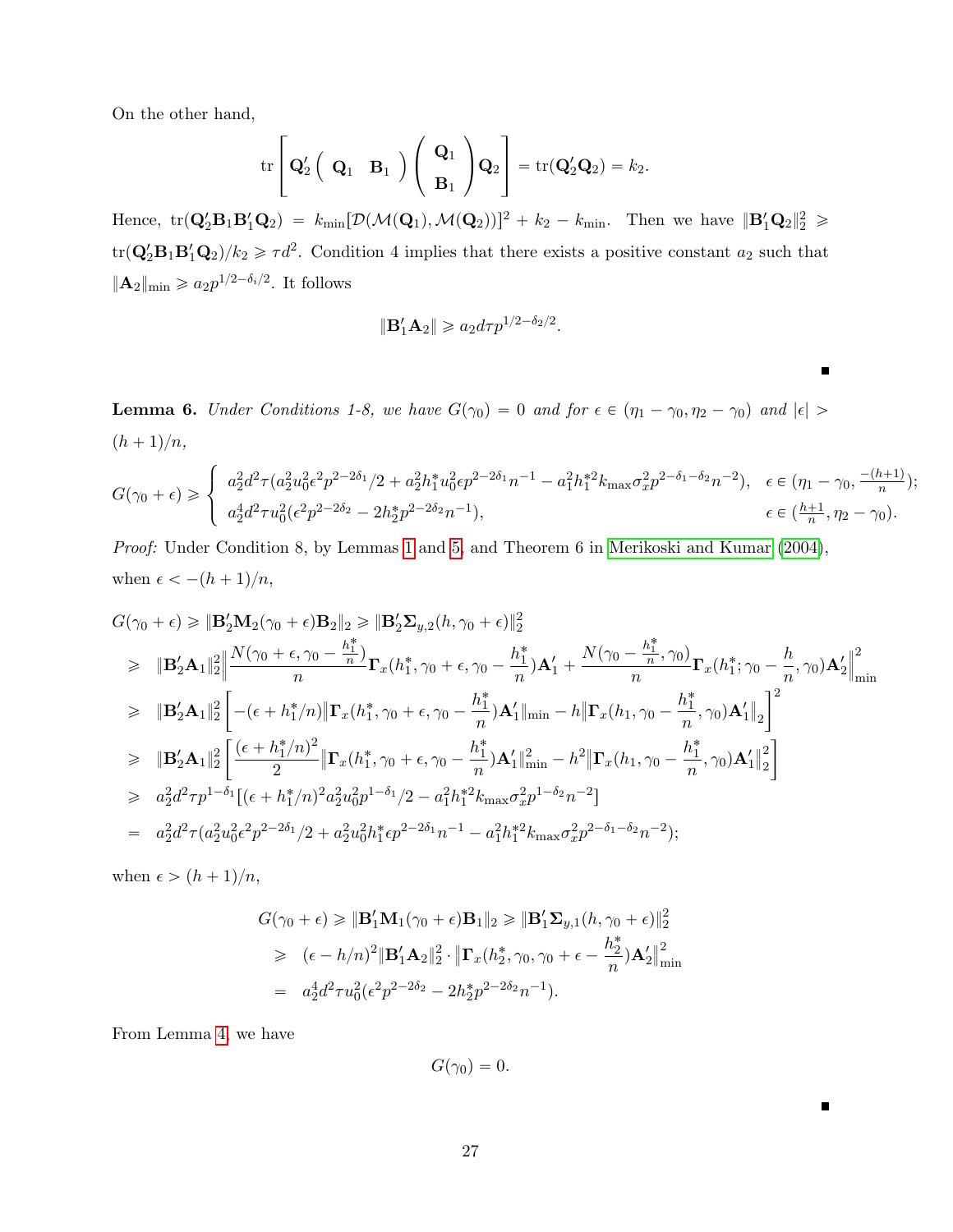On the other hand,

$$
\mathrm{tr}\left[\mathbf{Q}_2'\left(\begin{array}{cc} \mathbf{Q}_1 & \mathbf{B}_1 \end{array}\right)\left(\begin{array}{c} \mathbf{Q}_1 \\ \mathbf{B}_1 \end{array}\right)\mathbf{Q}_2\right] = \mathrm{tr}(\mathbf{Q}_2'\mathbf{Q}_2) = k_2.
$$

Hence,  $tr(\mathbf{Q}'_2 \mathbf{B}_1 \mathbf{B}'_1 \mathbf{Q}_2) = k_{\text{min}}[\mathcal{D}(\mathcal{M}(\mathbf{Q}_1), \mathcal{M}(\mathbf{Q}_2))]^2 + k_2 - k_{\text{min}}$ . Then we have  $\|\mathbf{B}'_1 \mathbf{Q}_2\|_2^2 \geq$  $\text{tr}(\mathbf{Q}_2'\mathbf{B}_1\mathbf{B}_1'\mathbf{Q}_2)/k_2 \geq \tau d^2$ . Condition 4 implies that there exists a positive constant  $a_2$  such that  $\|\mathbf{A}_2\|_{\text{min}} \geqslant a_2 p^{1/2-\delta_i/2}$ . It follows

$$
\|\mathbf{B}'_1\mathbf{A}_2\|\geqslant a_2d\tau p^{1/2-\delta_2/2}.
$$

<span id="page-26-0"></span>**Lemma 6.** Under Conditions 1-8, we have  $G(\gamma_0) = 0$  and for  $\epsilon \in (\eta_1 - \gamma_0, \eta_2 - \gamma_0)$  and  $|\epsilon| >$  $(h + 1)/n$ ,

$$
G(\gamma_0 + \epsilon) \geq \begin{cases} a_2^2 d^2 \tau (a_2^2 u_0^2 \epsilon^2 p^{2 - 2\delta_1} / 2 + a_2^2 h_1^* u_0^2 \epsilon p^{2 - 2\delta_1} n^{-1} - a_1^2 h_1^{*2} k_{\max} \sigma_x^2 p^{2 - \delta_1 - \delta_2} n^{-2}), & \epsilon \in (\eta_1 - \gamma_0, \frac{-(h+1)}{n}); \\ a_2^4 d^2 \tau u_0^2 (\epsilon^2 p^{2 - 2\delta_2} - 2 h_2^* p^{2 - 2\delta_2} n^{-1}), & \epsilon \in (\frac{h+1}{n}, \eta_2 - \gamma_0). \end{cases}
$$

Proof: Under Condition 8, by Lemmas [1](#page-21-0) and [5,](#page-25-0) and Theorem 6 in [Merikoski and Kumar](#page-35-7) [\(2004\)](#page-35-7), when  $\epsilon < -(h + 1)/n$ ,

$$
G(\gamma_{0} + \epsilon) \geq \| \mathbf{B}_{2}^{\prime} \mathbf{M}_{2}(\gamma_{0} + \epsilon) \mathbf{B}_{2} \|_{2} \geq \| \mathbf{B}_{2}^{\prime} \mathbf{\Sigma}_{y,2}(h, \gamma_{0} + \epsilon) \|_{2}^{2}
$$
\n
$$
\geq \| \mathbf{B}_{2}^{\prime} \mathbf{A}_{1} \|_{2}^{2} \Big\| \frac{N(\gamma_{0} + \epsilon, \gamma_{0} - \frac{h_{1}^{*}}{n})}{n} \mathbf{\Gamma}_{x}(h_{1}^{*}, \gamma_{0} + \epsilon, \gamma_{0} - \frac{h_{1}^{*}}{n}) \mathbf{A}_{1}^{\prime} + \frac{N(\gamma_{0} - \frac{h_{1}^{*}}{n}, \gamma_{0})}{n} \mathbf{\Gamma}_{x}(h_{1}^{*}, \gamma_{0} - \frac{h}{n}, \gamma_{0}) \mathbf{A}_{2}^{\prime} \Big\|_{\min}^{2}
$$
\n
$$
\geq \| \mathbf{B}_{2}^{\prime} \mathbf{A}_{1} \|_{2}^{2} \Big[ -(\epsilon + h_{1}^{*}/n) \| \mathbf{\Gamma}_{x}(h_{1}^{*}, \gamma_{0} + \epsilon, \gamma_{0} - \frac{h_{1}^{*}}{n}) \mathbf{A}_{1}^{\prime} \|_{\min} - h \| \mathbf{\Gamma}_{x}(h_{1}, \gamma_{0} - \frac{h_{1}^{*}}{n}, \gamma_{0}) \mathbf{A}_{1}^{\prime} \|_{2} \Big]^{2}
$$
\n
$$
\geq \| \mathbf{B}_{2}^{\prime} \mathbf{A}_{1} \|_{2}^{2} \Big[ \frac{(\epsilon + h_{1}^{*}/n)^{2}}{2} \| \mathbf{\Gamma}_{x}(h_{1}^{*}, \gamma_{0} + \epsilon, \gamma_{0} - \frac{h_{1}^{*}}{n}) \mathbf{A}_{1}^{\prime} \|_{\min}^{2} - h^{2} \| \mathbf{\Gamma}_{x}(h_{1}, \gamma_{0} - \frac{h_{1}^{*}}{n}, \gamma_{0}) \mathbf{A}_{1}^{\prime} \|_{2}^{2} \Big]
$$
\n
$$
\geq a_{2}^{2} d^{2} \tau p^{1-\delta_{1}} [(\epsilon + h_{1}^{*}/n)^{2} a_{2}^{2} u_{0}^{2} p^{1-\delta_{1}}/
$$

when  $\epsilon > (h + 1)/n$ ,

$$
G(\gamma_0 + \epsilon) \geq \| \mathbf{B}_1' \mathbf{M}_1(\gamma_0 + \epsilon) \mathbf{B}_1 \|_2 \geq \| \mathbf{B}_1' \mathbf{\Sigma}_{y,1}(h, \gamma_0 + \epsilon) \|_2^2
$$
  
\n
$$
\geq (\epsilon - h/n)^2 \| \mathbf{B}_1' \mathbf{A}_2 \|_2^2 \cdot \| \mathbf{\Gamma}_x(h_2^*, \gamma_0, \gamma_0 + \epsilon - \frac{h_2^*}{n}) \mathbf{A}_2' \|_{\min}^2
$$
  
\n
$$
= a_2^4 d^2 \tau u_0^2 (\epsilon^2 p^{2 - 2\delta_2} - 2h_2^* p^{2 - 2\delta_2} n^{-1}).
$$

From Lemma [4,](#page-25-1) we have

$$
G(\gamma_0)=0.
$$

 $\blacksquare$ 

 $\blacksquare$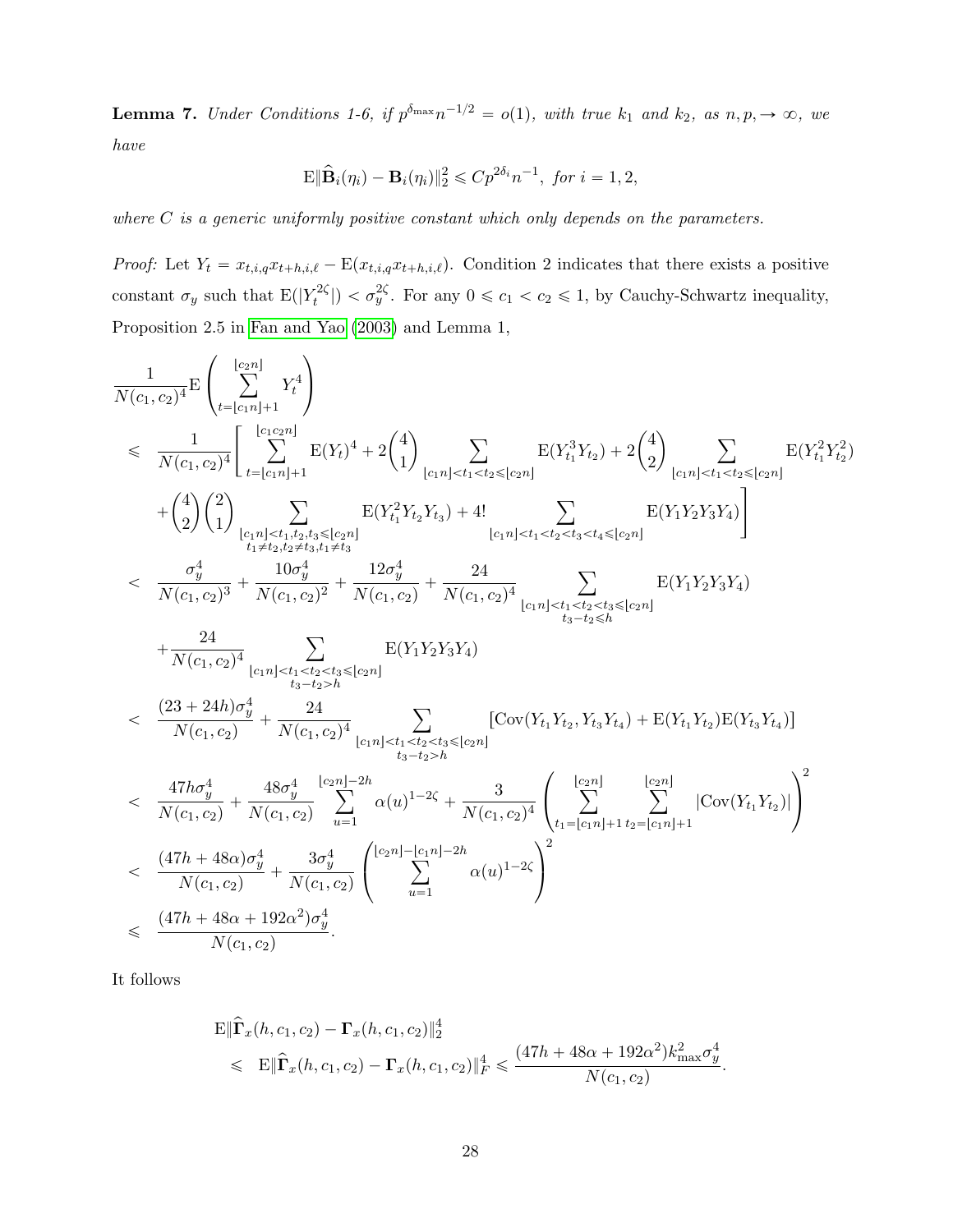<span id="page-27-0"></span>**Lemma 7.** Under Conditions 1-6, if  $p^{\delta_{\max}}n^{-1/2} = o(1)$ , with true  $k_1$  and  $k_2$ , as  $n, p, \rightarrow \infty$ , we have

$$
\mathbf{E} \|\widehat{\mathbf{B}}_i(\eta_i) - \mathbf{B}_i(\eta_i)\|_2^2 \leqslant C p^{2\delta_i} n^{-1}, \text{ for } i = 1, 2,
$$

where  $C$  is a generic uniformly positive constant which only depends on the parameters.

*Proof:* Let  $Y_t = x_{t,i,q}x_{t+h,i,\ell} - \mathbb{E}(x_{t,i,q}x_{t+h,i,\ell})$ . Condition 2 indicates that there exists a positive constant  $\sigma_y$  such that  $E(|Y_t^{2\zeta})$  $\left| \mathcal{F}_{t}^{2\zeta} \right|$   $\langle \sigma_{y}^{2\zeta} \rangle$ . For any  $0 \leq c_1 < c_2 \leq 1$ , by Cauchy-Schwartz inequality, Proposition 2.5 in [Fan and Yao](#page-34-12) [\(2003\)](#page-34-12) and Lemma 1,

$$
\begin{array}{lcl} \displaystyle & \frac{1}{N(c_1,c_2)^4} \mathbf{E} \left( \sum\limits_{t = \lfloor c_1n \rfloor + 1}^{c_2n \rfloor} Y_t^4 \right) \\[1mm] & \leqslant & \displaystyle \frac{1}{N(c_1,c_2)^4} \Bigg[ \sum\limits_{t = \lfloor c_1n \rfloor + 1}^{c_1c_2n \rfloor} \mathbf{E}(Y_t)^4 + 2\binom{4}{1} \sum\limits_{\lfloor c_1n \rfloor < t_1 < t_2 \leqslant \lfloor c_2n \rfloor} \mathbf{E}(Y_{t_1}^3 Y_{t_2}) + 2\binom{4}{2} \sum\limits_{\lfloor c_1n \rfloor < t_1 < t_2 \leqslant \lfloor c_2n \rfloor} \mathbf{E}(Y_{t_1}^2 Y_{t_2}^2) \\[1mm] & \displaystyle + \binom{4}{2} \binom{2}{1} \sum\limits_{\lfloor c_1n \rfloor < t_1,t_2,t_3 \leqslant \lfloor c_2n \rfloor} \mathbf{E}(Y_{t_1}^2 Y_{t_2} Y_{t_3}) + 4! \sum\limits_{\lfloor c_1n \rfloor < t_1 < t_2 < t_3 \leqslant \lfloor c_2n \rfloor} \mathbf{E}(Y_1 Y_2 Y_3 Y_4) \Bigg] \\[1mm] & < & \displaystyle \frac{\sigma_y^4}{N(c_1,c_2)^3} + \frac{10 \sigma_y^4}{N(c_1,c_2)^2} + \frac{12 \sigma_y^4}{N(c_1,c_2)} + \frac{24}{N(c_1,c_2)^4} \sum\limits_{\lfloor c_1n \rfloor < t_1 < t_2 < t_3 \leqslant \lfloor c_2n \rfloor} \mathbf{E}(Y_1 Y_2 Y_3 Y_4) \\[1mm] & \displaystyle + \frac{24}{N(c_1,c_2)^4} \sum\limits_{\lfloor c_1n \rfloor < t_1 < t_2 < t_3 \leqslant \lfloor c_2n \rfloor} \mathbf{E}(Y_1 Y_2 Y_3 Y_4) \\[1mm] & < & \displaystyle \frac{(23 + 24h)\sigma_y^4}{N(c_1,c_2)} + \frac{24}{N(c_1,c_2)^4} \sum\limits_{\lfloor c_1n \rf
$$

It follows

$$
\mathbf{E} \|\hat{\mathbf{\Gamma}}_x(h, c_1, c_2) - \mathbf{\Gamma}_x(h, c_1, c_2)\|_2^4
$$
  
\$\leq\$ 
$$
\mathbf{E} \|\hat{\mathbf{\Gamma}}_x(h, c_1, c_2) - \mathbf{\Gamma}_x(h, c_1, c_2)\|_F^4 \leq \frac{(47h + 48\alpha + 192\alpha^2)k_{\text{max}}^2\sigma_y^4}{N(c_1, c_2)}.
$$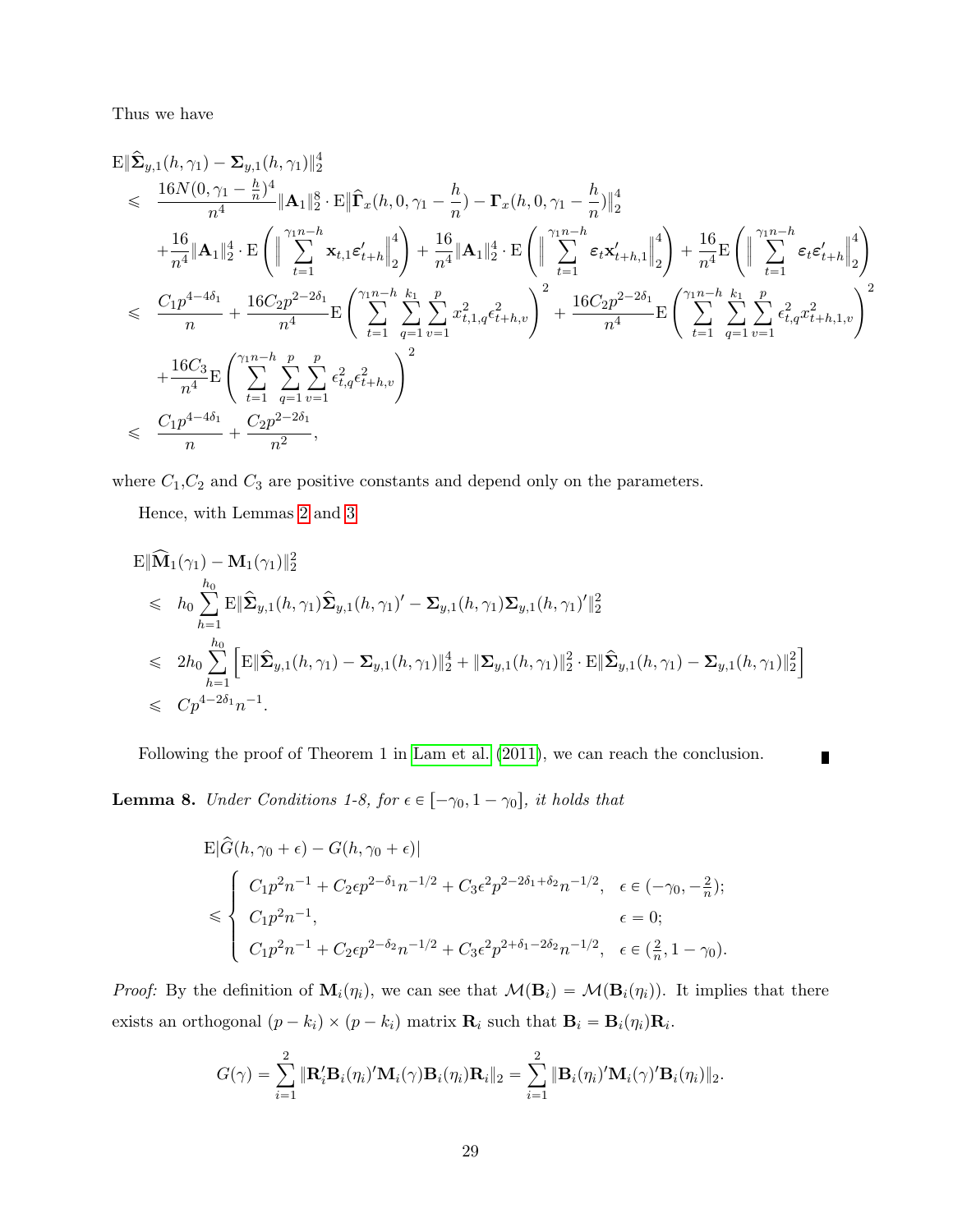Thus we have

$$
\begin{split} &\mathbf{E}\|\hat{\mathbf{\Sigma}}_{y,1}(h,\gamma_{1})-\mathbf{\Sigma}_{y,1}(h,\gamma_{1})\|_{2}^{4} \\&\leqslant \frac{16N(0,\gamma_{1}-\frac{h}{n})^{4}}{n^{4}}\|\mathbf{A}_{1}\|_{2}^{8}\cdot\mathbf{E}\|\hat{\mathbf{\Gamma}}_{x}(h,0,\gamma_{1}-\frac{h}{n})-\mathbf{\Gamma}_{x}(h,0,\gamma_{1}-\frac{h}{n})\|_{2}^{4} \\&+\frac{16}{n^{4}}\|\mathbf{A}_{1}\|_{2}^{4}\cdot\mathbf{E}\left(\left\|\sum_{t=1}^{\gamma_{1}n-h}\mathbf{x}_{t,1}\boldsymbol{\varepsilon}_{t+h}^{'}\right\|_{2}^{4}\right)+\frac{16}{n^{4}}\|\mathbf{A}_{1}\|_{2}^{4}\cdot\mathbf{E}\left(\left\|\sum_{t=1}^{\gamma_{1}n-h}\boldsymbol{\varepsilon}_{t}\mathbf{x}_{t+h,1}^{'}\right\|_{2}^{4}\right)+\frac{16}{n^{4}}\mathbf{E}\left(\left\|\sum_{t=1}^{\gamma_{1}n-h}\boldsymbol{\varepsilon}_{t}\boldsymbol{\varepsilon}_{t+h}^{'}\right\|_{2}^{4}\right) \\&\leqslant \frac{C_{1}p^{4-4\delta_{1}}}{n}+\frac{16C_{2}p^{2-2\delta_{1}}}{n^{4}}\mathbf{E}\left(\sum_{t=1}^{\gamma_{1}n-h}\sum_{q=1}^{k_{1}}\sum_{v=1}^{p}\mathbf{x}_{t,1,q}^{2}\boldsymbol{\varepsilon}_{t+h,v}^{2}\right)^{2}+\frac{16C_{2}p^{2-2\delta_{1}}}{n^{4}}\mathbf{E}\left(\sum_{t=1}^{\gamma_{1}n-h}\sum_{q=1}^{k_{1}}\sum_{v=1}^{p}\boldsymbol{\varepsilon}_{t,q}^{2}\boldsymbol{\varepsilon}_{t+h,v}^{2}\right)^{2} \\&+\frac{16C_{3}}{n^{4}}\mathbf{E}\left(\sum_{t=1}^{\gamma_{1}n-h}\sum_{q=1}^{p}\sum_{v=1}^{p}\boldsymbol{\varepsilon}_{t,q}^{2}\boldsymbol{\varepsilon}_{t+h,v}^{2}\right)^{2} \\&\leqslant \frac{C_{1}p^{4-4\delta_{1}}}{n}+\frac{C_{2}
$$

where  $C_1, C_2$  and  $C_3$  are positive constants and depend only on the parameters.

Hence, with Lemmas [2](#page-22-0) and [3](#page-24-0)

$$
\mathbf{E} \|\widehat{\mathbf{M}}_1(\gamma_1) - \mathbf{M}_1(\gamma_1)\|_2^2
$$
\n
$$
\leq h_0 \sum_{h=1}^{h_0} \mathbf{E} \|\widehat{\mathbf{\Sigma}}_{y,1}(h, \gamma_1)\widehat{\mathbf{\Sigma}}_{y,1}(h, \gamma_1)' - \mathbf{\Sigma}_{y,1}(h, \gamma_1)\mathbf{\Sigma}_{y,1}(h, \gamma_1)'\|_2^2
$$
\n
$$
\leq 2h_0 \sum_{h=1}^{h_0} \left[ \mathbf{E} \|\widehat{\mathbf{\Sigma}}_{y,1}(h, \gamma_1) - \mathbf{\Sigma}_{y,1}(h, \gamma_1)\|_2^4 + \|\mathbf{\Sigma}_{y,1}(h, \gamma_1)\|_2^2 \cdot \mathbf{E} \|\widehat{\mathbf{\Sigma}}_{y,1}(h, \gamma_1) - \mathbf{\Sigma}_{y,1}(h, \gamma_1)\|_2^2 \right]
$$
\n
$$
\leq C p^{4-2\delta_1} n^{-1}.
$$

Following the proof of Theorem 1 in [Lam et al.](#page-34-0) [\(2011\)](#page-34-0), we can reach the conclusion.  $\blacksquare$ 

<span id="page-28-0"></span>**Lemma 8.** Under Conditions 1-8, for  $\epsilon \in [-\gamma_0, 1 - \gamma_0]$ , it holds that

$$
\begin{aligned} &\mathbf{E}|\hat{G}(h,\gamma_{0}+\epsilon)-G(h,\gamma_{0}+\epsilon)|\\&\leqslant\begin{cases} C_{1}p^{2}n^{-1}+C_{2}\epsilon p^{2-\delta_{1}}n^{-1/2}+C_{3}\epsilon^{2}p^{2-2\delta_{1}+\delta_{2}}n^{-1/2}, & \epsilon\in(-\gamma_{0},-\frac{2}{n});\\ C_{1}p^{2}n^{-1}, & \epsilon=0;\\ C_{1}p^{2}n^{-1}+C_{2}\epsilon p^{2-\delta_{2}}n^{-1/2}+C_{3}\epsilon^{2}p^{2+\delta_{1}-2\delta_{2}}n^{-1/2}, & \epsilon\in(\frac{2}{n},1-\gamma_{0}). \end{cases}\end{aligned}
$$

*Proof:* By the definition of  $\mathbf{M}_i(\eta_i)$ , we can see that  $\mathcal{M}(\mathbf{B}_i) = \mathcal{M}(\mathbf{B}_i(\eta_i))$ . It implies that there exists an orthogonal  $(p - k_i) \times (p - k_i)$  matrix  $\mathbf{R}_i$  such that  $\mathbf{B}_i = \mathbf{B}_i(\eta_i)\mathbf{R}_i$ .

$$
G(\gamma) = \sum_{i=1}^2 \|\mathbf{R}'_i \mathbf{B}_i(\eta_i)' \mathbf{M}_i(\gamma) \mathbf{B}_i(\eta_i) \mathbf{R}_i\|_2 = \sum_{i=1}^2 \|\mathbf{B}_i(\eta_i)' \mathbf{M}_i(\gamma)' \mathbf{B}_i(\eta_i)\|_2.
$$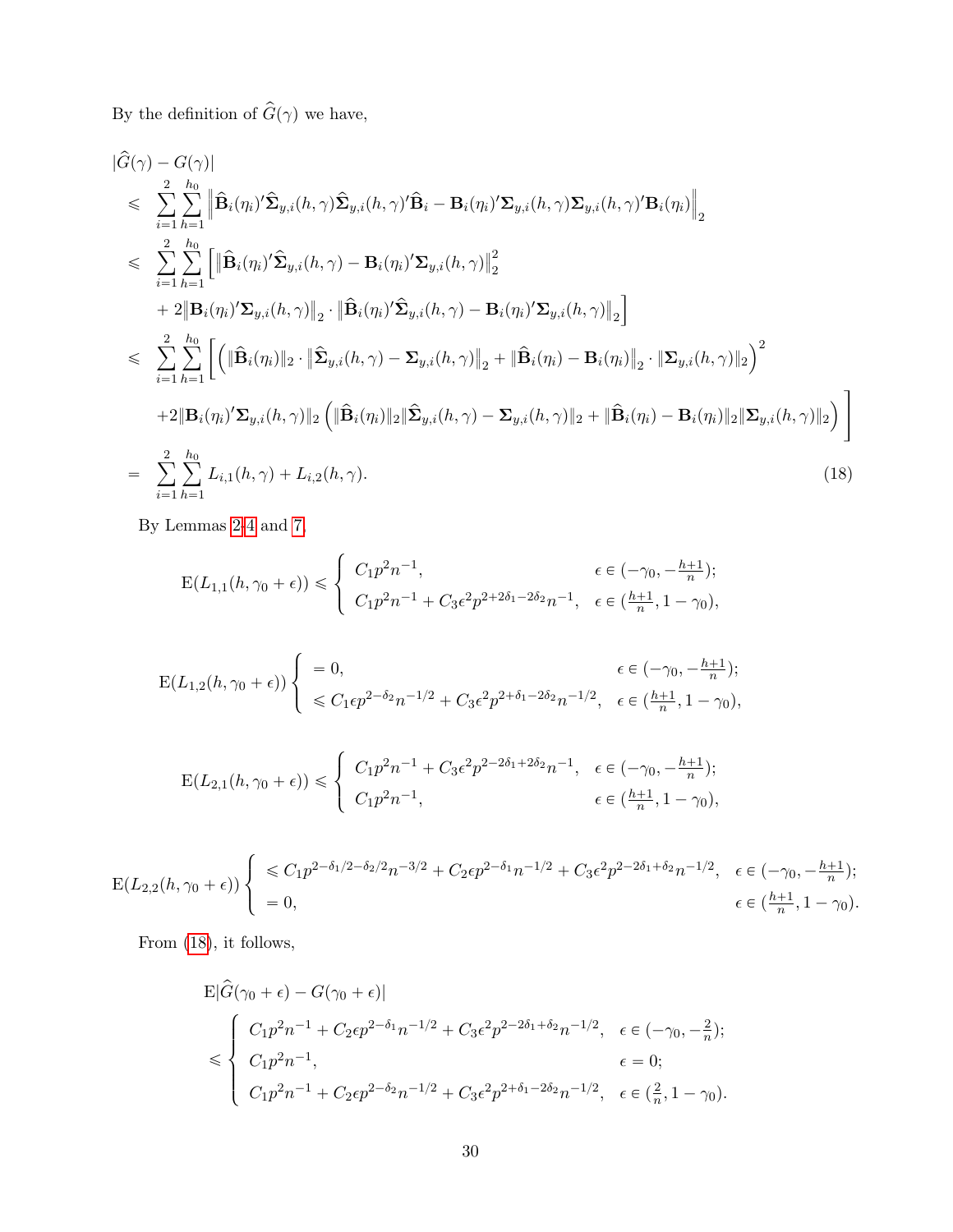By the definition of  $\hat{G}(\gamma)$  we have,

<span id="page-29-0"></span>
$$
\begin{split}\n&\|\hat{G}(\gamma) - G(\gamma)\| \\
&\leq \sum_{i=1}^{2} \sum_{h=1}^{h_0} \left\| \hat{\mathbf{B}}_i(\eta_i)' \hat{\mathbf{\Sigma}}_{y,i}(h,\gamma) \hat{\mathbf{\Sigma}}_{y,i}(h,\gamma)' \hat{\mathbf{B}}_i - \mathbf{B}_i(\eta_i)' \mathbf{\Sigma}_{y,i}(h,\gamma) \mathbf{\Sigma}_{y,i}(h,\gamma)' \mathbf{B}_i(\eta_i) \right\|_2 \\
&\leq \sum_{i=1}^{2} \sum_{h=1}^{h_0} \left[ \left\| \hat{\mathbf{B}}_i(\eta_i)' \hat{\mathbf{\Sigma}}_{y,i}(h,\gamma) - \mathbf{B}_i(\eta_i)' \mathbf{\Sigma}_{y,i}(h,\gamma) \right\|_2^2 \right. \\
&\quad + 2 \left\| \mathbf{B}_i(\eta_i)' \mathbf{\Sigma}_{y,i}(h,\gamma) \right\|_2 \cdot \left\| \hat{\mathbf{B}}_i(\eta_i)' \hat{\mathbf{\Sigma}}_{y,i}(h,\gamma) - \mathbf{B}_i(\eta_i)' \mathbf{\Sigma}_{y,i}(h,\gamma) \right\|_2 \right] \\
&\leq \sum_{i=1}^{2} \sum_{h=1}^{h_0} \left[ \left( \left\| \hat{\mathbf{B}}_i(\eta_i) \right\|_2 \cdot \left\| \hat{\mathbf{\Sigma}}_{y,i}(h,\gamma) - \mathbf{\Sigma}_{y,i}(h,\gamma) \right\|_2 + \left\| \hat{\mathbf{B}}_i(\eta_i) - \mathbf{B}_i(\eta_i) \right\|_2 \cdot \left\| \mathbf{\Sigma}_{y,i}(h,\gamma) \right\|_2 \right)^2 \right. \\
&\quad + 2 \left\| \mathbf{B}_i(\eta_i)' \mathbf{\Sigma}_{y,i}(h,\gamma) \right\|_2 \left( \left\| \hat{\mathbf{B}}_i(\eta_i) \right\|_2 \left\| \hat{\mathbf{\Sigma}}_{y,i}(h,\gamma) - \mathbf{\Sigma}_{y,i}(h,\gamma) \right\|_2 + \left\| \hat{\mathbf{B}}_i(\eta_i) - \mathbf{B}_i(\eta_i) \right\|_2 \left\| \mathbf{\Sigma}_{y,i}(h,\gamma) \right\|_2 \right) \right] \\
&= \sum_{i=1}^{2} \sum_{h=1}^{h_0} L_{i,1}(h,\gamma) + L_{i,2}(
$$

By Lemmas [2](#page-22-0)[-4](#page-25-1) and [7,](#page-27-0)

$$
E(L_{1,1}(h, \gamma_0 + \epsilon)) \leq \begin{cases} C_1 p^2 n^{-1}, & \epsilon \in (-\gamma_0, -\frac{h+1}{n}); \\ C_1 p^2 n^{-1} + C_3 \epsilon^2 p^{2+2\delta_1 - 2\delta_2} n^{-1}, & \epsilon \in (\frac{h+1}{n}, 1 - \gamma_0), \end{cases}
$$

$$
\mathcal{E}(L_{1,2}(h,\gamma_0+\epsilon))\begin{cases}\n=0, & \epsilon \in (-\gamma_0, -\frac{h+1}{n}); \\
\leq C_1 \epsilon p^{2-\delta_2} n^{-1/2} + C_3 \epsilon^2 p^{2+\delta_1-2\delta_2} n^{-1/2}, & \epsilon \in (\frac{h+1}{n}, 1-\gamma_0),\n\end{cases}
$$

$$
E(L_{2,1}(h, \gamma_0 + \epsilon)) \leq \begin{cases} C_1 p^2 n^{-1} + C_3 \epsilon^2 p^{2 - 2\delta_1 + 2\delta_2} n^{-1}, & \epsilon \in (-\gamma_0, -\frac{h+1}{n});\\ C_1 p^2 n^{-1}, & \epsilon \in (\frac{h+1}{n}, 1 - \gamma_0), \end{cases}
$$

$$
\mathcal{E}(L_{2,2}(h,\gamma_0+\epsilon))\begin{cases} \leq C_1 p^{2-\delta_1/2-\delta_2/2}n^{-3/2} + C_2\epsilon p^{2-\delta_1}n^{-1/2} + C_3\epsilon^2 p^{2-2\delta_1+\delta_2}n^{-1/2}, & \epsilon \in (-\gamma_0, -\frac{h+1}{n});\\ = 0, & \epsilon \in (\frac{h+1}{n}, 1-\gamma_0). \end{cases}
$$

From [\(18\)](#page-29-0), it follows,

$$
\begin{aligned} &\mathbf{E}|\hat{G}(\gamma_0+\epsilon)-G(\gamma_0+\epsilon)|\\ &\leqslant \begin{cases} C_1p^2n^{-1}+C_2\epsilon p^{2-\delta_1}n^{-1/2}+C_3\epsilon^2p^{2-2\delta_1+\delta_2}n^{-1/2}, & \epsilon\in(-\gamma_0,-\frac{2}{n});\\ C_1p^2n^{-1}, & \epsilon=0;\\ C_1p^2n^{-1}+C_2\epsilon p^{2-\delta_2}n^{-1/2}+C_3\epsilon^2p^{2+\delta_1-2\delta_2}n^{-1/2}, & \epsilon\in(\frac{2}{n},1-\gamma_0). \end{cases}\end{aligned}
$$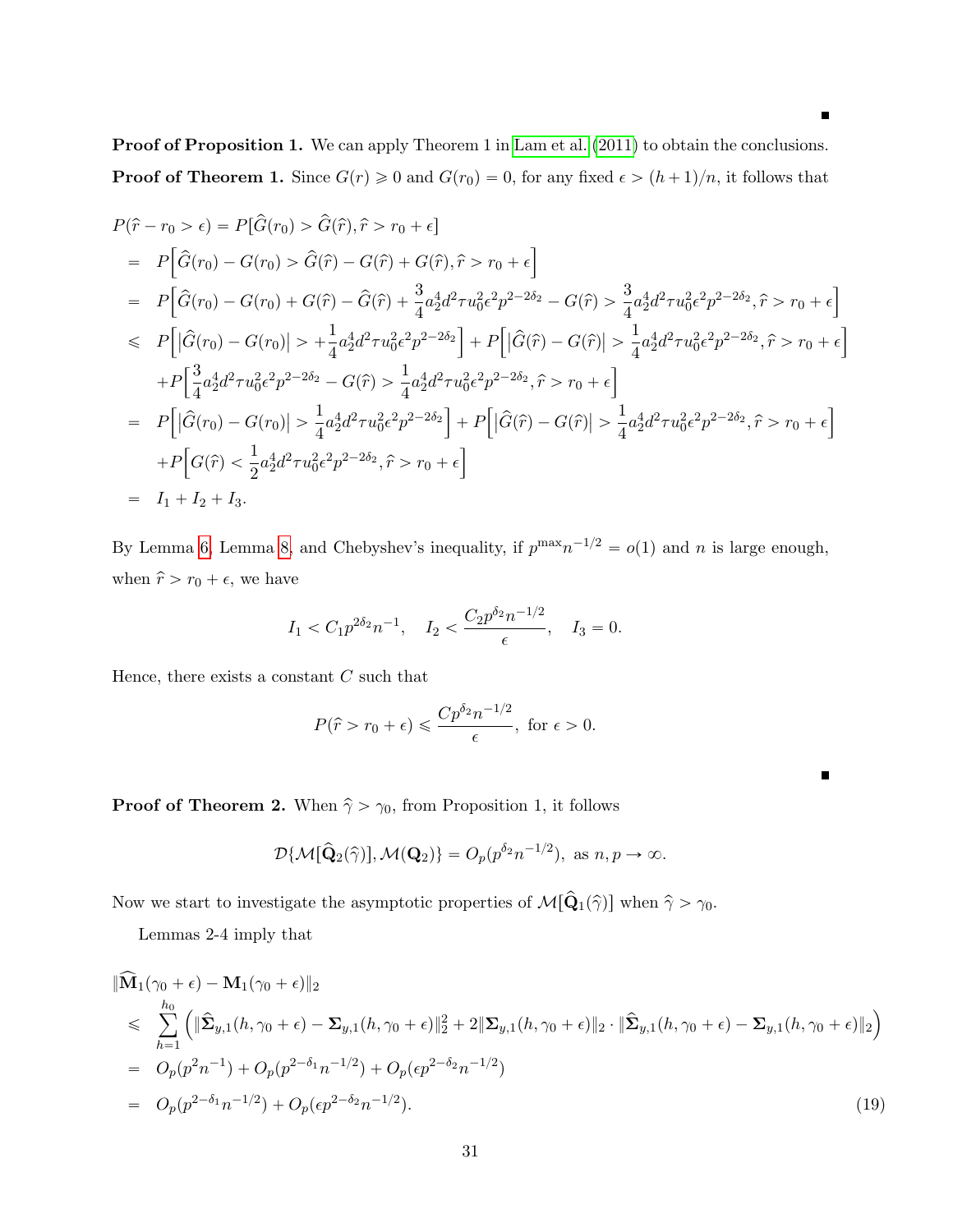$\blacksquare$ 

Proof of Proposition 1. We can apply Theorem 1 in [Lam et al.](#page-34-0) [\(2011\)](#page-34-0) to obtain the conclusions. **Proof of Theorem 1.** Since  $G(r) \geq 0$  and  $G(r_0) = 0$ , for any fixed  $\epsilon > (h + 1)/n$ , it follows that

$$
P(\hat{r} - r_0 > \epsilon) = P[\hat{G}(r_0) > \hat{G}(\hat{r}), \hat{r} > r_0 + \epsilon]
$$
  
\n
$$
= P[\hat{G}(r_0) - G(r_0) > \hat{G}(\hat{r}) - G(\hat{r}) + G(\hat{r}), \hat{r} > r_0 + \epsilon]
$$
  
\n
$$
= P[\hat{G}(r_0) - G(r_0) + G(\hat{r}) - \hat{G}(\hat{r}) + \frac{3}{4}a_2^4d^2\tau u_0^2\epsilon^2p^{2-2\delta_2} - G(\hat{r}) > \frac{3}{4}a_2^4d^2\tau u_0^2\epsilon^2p^{2-2\delta_2}, \hat{r} > r_0 + \epsilon]
$$
  
\n
$$
\leq P[|\hat{G}(r_0) - G(r_0)| > + \frac{1}{4}a_2^4d^2\tau u_0^2\epsilon^2p^{2-2\delta_2}] + P[|\hat{G}(\hat{r}) - G(\hat{r})| > \frac{1}{4}a_2^4d^2\tau u_0^2\epsilon^2p^{2-2\delta_2}, \hat{r} > r_0 + \epsilon]
$$
  
\n
$$
+ P[\frac{3}{4}a_2^4d^2\tau u_0^2\epsilon^2p^{2-2\delta_2} - G(\hat{r}) > \frac{1}{4}a_2^4d^2\tau u_0^2\epsilon^2p^{2-2\delta_2}, \hat{r} > r_0 + \epsilon]
$$
  
\n
$$
= P[|\hat{G}(r_0) - G(r_0)| > \frac{1}{4}a_2^4d^2\tau u_0^2\epsilon^2p^{2-2\delta_2}] + P[|\hat{G}(\hat{r}) - G(\hat{r})| > \frac{1}{4}a_2^4d^2\tau u_0^2\epsilon^2p^{2-2\delta_2}, \hat{r} > r_0 + \epsilon]
$$
  
\n
$$
+ P[G(\hat{r}) < \frac{1}{2}a_2^4d^2\tau u_0^2\epsilon^2p^{2-2\delta_2}, \hat{r} > r_0 + \epsilon]
$$
  
\n
$$
= I_1 + I_2 + I_3.
$$

By Lemma [6,](#page-26-0) Lemma [8,](#page-28-0) and Chebyshev's inequality, if  $p^{\max}n^{-1/2} = o(1)$  and n is large enough, when  $\hat{r} > r_0 + \epsilon$ , we have

$$
I_1 < C_1 p^{2\delta_2} n^{-1}, \quad I_2 < \frac{C_2 p^{\delta_2} n^{-1/2}}{\epsilon}, \quad I_3 = 0.
$$

Hence, there exists a constant  $C$  such that

$$
P(\hat{r} > r_0 + \epsilon) \leq \frac{Cp^{\delta_2}n^{-1/2}}{\epsilon}, \text{ for } \epsilon > 0.
$$

 $\blacksquare$ 

**Proof of Theorem 2.** When  $\hat{\gamma} > \gamma_0$ , from Proposition 1, it follows

$$
\mathcal{D}\{\mathcal{M}[\hat{\mathbf{Q}}_2(\hat{\gamma})], \mathcal{M}(\mathbf{Q}_2)\} = O_p(p^{\delta_2}n^{-1/2}), \text{ as } n, p \to \infty.
$$

Now we start to investigate the asymptotic properties of  $\mathcal{M}[\hat{\mathbf{Q}}_1(\hat{\gamma})]$  when  $\hat{\gamma} > \gamma_0$ .

Lemmas 2-4 imply that

<span id="page-30-0"></span>
$$
\|\widehat{\mathbf{M}}_1(\gamma_0 + \epsilon) - \mathbf{M}_1(\gamma_0 + \epsilon)\|_2
$$
\n
$$
\leq \sum_{h=1}^{h_0} \left( \|\widehat{\mathbf{\Sigma}}_{y,1}(h, \gamma_0 + \epsilon) - \mathbf{\Sigma}_{y,1}(h, \gamma_0 + \epsilon)\|_2^2 + 2\|\mathbf{\Sigma}_{y,1}(h, \gamma_0 + \epsilon)\|_2 \cdot \|\widehat{\mathbf{\Sigma}}_{y,1}(h, \gamma_0 + \epsilon) - \mathbf{\Sigma}_{y,1}(h, \gamma_0 + \epsilon)\|_2 \right)
$$
\n
$$
= O_p(p^2 n^{-1}) + O_p(p^{2-\delta_1} n^{-1/2}) + O_p(\epsilon p^{2-\delta_2} n^{-1/2})
$$
\n
$$
= O_p(p^{2-\delta_1} n^{-1/2}) + O_p(\epsilon p^{2-\delta_2} n^{-1/2}). \tag{19}
$$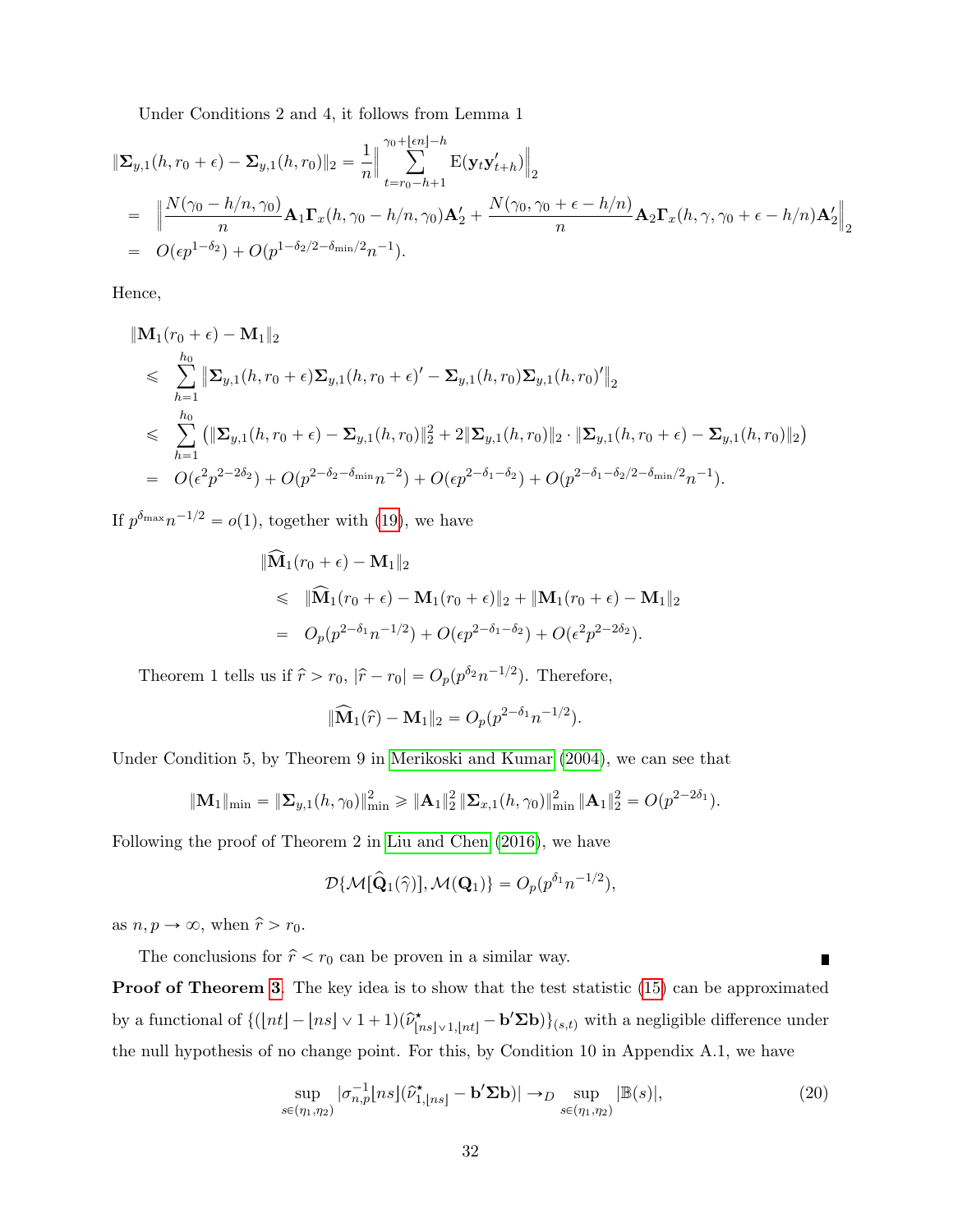Under Conditions 2 and 4, it follows from Lemma 1

$$
\begin{split}\n\|\mathbf{\Sigma}_{y,1}(h,r_0+\epsilon) - \mathbf{\Sigma}_{y,1}(h,r_0)\|_2 &= \frac{1}{n} \Big\|\sum_{t=r_0-h+1}^{\gamma_0 + \lfloor \epsilon n \rfloor - h} \mathbf{E}(\mathbf{y}_t \mathbf{y}_{t+h}') \Big\|_2 \\
&= \Big\|\frac{N(\gamma_0 - h/n, \gamma_0)}{n} \mathbf{A}_1 \mathbf{\Gamma}_x(h, \gamma_0 - h/n, \gamma_0) \mathbf{A}_2' + \frac{N(\gamma_0, \gamma_0 + \epsilon - h/n)}{n} \mathbf{A}_2 \mathbf{\Gamma}_x(h, \gamma, \gamma_0 + \epsilon - h/n) \mathbf{A}_2'\Big\|_2 \\
&= O(\epsilon p^{1-\delta_2}) + O(p^{1-\delta_2/2-\delta_{\min}/2} n^{-1}).\n\end{split}
$$

Hence,

$$
\begin{split}\n&\|\mathbf{M}_{1}(r_{0}+\epsilon)-\mathbf{M}_{1}\|_{2} \\
&\leqslant \sum_{h=1}^{h_{0}}\|\mathbf{\Sigma}_{y,1}(h,r_{0}+\epsilon)\mathbf{\Sigma}_{y,1}(h,r_{0}+\epsilon)'-\mathbf{\Sigma}_{y,1}(h,r_{0})\mathbf{\Sigma}_{y,1}(h,r_{0})'\|_{2} \\
&\leqslant \sum_{h=1}^{h_{0}}\left(\|\mathbf{\Sigma}_{y,1}(h,r_{0}+\epsilon)-\mathbf{\Sigma}_{y,1}(h,r_{0})\|_{2}^{2}+2\|\mathbf{\Sigma}_{y,1}(h,r_{0})\|_{2}\cdot\|\mathbf{\Sigma}_{y,1}(h,r_{0}+\epsilon)-\mathbf{\Sigma}_{y,1}(h,r_{0})\|_{2}\right) \\
&= O(\epsilon^{2}p^{2-2\delta_{2}})+O(p^{2-\delta_{2}-\delta_{\min}}n^{-2})+O(\epsilon p^{2-\delta_{1}-\delta_{2}})+O(p^{2-\delta_{1}-\delta_{2}/2-\delta_{\min}/2}n^{-1}).\n\end{split}
$$

If  $p^{\delta_{\max}}n^{-1/2} = o(1)$ , together with [\(19\)](#page-30-0), we have

$$
\|\widehat{\mathbf{M}}_1(r_0+\epsilon) - \mathbf{M}_1\|_2
$$
  
\$\leq \|\widehat{\mathbf{M}}\_1(r\_0+\epsilon) - \mathbf{M}\_1(r\_0+\epsilon)\|\_2 + \|\mathbf{M}\_1(r\_0+\epsilon) - \mathbf{M}\_1\|\_2\$  
=  $O_p(p^{2-\delta_1}n^{-1/2}) + O(\epsilon p^{2-\delta_1-\delta_2}) + O(\epsilon^2 p^{2-2\delta_2}).$ 

Theorem 1 tells us if  $\hat{r} > r_0$ ,  $|\hat{r} - r_0| = O_p(p^{\delta_2} n^{-1/2})$ . Therefore,

$$
\|\widehat{\mathbf{M}}_1(\widehat{r}) - \mathbf{M}_1\|_2 = O_p(p^{2-\delta_1}n^{-1/2}).
$$

Under Condition 5, by Theorem 9 in [Merikoski and Kumar](#page-35-7) [\(2004\)](#page-35-7), we can see that

$$
\|\mathbf{M}_1\|_{\min} = \|\mathbf{\Sigma}_{y,1}(h,\gamma_0)\|_{\min}^2 \ge \|\mathbf{A}_1\|_2^2 \|\mathbf{\Sigma}_{x,1}(h,\gamma_0)\|_{\min}^2 \|\mathbf{A}_1\|_2^2 = O(p^{2-2\delta_1}).
$$

Following the proof of Theorem 2 in [Liu and Chen](#page-34-2) [\(2016\)](#page-34-2), we have

$$
\mathcal{D}\{\mathcal{M}[\hat{\mathbf{Q}}_1(\hat{\gamma})], \mathcal{M}(\mathbf{Q}_1)\} = O_p(p^{\delta_1}n^{-1/2}),
$$

as  $n, p \rightarrow \infty$ , when  $\hat{r} > r_0$ .

The conclusions for  $\hat{r} < r_0$  can be proven in a similar way.

**Proof of Theorem [3](#page-11-3).** The key idea is to show that the test statistic [\(15\)](#page-11-1) can be approximated by a functional of  ${([nt] - [ns] \vee 1 + 1)(\hat{\nu}_{[ns] \vee 1, [nt]}^{\star} - \mathbf{b}'\Sigma \mathbf{b})}$ <sub>(s,t)</sub> with a negligible difference under the null hypothesis of no change point. For this, by Condition 10 in Appendix A.1, we have

<span id="page-31-0"></span>
$$
\sup_{s \in (\eta_1, \eta_2)} |\sigma_{n,p}^{-1}[ns](\widehat{\nu}_{1, \lfloor ns \rfloor}^{\star} - \mathbf{b}^{\prime} \Sigma \mathbf{b})| \to_D \sup_{s \in (\eta_1, \eta_2)} |\mathbb{B}(s)|,
$$
\n(20)

Π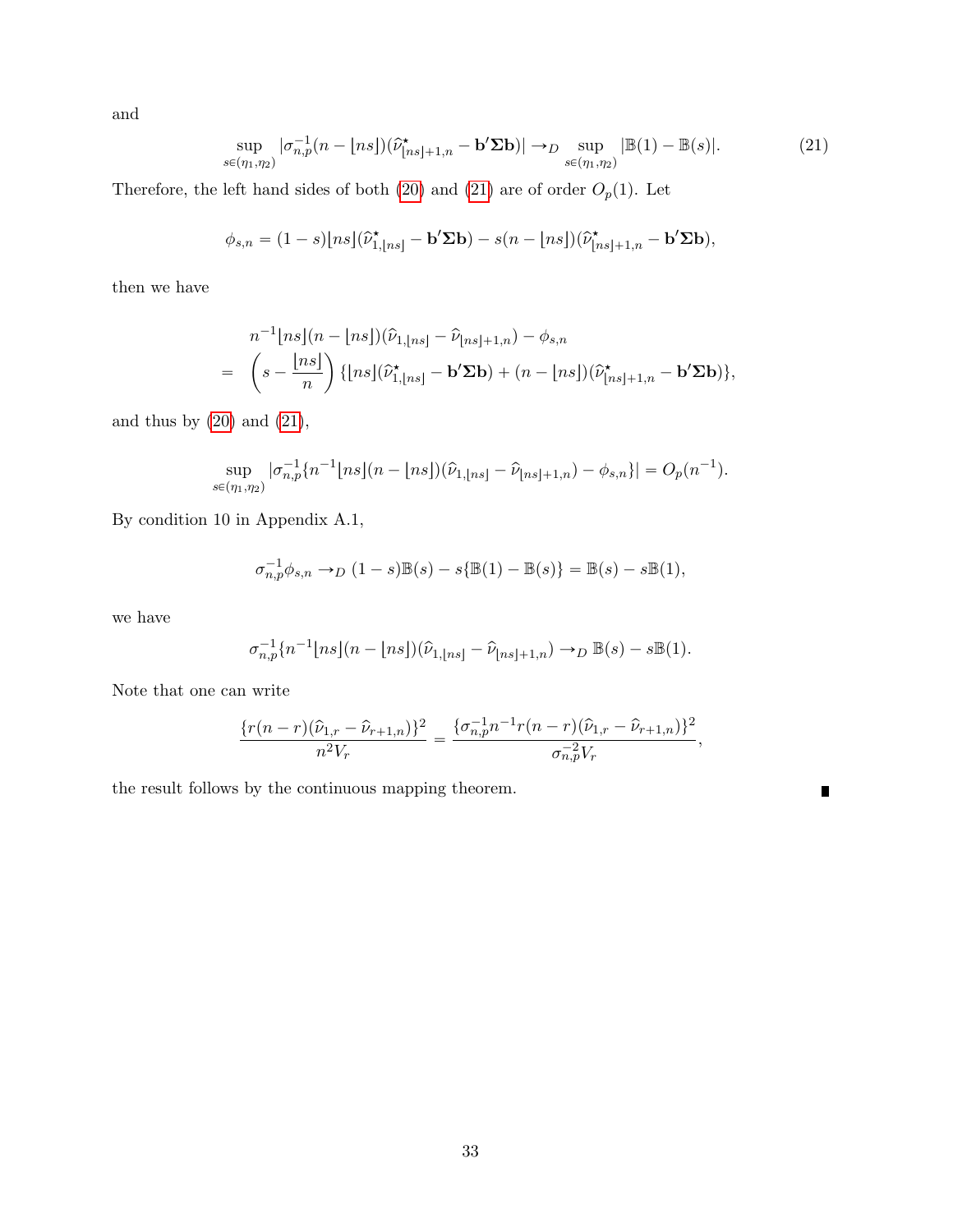and

<span id="page-32-0"></span>
$$
\sup_{s\in(\eta_1,\eta_2)}|\sigma_{n,p}^{-1}(n-{\lfloor n s\rfloor})(\hat{\nu}_{\lfloor ns\rfloor+1,n}^{\star}-\mathbf{b}'\boldsymbol{\Sigma}\mathbf{b})|\to_D \sup_{s\in(\eta_1,\eta_2)}|\mathbb{B}(1)-\mathbb{B}(s)|.\tag{21}
$$

Therefore, the left hand sides of both [\(20\)](#page-31-0) and [\(21\)](#page-32-0) are of order  $O_p(1)$ . Let

$$
\phi_{s,n} = (1-s) [ns] (\widehat{\nu}_{1,\lfloor ns \rfloor}^{\star} - \mathbf{b}^{\prime} \Sigma \mathbf{b}) - s(n-\lfloor ns \rfloor) (\widehat{\nu}_{\lfloor ns \rfloor+1,n}^{\star} - \mathbf{b}^{\prime} \Sigma \mathbf{b}),
$$

then we have

$$
n^{-1}[ns](n-[ns])(\widehat{\nu}_{1,[ns]}-\widehat{\nu}_{[ns]+1,n})-\phi_{s,n}
$$
  
= 
$$
\left(s-\frac{[ns]}{n}\right)\{[ns](\widehat{\nu}_{1,[ns]}^{\star}-\mathbf{b}'\boldsymbol{\Sigma}\mathbf{b})+(n-[ns])(\widehat{\nu}_{[ns]+1,n}^{\star}-\mathbf{b}'\boldsymbol{\Sigma}\mathbf{b})\},\
$$

and thus by  $(20)$  and  $(21)$ ,

$$
\sup_{s \in (\eta_1, \eta_2)} |\sigma_{n,p}^{-1} \{ n^{-1} \lfloor ns \rfloor (n - \lfloor ns \rfloor) (\widehat{\nu}_{1, \lfloor ns \rfloor} - \widehat{\nu}_{\lfloor ns \rfloor + 1, n}) - \phi_{s,n} \}| = O_p(n^{-1}).
$$

By condition 10 in Appendix A.1,

$$
\sigma_{n,p}^{-1}\phi_{s,n} \to_D (1-s)\mathbb{B}(s) - s\{\mathbb{B}(1) - \mathbb{B}(s)\} = \mathbb{B}(s) - s\mathbb{B}(1),
$$

we have

$$
\sigma_{n,p}^{-1}\{n^{-1}\lfloor ns\rfloor (n-\lfloor ns\rfloor)(\widehat{\nu}_{1,\lfloor ns\rfloor}-\widehat{\nu}_{\lfloor ns\rfloor+1,n})\to_D \mathbb{B}(s)-s\mathbb{B}(1).
$$

Note that one can write

$$
\frac{\{r(n-r)(\hat{\nu}_{1,r} - \hat{\nu}_{r+1,n})\}^2}{n^2 V_r} = \frac{\{\sigma_{n,p}^{-1} n^{-1} r(n-r)(\hat{\nu}_{1,r} - \hat{\nu}_{r+1,n})\}^2}{\sigma_{n,p}^{-2} V_r},
$$

 $\blacksquare$ 

the result follows by the continuous mapping theorem.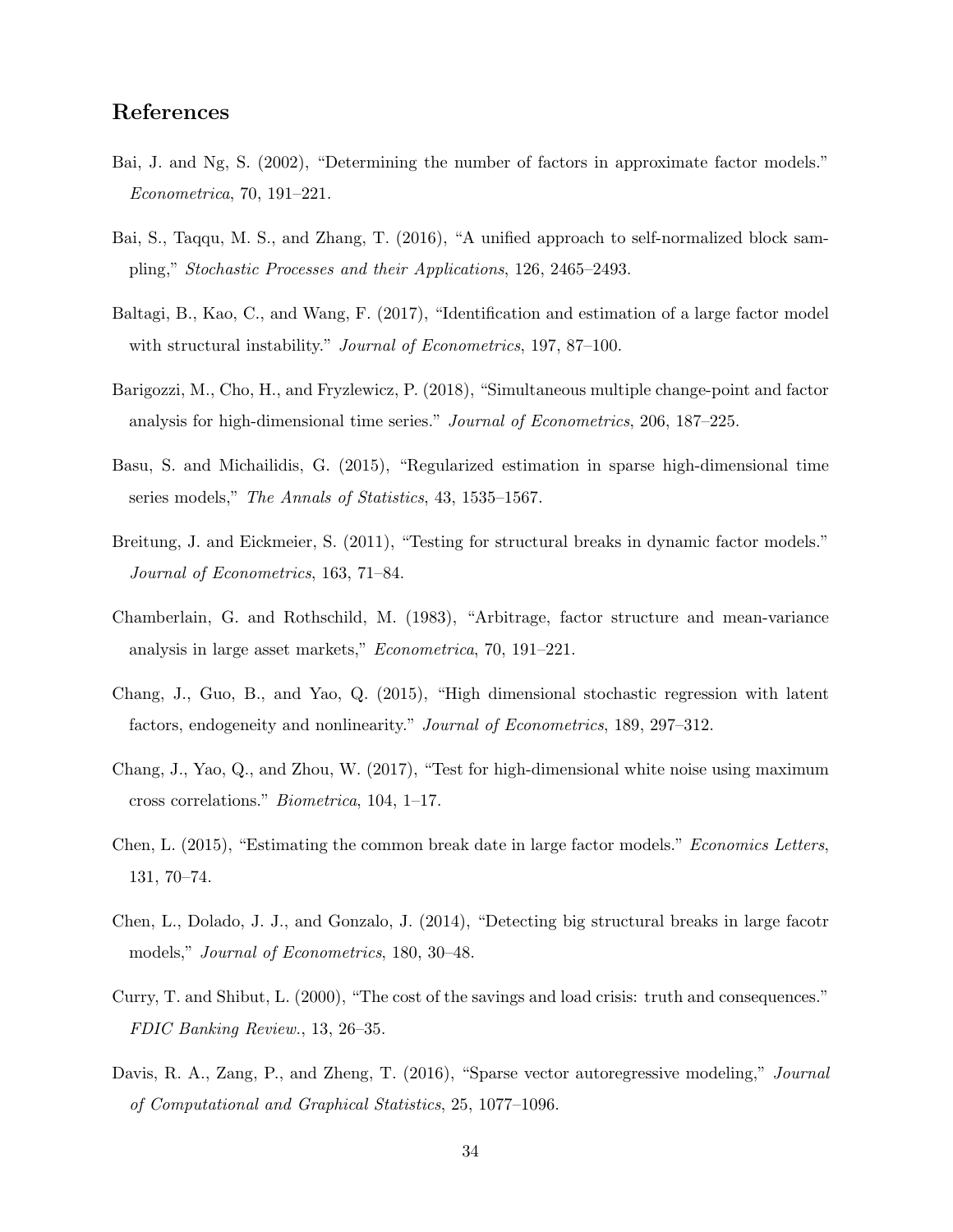# References

- <span id="page-33-3"></span>Bai, J. and Ng, S. (2002), "Determining the number of factors in approximate factor models." Econometrica, 70, 191–221.
- <span id="page-33-11"></span>Bai, S., Taqqu, M. S., and Zhang, T. (2016), "A unified approach to self-normalized block sampling," Stochastic Processes and their Applications, 126, 2465–2493.
- <span id="page-33-9"></span>Baltagi, B., Kao, C., and Wang, F. (2017), "Identification and estimation of a large factor model with structural instability." *Journal of Econometrics*, 197, 87–100.
- <span id="page-33-7"></span>Barigozzi, M., Cho, H., and Fryzlewicz, P. (2018), "Simultaneous multiple change-point and factor analysis for high-dimensional time series." Journal of Econometrics, 206, 187–225.
- <span id="page-33-0"></span>Basu, S. and Michailidis, G. (2015), "Regularized estimation in sparse high-dimensional time series models," The Annals of Statistics, 43, 1535–1567.
- <span id="page-33-5"></span>Breitung, J. and Eickmeier, S. (2011), "Testing for structural breaks in dynamic factor models." Journal of Econometrics, 163, 71–84.
- <span id="page-33-2"></span>Chamberlain, G. and Rothschild, M. (1983), "Arbitrage, factor structure and mean-variance analysis in large asset markets," Econometrica, 70, 191–221.
- <span id="page-33-10"></span>Chang, J., Guo, B., and Yao, Q. (2015), "High dimensional stochastic regression with latent factors, endogeneity and nonlinearity." Journal of Econometrics, 189, 297–312.
- <span id="page-33-4"></span>Chang, J., Yao, Q., and Zhou, W. (2017), "Test for high-dimensional white noise using maximum cross correlations." Biometrica, 104, 1–17.
- <span id="page-33-8"></span>Chen, L. (2015), "Estimating the common break date in large factor models." Economics Letters, 131, 70–74.
- <span id="page-33-6"></span>Chen, L., Dolado, J. J., and Gonzalo, J. (2014), "Detecting big structural breaks in large facotr models," Journal of Econometrics, 180, 30–48.
- <span id="page-33-12"></span>Curry, T. and Shibut, L. (2000), "The cost of the savings and load crisis: truth and consequences." FDIC Banking Review., 13, 26–35.
- <span id="page-33-1"></span>Davis, R. A., Zang, P., and Zheng, T. (2016), "Sparse vector autoregressive modeling," Journal of Computational and Graphical Statistics, 25, 1077–1096.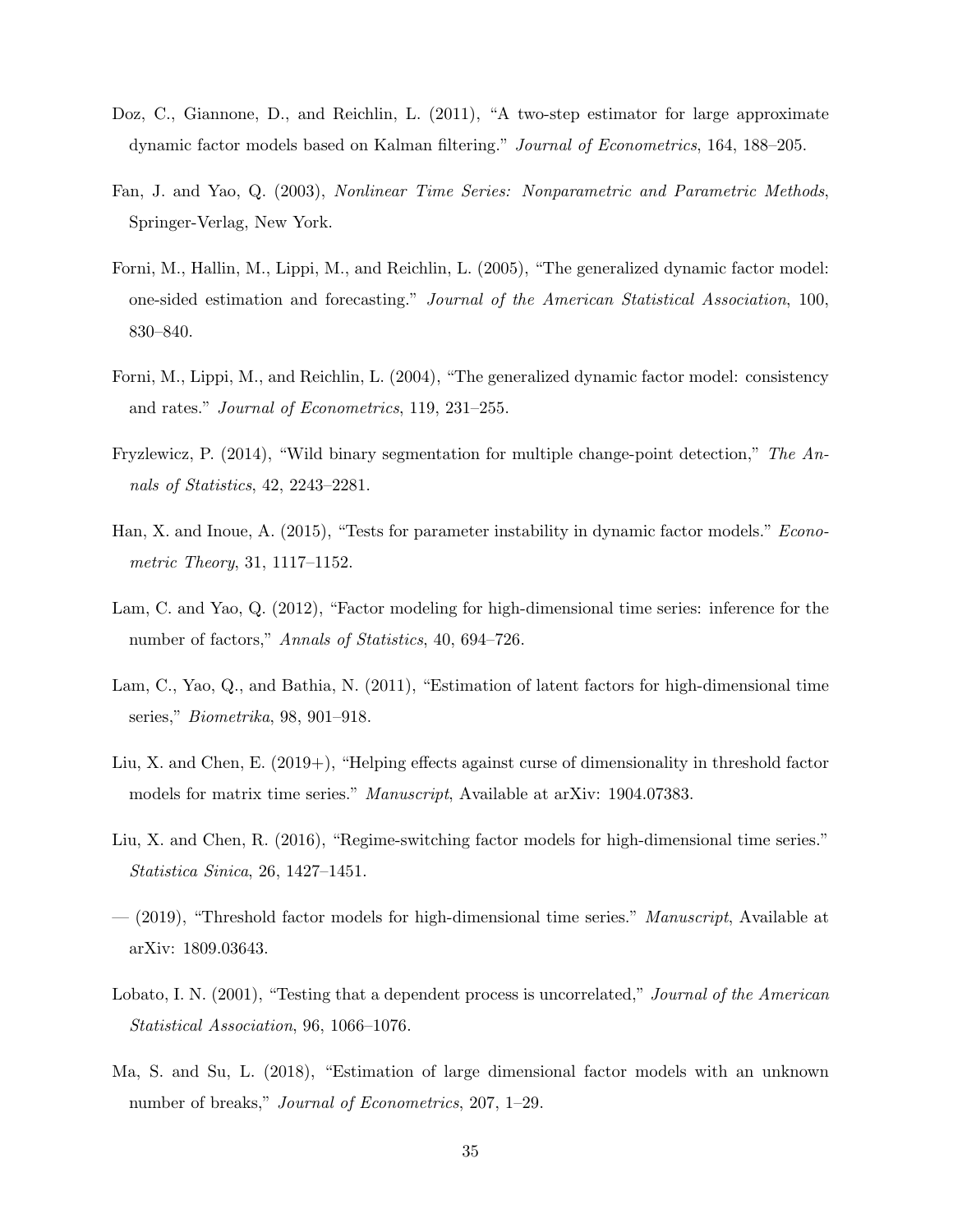- <span id="page-34-8"></span>Doz, C., Giannone, D., and Reichlin, L. (2011), "A two-step estimator for large approximate dynamic factor models based on Kalman filtering." Journal of Econometrics, 164, 188–205.
- <span id="page-34-12"></span>Fan, J. and Yao, Q. (2003), Nonlinear Time Series: Nonparametric and Parametric Methods, Springer-Verlag, New York.
- <span id="page-34-7"></span>Forni, M., Hallin, M., Lippi, M., and Reichlin, L. (2005), "The generalized dynamic factor model: one-sided estimation and forecasting." Journal of the American Statistical Association, 100, 830–840.
- <span id="page-34-1"></span>Forni, M., Lippi, M., and Reichlin, L. (2004), "The generalized dynamic factor model: consistency and rates." Journal of Econometrics, 119, 231–255.
- <span id="page-34-11"></span>Fryzlewicz, P. (2014), "Wild binary segmentation for multiple change-point detection," The Annals of Statistics, 42, 2243–2281.
- <span id="page-34-4"></span>Han, X. and Inoue, A. (2015), "Tests for parameter instability in dynamic factor models." Econometric Theory, 31, 1117–1152.
- <span id="page-34-6"></span>Lam, C. and Yao, Q. (2012), "Factor modeling for high-dimensional time series: inference for the number of factors," Annals of Statistics, 40, 694–726.
- <span id="page-34-0"></span>Lam, C., Yao, Q., and Bathia, N. (2011), "Estimation of latent factors for high-dimensional time series," Biometrika, 98, 901–918.
- <span id="page-34-9"></span>Liu, X. and Chen, E. (2019+), "Helping effects against curse of dimensionality in threshold factor models for matrix time series." Manuscript, Available at arXiv: 1904.07383.
- <span id="page-34-2"></span>Liu, X. and Chen, R. (2016), "Regime-switching factor models for high-dimensional time series." Statistica Sinica, 26, 1427–1451.
- <span id="page-34-3"></span> $-$  (2019), "Threshold factor models for high-dimensional time series." *Manuscript*, Available at arXiv: 1809.03643.
- <span id="page-34-10"></span>Lobato, I. N. (2001), "Testing that a dependent process is uncorrelated," Journal of the American Statistical Association, 96, 1066–1076.
- <span id="page-34-5"></span>Ma, S. and Su, L. (2018), "Estimation of large dimensional factor models with an unknown number of breaks," *Journal of Econometrics*, 207, 1–29.